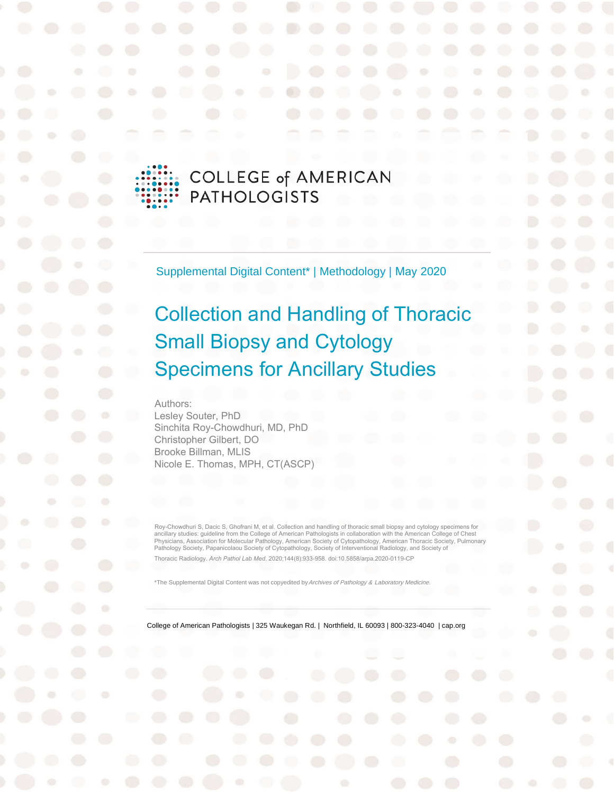# **COLLEGE of AMERICAN PATHOLOGISTS**

Supplemental Digital Content\* | Methodology | May 2020

# Collection and Handling of Thoracic Small Biopsy and Cytology Specimens for Ancillary Studies

Authors:

Lesley Souter, PhD Sinchita Roy-Chowdhuri, MD, PhD Christopher Gilbert, DO Brooke Billman, MLIS Nicole E. Thomas, MPH, CT(ASCP)

Roy-Chowdhuri S, Dacic S, Ghofrani M, et al. Collection and handlin[g of thoracic small biopsy and](https://allen.silverchair-cdn.com/allen/content_public/journal/aplm/144/8/10.5858_arpa.2020-0119-cp/1/arpa_2020-0119-cp.pdf?Expires=1646670051&Signature=m7Pg-yTRUWfoVCzW4wKkQBxWTLihgeko37DZa75E~1FAc0Aje4Rvh1xGpAIax5ySdJ3XaN5OYkYOLly5CebOej3ETa5O6Ws~HGGK8IJQs1VYX4FH47kz5oyeFMPh3uAEK5yJd7GVe4LuT6cJ202ryMtUwzeLZH0apgTGoDEm451kqJQDJSIFu~1h2a9jcwTWBcd8hHfvmstC3p81qqtlKMs0xfDGMCO-qrQAcaNbvSUY-fG~~zhcwaELKVRH2F64NxAURl7AjvlMY3gO91SkrHaemxXaOj5CiaPALypgSBCPvt-uMd1v5hffuhxsNh49ORPt-xM6Dsp1eQfFq7JbrQ__&Key-Pair-Id=APKAIE5G5CRDK6RD3PGA) cytology specimens for ancillary studies: guideline from the College of American Pathologists in collaboration with the American College of Chest<br>Physicians, Association for Molecular Pathology, American Society of Cytopathology, American Thorac Thoracic Radiology. *Arch Pathol Lab Med*. 2020;144(8):933-958. doi:10.5858/arpa.2020-0119-CP

\*The Supplemental Digital Content was not copyedited by Archives of Pathology & Laboratory Medicine.

College of American Pathologists | 325 Waukegan Rd. | Northfield, IL 60093 | 800-323-4040 | cap.org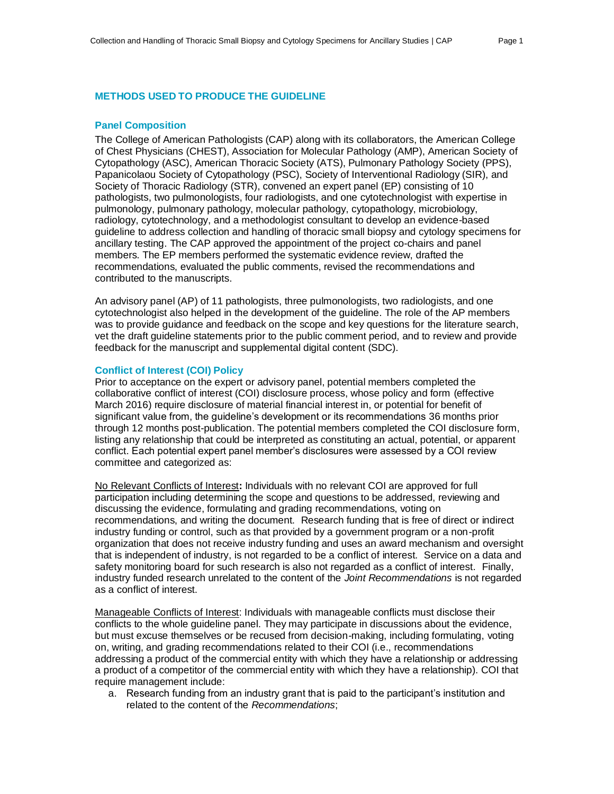#### **METHODS USED TO PRODUCE THE GUIDELINE**

#### **Panel Composition**

The College of American Pathologists (CAP) along with its collaborators, the American College of Chest Physicians (CHEST), Association for Molecular Pathology (AMP), American Society of Cytopathology (ASC), American Thoracic Society (ATS), Pulmonary Pathology Society (PPS), Papanicolaou Society of Cytopathology (PSC), Society of Interventional Radiology (SIR), and Society of Thoracic Radiology (STR), convened an expert panel (EP) consisting of 10 pathologists, two pulmonologists, four radiologists, and one cytotechnologist with expertise in pulmonology, pulmonary pathology, molecular pathology, cytopathology, microbiology, radiology, cytotechnology, and a methodologist consultant to develop an evidence-based guideline to address collection and handling of thoracic small biopsy and cytology specimens for ancillary testing. The CAP approved the appointment of the project co-chairs and panel members. The EP members performed the systematic evidence review, drafted the recommendations, evaluated the public comments, revised the recommendations and contributed to the manuscripts.

An advisory panel (AP) of 11 pathologists, three pulmonologists, two radiologists, and one cytotechnologist also helped in the development of the guideline. The role of the AP members was to provide guidance and feedback on the scope and key questions for the literature search, vet the draft guideline statements prior to the public comment period, and to review and provide feedback for the manuscript and supplemental digital content (SDC).

#### **Conflict of Interest (COI) Policy**

Prior to acceptance on the expert or advisory panel, potential members completed the collaborative conflict of interest (COI) disclosure process, whose policy and form (effective March 2016) require disclosure of material financial interest in, or potential for benefit of significant value from, the guideline's development or its recommendations 36 months prior through 12 months post-publication. The potential members completed the COI disclosure form, listing any relationship that could be interpreted as constituting an actual, potential, or apparent conflict. Each potential expert panel member's disclosures were assessed by a COI review committee and categorized as:

No Relevant Conflicts of Interest**:** Individuals with no relevant COI are approved for full participation including determining the scope and questions to be addressed, reviewing and discussing the evidence, formulating and grading recommendations, voting on recommendations, and writing the document. Research funding that is free of direct or indirect industry funding or control, such as that provided by a government program or a non-profit organization that does not receive industry funding and uses an award mechanism and oversight that is independent of industry, is not regarded to be a conflict of interest. Service on a data and safety monitoring board for such research is also not regarded as a conflict of interest. Finally, industry funded research unrelated to the content of the *Joint Recommendations* is not regarded as a conflict of interest.

Manageable Conflicts of Interest: Individuals with manageable conflicts must disclose their conflicts to the whole guideline panel. They may participate in discussions about the evidence, but must excuse themselves or be recused from decision-making, including formulating, voting on, writing, and grading recommendations related to their COI (i.e., recommendations addressing a product of the commercial entity with which they have a relationship or addressing a product of a competitor of the commercial entity with which they have a relationship). COI that require management include:

a. Research funding from an industry grant that is paid to the participant's institution and related to the content of the *Recommendations*;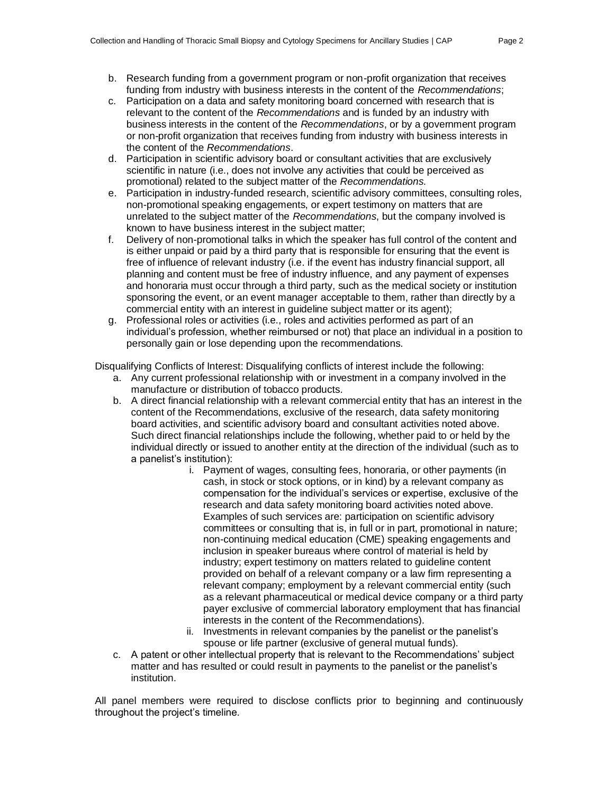- b. Research funding from a government program or non-profit organization that receives funding from industry with business interests in the content of the *Recommendations*;
- c. Participation on a data and safety monitoring board concerned with research that is relevant to the content of the *Recommendations* and is funded by an industry with business interests in the content of the *Recommendations*, or by a government program or non-profit organization that receives funding from industry with business interests in the content of the *Recommendations*.
- d. Participation in scientific advisory board or consultant activities that are exclusively scientific in nature (i.e., does not involve any activities that could be perceived as promotional) related to the subject matter of the *Recommendations.*
- e. Participation in industry-funded research, scientific advisory committees, consulting roles, non-promotional speaking engagements, or expert testimony on matters that are unrelated to the subject matter of the *Recommendations*, but the company involved is known to have business interest in the subject matter;
- f. Delivery of non-promotional talks in which the speaker has full control of the content and is either unpaid or paid by a third party that is responsible for ensuring that the event is free of influence of relevant industry (i.e. if the event has industry financial support, all planning and content must be free of industry influence, and any payment of expenses and honoraria must occur through a third party, such as the medical society or institution sponsoring the event, or an event manager acceptable to them, rather than directly by a commercial entity with an interest in guideline subject matter or its agent);
- g. Professional roles or activities (i.e., roles and activities performed as part of an individual's profession, whether reimbursed or not) that place an individual in a position to personally gain or lose depending upon the recommendations.

Disqualifying Conflicts of Interest: Disqualifying conflicts of interest include the following:

- a. Any current professional relationship with or investment in a company involved in the manufacture or distribution of tobacco products.
- b. A direct financial relationship with a relevant commercial entity that has an interest in the content of the Recommendations, exclusive of the research, data safety monitoring board activities, and scientific advisory board and consultant activities noted above. Such direct financial relationships include the following, whether paid to or held by the individual directly or issued to another entity at the direction of the individual (such as to a panelist's institution):
	- i. Payment of wages, consulting fees, honoraria, or other payments (in cash, in stock or stock options, or in kind) by a relevant company as compensation for the individual's services or expertise, exclusive of the research and data safety monitoring board activities noted above. Examples of such services are: participation on scientific advisory committees or consulting that is, in full or in part, promotional in nature; non-continuing medical education (CME) speaking engagements and inclusion in speaker bureaus where control of material is held by industry; expert testimony on matters related to guideline content provided on behalf of a relevant company or a law firm representing a relevant company; employment by a relevant commercial entity (such as a relevant pharmaceutical or medical device company or a third party payer exclusive of commercial laboratory employment that has financial interests in the content of the Recommendations).
	- ii. Investments in relevant companies by the panelist or the panelist's spouse or life partner (exclusive of general mutual funds).
- c. A patent or other intellectual property that is relevant to the Recommendations' subject matter and has resulted or could result in payments to the panelist or the panelist's institution.

All panel members were required to disclose conflicts prior to beginning and continuously throughout the project's timeline.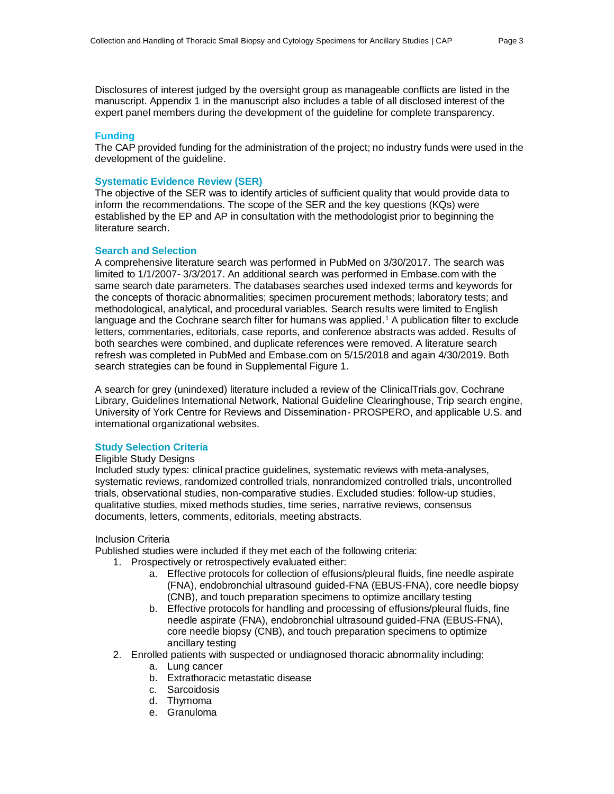Disclosures of interest judged by the oversight group as manageable conflicts are listed in the manuscript. Appendix 1 in the manuscript also includes a table of all disclosed interest of the expert panel members during the development of the guideline for complete transparency.

#### **Funding**

The CAP provided funding for the administration of the project; no industry funds were used in the development of the guideline.

#### **Systematic Evidence Review (SER)**

The objective of the SER was to identify articles of sufficient quality that would provide data to inform the recommendations. The scope of the SER and the key questions (KQs) were established by the EP and AP in consultation with the methodologist prior to beginning the literature search.

#### **Search and Selection**

A comprehensive literature search was performed in PubMed on 3/30/2017. The search was limited to 1/1/2007- 3/3/2017. An additional search was performed in Embase.com with the same search date parameters. The databases searches used indexed terms and keywords for the concepts of thoracic abnormalities; specimen procurement methods; laboratory tests; and methodological, analytical, and procedural variables. Search results were limited to English language and the Cochrane search filter for humans was applied.<sup>1</sup> A publication filter to exclude letters, commentaries, editorials, case reports, and conference abstracts was added. Results of both searches were combined, and duplicate references were removed. A literature search refresh was completed in PubMed and Embase.com on 5/15/2018 and again 4/30/2019. Both search strategies can be found in Supplemental Figure 1.

A search for grey (unindexed) literature included a review of the ClinicalTrials.gov, Cochrane Library, Guidelines International Network, National Guideline Clearinghouse, Trip search engine, University of York Centre for Reviews and Dissemination- PROSPERO, and applicable U.S. and international organizational websites.

#### **Study Selection Criteria**

#### Eligible Study Designs

Included study types: clinical practice guidelines, systematic reviews with meta-analyses, systematic reviews, randomized controlled trials, nonrandomized controlled trials, uncontrolled trials, observational studies, non-comparative studies. Excluded studies: follow-up studies, qualitative studies, mixed methods studies, time series, narrative reviews, consensus documents, letters, comments, editorials, meeting abstracts.

#### Inclusion Criteria

Published studies were included if they met each of the following criteria:

- 1. Prospectively or retrospectively evaluated either:
	- a. Effective protocols for collection of effusions/pleural fluids, fine needle aspirate (FNA), endobronchial ultrasound guided-FNA (EBUS-FNA), core needle biopsy (CNB), and touch preparation specimens to optimize ancillary testing
	- b. Effective protocols for handling and processing of effusions/pleural fluids, fine needle aspirate (FNA), endobronchial ultrasound guided-FNA (EBUS-FNA), core needle biopsy (CNB), and touch preparation specimens to optimize ancillary testing
- 2. Enrolled patients with suspected or undiagnosed thoracic abnormality including:
	- a. Lung cancer
	- b. Extrathoracic metastatic disease
	- c. Sarcoidosis
	- d. Thymoma
	- e. Granuloma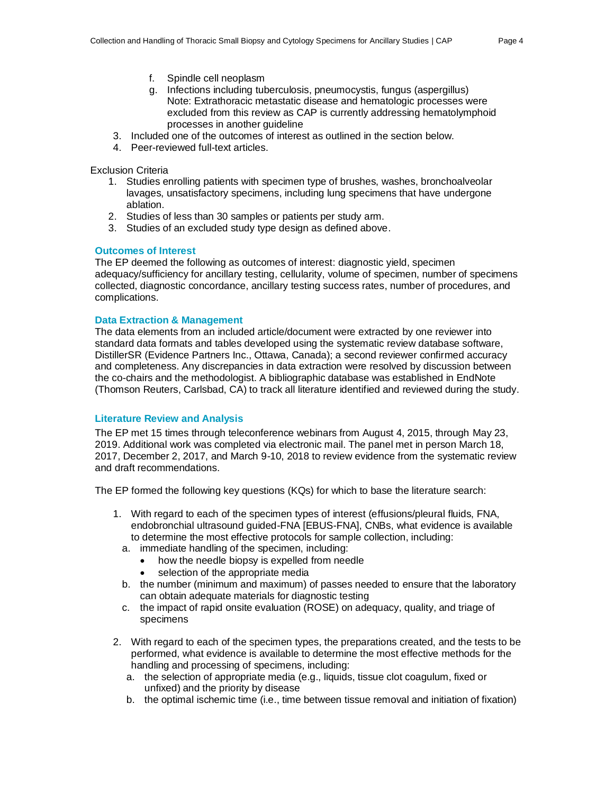- f. Spindle cell neoplasm
- g. Infections including tuberculosis, pneumocystis, fungus (aspergillus) Note: Extrathoracic metastatic disease and hematologic processes were excluded from this review as CAP is currently addressing hematolymphoid processes in another guideline
- 3. Included one of the outcomes of interest as outlined in the section below.
- 4. Peer-reviewed full-text articles.

Exclusion Criteria

- 1. Studies enrolling patients with specimen type of brushes, washes, bronchoalveolar lavages, unsatisfactory specimens, including lung specimens that have undergone ablation.
- 2. Studies of less than 30 samples or patients per study arm.
- 3. Studies of an excluded study type design as defined above.

#### **Outcomes of Interest**

The EP deemed the following as outcomes of interest: diagnostic yield, specimen adequacy/sufficiency for ancillary testing, cellularity, volume of specimen, number of specimens collected, diagnostic concordance, ancillary testing success rates, number of procedures, and complications.

### **Data Extraction & Management**

The data elements from an included article/document were extracted by one reviewer into standard data formats and tables developed using the systematic review database software, DistillerSR (Evidence Partners Inc., Ottawa, Canada); a second reviewer confirmed accuracy and completeness. Any discrepancies in data extraction were resolved by discussion between the co-chairs and the methodologist. A bibliographic database was established in EndNote (Thomson Reuters, Carlsbad, CA) to track all literature identified and reviewed during the study.

#### **Literature Review and Analysis**

The EP met 15 times through teleconference webinars from August 4, 2015, through May 23, 2019. Additional work was completed via electronic mail. The panel met in person March 18, 2017, December 2, 2017, and March 9-10, 2018 to review evidence from the systematic review and draft recommendations.

The EP formed the following key questions (KQs) for which to base the literature search:

- 1. With regard to each of the specimen types of interest (effusions/pleural fluids, FNA, endobronchial ultrasound guided-FNA [EBUS-FNA], CNBs, what evidence is available to determine the most effective protocols for sample collection, including:
	- a. immediate handling of the specimen, including:
		- how the needle biopsy is expelled from needle
		- selection of the appropriate media
	- b. the number (minimum and maximum) of passes needed to ensure that the laboratory can obtain adequate materials for diagnostic testing
	- c. the impact of rapid onsite evaluation (ROSE) on adequacy, quality, and triage of specimens
- 2. With regard to each of the specimen types, the preparations created, and the tests to be performed, what evidence is available to determine the most effective methods for the handling and processing of specimens, including:
	- a. the selection of appropriate media (e.g., liquids, tissue clot coagulum, fixed or unfixed) and the priority by disease
	- b. the optimal ischemic time (i.e., time between tissue removal and initiation of fixation)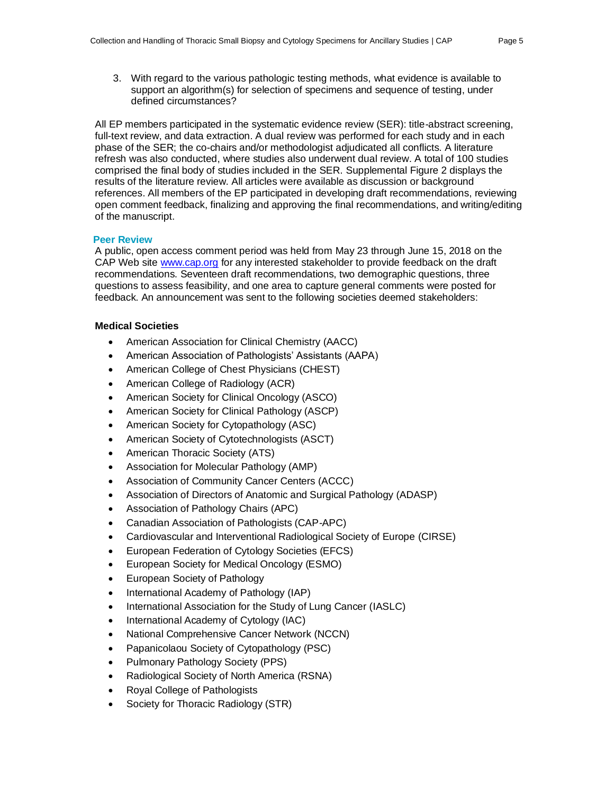3. With regard to the various pathologic testing methods, what evidence is available to support an algorithm(s) for selection of specimens and sequence of testing, under defined circumstances?

All EP members participated in the systematic evidence review (SER): title-abstract screening, full-text review, and data extraction. A dual review was performed for each study and in each phase of the SER; the co-chairs and/or methodologist adjudicated all conflicts. A literature refresh was also conducted, where studies also underwent dual review. A total of 100 studies comprised the final body of studies included in the SER. Supplemental Figure 2 displays the results of the literature review. All articles were available as discussion or background references. All members of the EP participated in developing draft recommendations, reviewing open comment feedback, finalizing and approving the final recommendations, and writing/editing of the manuscript.

### **Peer Review**

A public, open access comment period was held from May 23 through June 15, 2018 on the CAP Web sit[e www.cap.org](http://www.cap.org/) for any interested stakeholder to provide feedback on the draft recommendations. Seventeen draft recommendations, two demographic questions, three questions to assess feasibility, and one area to capture general comments were posted for feedback. An announcement was sent to the following societies deemed stakeholders:

# **Medical Societies**

- American Association for Clinical Chemistry (AACC)
- American Association of Pathologists' Assistants (AAPA)
- American College of Chest Physicians (CHEST)
- American College of Radiology (ACR)
- American Society for Clinical Oncology (ASCO)
- American Society for Clinical Pathology (ASCP)
- American Society for Cytopathology (ASC)
- American Society of Cytotechnologists (ASCT)
- American Thoracic Society (ATS)
- Association for Molecular Pathology (AMP)
- Association of Community Cancer Centers (ACCC)
- Association of Directors of Anatomic and Surgical Pathology (ADASP)
- Association of Pathology Chairs (APC)
- Canadian Association of Pathologists (CAP-APC)
- Cardiovascular and Interventional Radiological Society of Europe (CIRSE)
- European Federation of Cytology Societies (EFCS)
- European Society for Medical Oncology (ESMO)
- European Society of Pathology
- International Academy of Pathology (IAP)
- International Association for the Study of Lung Cancer (IASLC)
- International Academy of Cytology (IAC)
- National Comprehensive Cancer Network (NCCN)
- Papanicolaou Society of Cytopathology (PSC)
- Pulmonary Pathology Society (PPS)
- Radiological Society of North America (RSNA)
- Royal College of Pathologists
- Society for Thoracic Radiology (STR)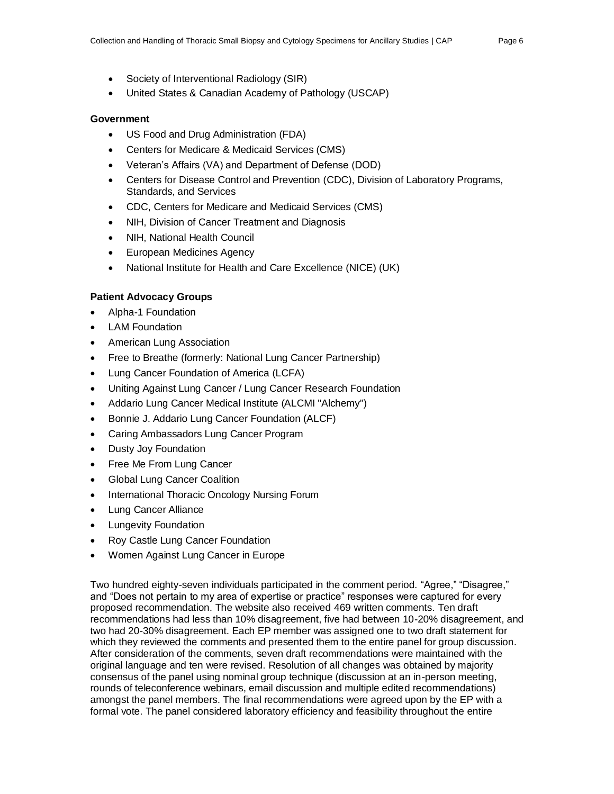- Society of Interventional Radiology (SIR)
- United States & Canadian Academy of Pathology (USCAP)

#### **Government**

- US Food and Drug Administration (FDA)
- Centers for Medicare & Medicaid Services (CMS)
- Veteran's Affairs (VA) and Department of Defense (DOD)
- Centers for Disease Control and Prevention (CDC), Division of Laboratory Programs, Standards, and Services
- CDC, Centers for Medicare and Medicaid Services (CMS)
- NIH, Division of Cancer Treatment and Diagnosis
- NIH, National Health Council
- European Medicines Agency
- National Institute for Health and Care Excellence (NICE) (UK)

#### **Patient Advocacy Groups**

- Alpha-1 Foundation
- **LAM Foundation**
- American Lung Association
- Free to Breathe (formerly: National Lung Cancer Partnership)
- Lung Cancer Foundation of America (LCFA)
- Uniting Against Lung Cancer / Lung Cancer Research Foundation
- Addario Lung Cancer Medical Institute (ALCMI "Alchemy")
- Bonnie J. Addario Lung Cancer Foundation (ALCF)
- Caring Ambassadors Lung Cancer Program
- Dusty Joy Foundation
- Free Me From Lung Cancer
- Global Lung Cancer Coalition
- International Thoracic Oncology Nursing Forum
- Lung Cancer Alliance
- Lungevity Foundation
- Roy Castle Lung Cancer Foundation
- Women Against Lung Cancer in Europe

Two hundred eighty-seven individuals participated in the comment period. "Agree," "Disagree," and "Does not pertain to my area of expertise or practice" responses were captured for every proposed recommendation. The website also received 469 written comments. Ten draft recommendations had less than 10% disagreement, five had between 10-20% disagreement, and two had 20-30% disagreement. Each EP member was assigned one to two draft statement for which they reviewed the comments and presented them to the entire panel for group discussion. After consideration of the comments, seven draft recommendations were maintained with the original language and ten were revised. Resolution of all changes was obtained by majority consensus of the panel using nominal group technique (discussion at an in-person meeting, rounds of teleconference webinars, email discussion and multiple edited recommendations) amongst the panel members. The final recommendations were agreed upon by the EP with a formal vote. The panel considered laboratory efficiency and feasibility throughout the entire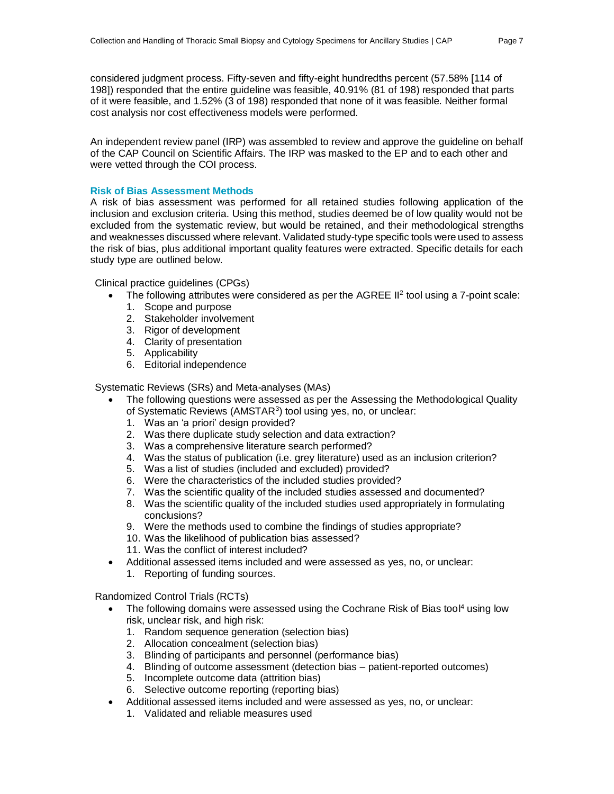considered judgment process. Fifty-seven and fifty-eight hundredths percent (57.58% [114 of 198]) responded that the entire guideline was feasible, 40.91% (81 of 198) responded that parts of it were feasible, and 1.52% (3 of 198) responded that none of it was feasible. Neither formal cost analysis nor cost effectiveness models were performed.

An independent review panel (IRP) was assembled to review and approve the guideline on behalf of the CAP Council on Scientific Affairs. The IRP was masked to the EP and to each other and were vetted through the COI process.

#### **Risk of Bias Assessment Methods**

A risk of bias assessment was performed for all retained studies following application of the inclusion and exclusion criteria. Using this method, studies deemed be of low quality would not be excluded from the systematic review, but would be retained, and their methodological strengths and weaknesses discussed where relevant. Validated study-type specific tools were used to assess the risk of bias, plus additional important quality features were extracted. Specific details for each study type are outlined below.

Clinical practice guidelines (CPGs)

- The following attributes were considered as per the AGREE II<sup>2</sup> tool using a 7-point scale:
	- 1. Scope and purpose
	- 2. Stakeholder involvement
	- 3. Rigor of development
	- 4. Clarity of presentation
	- 5. Applicability
	- 6. Editorial independence

Systematic Reviews (SRs) and Meta-analyses (MAs)

- The following questions were assessed as per the Assessing the Methodological Quality of Systematic Reviews (AMSTAR<sup>3</sup>) tool using yes, no, or unclear:
	- 1. Was an 'a priori' design provided?
	- 2. Was there duplicate study selection and data extraction?
	- 3. Was a comprehensive literature search performed?
	- 4. Was the status of publication (i.e. grey literature) used as an inclusion criterion?
	- 5. Was a list of studies (included and excluded) provided?
	- 6. Were the characteristics of the included studies provided?
	- 7. Was the scientific quality of the included studies assessed and documented?
	- 8. Was the scientific quality of the included studies used appropriately in formulating conclusions?
	- 9. Were the methods used to combine the findings of studies appropriate?
	- 10. Was the likelihood of publication bias assessed?
	- 11. Was the conflict of interest included?
	- Additional assessed items included and were assessed as yes, no, or unclear: 1. Reporting of funding sources.

Randomized Control Trials (RCTs)

- The following domains were assessed using the Cochrane Risk of Bias tool<sup>4</sup> using low risk, unclear risk, and high risk:
	- 1. Random sequence generation (selection bias)
	- 2. Allocation concealment (selection bias)
	- 3. Blinding of participants and personnel (performance bias)
	- 4. Blinding of outcome assessment (detection bias patient-reported outcomes)
	- 5. Incomplete outcome data (attrition bias)
	- 6. Selective outcome reporting (reporting bias)
- Additional assessed items included and were assessed as yes, no, or unclear:
	- 1. Validated and reliable measures used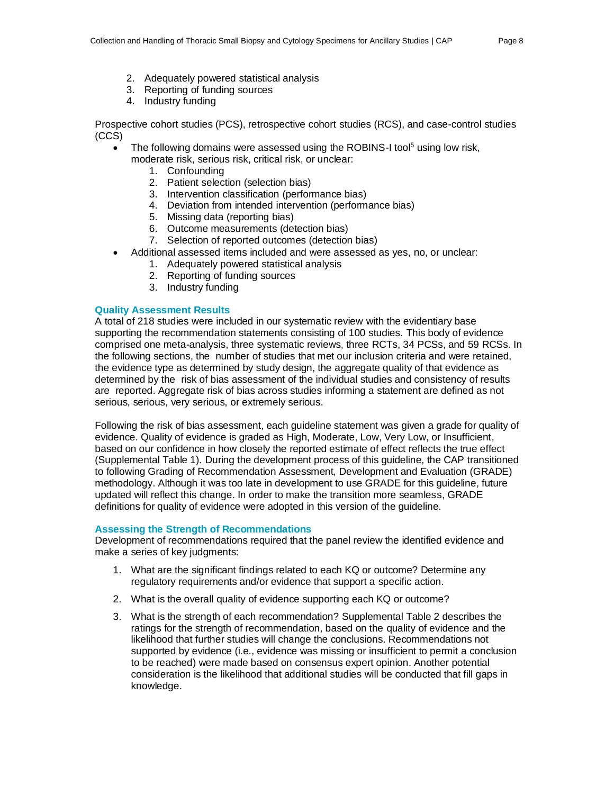- 2. Adequately powered statistical analysis
- 3. Reporting of funding sources
- 4. Industry funding

Prospective cohort studies (PCS), retrospective cohort studies (RCS), and case-control studies (CCS)

- The following domains were assessed using the ROBINS-I tool<sup>5</sup> using low risk,
	- moderate risk, serious risk, critical risk, or unclear:
		- 1. Confounding
		- 2. Patient selection (selection bias)
		- 3. Intervention classification (performance bias)
		- 4. Deviation from intended intervention (performance bias)
		- 5. Missing data (reporting bias)
		- 6. Outcome measurements (detection bias)
		- 7. Selection of reported outcomes (detection bias)
- Additional assessed items included and were assessed as yes, no, or unclear:
	- 1. Adequately powered statistical analysis
	- 2. Reporting of funding sources
	- 3. Industry funding

#### **Quality Assessment Results**

A total of 218 studies were included in our systematic review with the evidentiary base supporting the recommendation statements consisting of 100 studies. This body of evidence comprised one meta-analysis, three systematic reviews, three RCTs, 34 PCSs, and 59 RCSs. In the following sections, the number of studies that met our inclusion criteria and were retained, the evidence type as determined by study design, the aggregate quality of that evidence as determined by the risk of bias assessment of the individual studies and consistency of results are reported. Aggregate risk of bias across studies informing a statement are defined as not serious, serious, very serious, or extremely serious.

Following the risk of bias assessment, each guideline statement was given a grade for quality of evidence. Quality of evidence is graded as High, Moderate, Low, Very Low, or Insufficient, based on our confidence in how closely the reported estimate of effect reflects the true effect (Supplemental Table 1). During the development process of this guideline, the CAP transitioned to following Grading of Recommendation Assessment, Development and Evaluation (GRADE) methodology. Although it was too late in development to use GRADE for this guideline, future updated will reflect this change. In order to make the transition more seamless, GRADE definitions for quality of evidence were adopted in this version of the guideline.

#### **Assessing the Strength of Recommendations**

Development of recommendations required that the panel review the identified evidence and make a series of key judgments:

- 1. What are the significant findings related to each KQ or outcome? Determine any regulatory requirements and/or evidence that support a specific action.
- 2. What is the overall quality of evidence supporting each KQ or outcome?
- 3. What is the strength of each recommendation? Supplemental Table 2 describes the ratings for the strength of recommendation, based on the quality of evidence and the likelihood that further studies will change the conclusions. Recommendations not supported by evidence (i.e., evidence was missing or insufficient to permit a conclusion to be reached) were made based on consensus expert opinion. Another potential consideration is the likelihood that additional studies will be conducted that fill gaps in knowledge.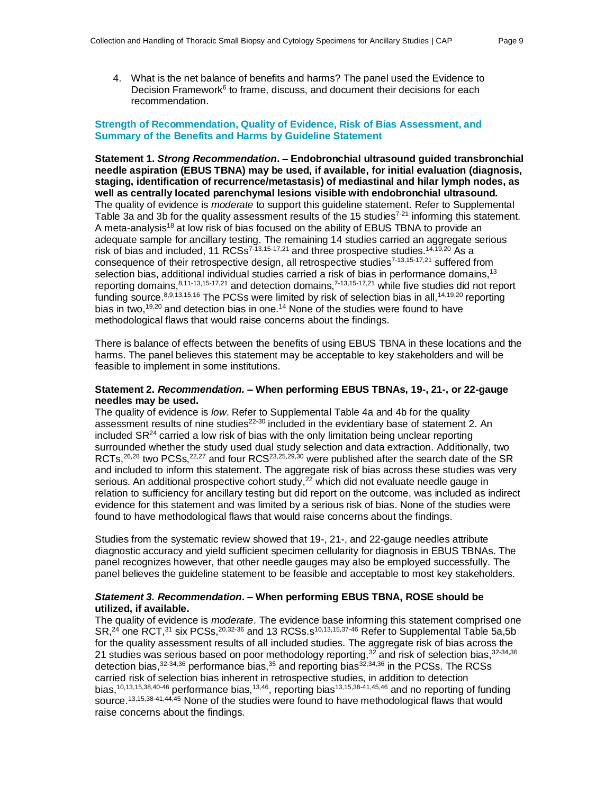4. What is the net balance of benefits and harms? The panel used the Evidence to Decision Framework<sup>6</sup> to frame, discuss, and document their decisions for each recommendation.

#### **Strength of Recommendation, Quality of Evidence, Risk of Bias Assessment, and Summary of the Benefits and Harms by Guideline Statement**

**Statement 1.** *Strong Recommendation***. – Endobronchial ultrasound guided transbronchial needle aspiration (EBUS TBNA) may be used, if available, for initial evaluation (diagnosis, staging, identification of recurrence/metastasis) of mediastinal and hilar lymph nodes, as well as centrally located parenchymal lesions visible with endobronchial ultrasound.** The quality of evidence is *moderate* to support this guideline statement. Refer to Supplemental Table 3a and 3b for the quality assessment results of the 15 studies<sup>7-21</sup> informing this statement. A meta-analysis<sup>18</sup> at low risk of bias focused on the ability of EBUS TBNA to provide an adequate sample for ancillary testing. The remaining 14 studies carried an aggregate serious risk of bias and included, 11 RCSs<sup>7-13,15-17,21</sup> and three prospective studies.<sup>14,19,20</sup> As a consequence of their retrospective design, all retrospective studies<sup>7-13,15-17,21</sup> suffered from selection bias, additional individual studies carried a risk of bias in performance domains, $13$ reporting domains, 8,11-13,15-17,21 and detection domains, 7-13,15-17,21 while five studies did not report funding source.<sup>8,9,13,15,16</sup> The PCSs were limited by risk of selection bias in all,<sup>14,19,20</sup> reporting bias in two,<sup>19,20</sup> and detection bias in one.<sup>14</sup> None of the studies were found to have methodological flaws that would raise concerns about the findings.

There is balance of effects between the benefits of using EBUS TBNA in these locations and the harms. The panel believes this statement may be acceptable to key stakeholders and will be feasible to implement in some institutions.

#### **Statement 2.** *Recommendation.* **– When performing EBUS TBNAs, 19-, 21-, or 22-gauge needles may be used.**

The quality of evidence is *low*. Refer to Supplemental Table 4a and 4b for the quality assessment results of nine studies<sup>22-30</sup> included in the evidentiary base of statement 2. An included  $S\mathsf{R}^{24}$  carried a low risk of bias with the only limitation being unclear reporting surrounded whether the study used dual study selection and data extraction. Additionally, two RCTs,<sup>26,28</sup> two PCSs,<sup>22,27</sup> and four RCS<sup>23,25,29,30</sup> were published after the search date of the SR and included to inform this statement. The aggregate risk of bias across these studies was very serious. An additional prospective cohort study,<sup>22</sup> which did not evaluate needle gauge in relation to sufficiency for ancillary testing but did report on the outcome, was included as indirect evidence for this statement and was limited by a serious risk of bias. None of the studies were found to have methodological flaws that would raise concerns about the findings.

Studies from the systematic review showed that 19-, 21-, and 22-gauge needles attribute diagnostic accuracy and yield sufficient specimen cellularity for diagnosis in EBUS TBNAs. The panel recognizes however, that other needle gauges may also be employed successfully. The panel believes the guideline statement to be feasible and acceptable to most key stakeholders.

#### *Statement 3. Recommendation***. – When performing EBUS TBNA, ROSE should be utilized, if available.**

The quality of evidence is *moderate*. The evidence base informing this statement comprised one SR,<sup>24</sup> one RCT,<sup>31</sup> six PCSs,<sup>20,32-36</sup> and 13 RCSs.s<sup>10,13,15,37-46</sup> Refer to Supplemental Table 5a,5b for the quality assessment results of all included studies. The aggregate risk of bias across the 21 studies was serious based on poor methodology reporting, $^{32}$  and risk of selection bias, $^{32\text{-}34,36}$ detection bias, $32.34,36$  performance bias, $35$  and reporting bias $32.34,36$  in the PCSs. The RCSs carried risk of selection bias inherent in retrospective studies, in addition to detection bias,<sup>10,13,15,38,40-46</sup> performance bias,<sup>13,46</sup>, reporting bias<sup>13,15,38-41,45,46</sup> and no reporting of funding source.<sup>13,15,38-41,44,45</sup> None of the studies were found to have methodological flaws that would raise concerns about the findings.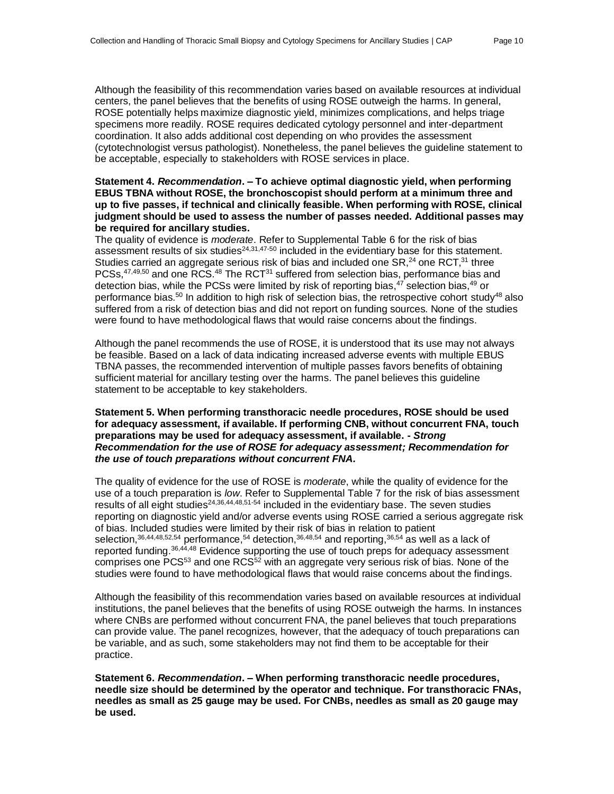Although the feasibility of this recommendation varies based on available resources at individual centers, the panel believes that the benefits of using ROSE outweigh the harms. In general, ROSE potentially helps maximize diagnostic yield, minimizes complications, and helps triage specimens more readily. ROSE requires dedicated cytology personnel and inter-department coordination. It also adds additional cost depending on who provides the assessment (cytotechnologist versus pathologist). Nonetheless, the panel believes the guideline statement to be acceptable, especially to stakeholders with ROSE services in place.

#### **Statement 4.** *Recommendation***. – To achieve optimal diagnostic yield, when performing EBUS TBNA without ROSE, the bronchoscopist should perform at a minimum three and up to five passes, if technical and clinically feasible. When performing with ROSE, clinical judgment should be used to assess the number of passes needed. Additional passes may be required for ancillary studies.**

The quality of evidence is *moderate*. Refer to Supplemental Table 6 for the risk of bias assessment results of six studies<sup>24,31,47-50</sup> included in the evidentiary base for this statement. Studies carried an aggregate serious risk of bias and included one  $\text{SR},^{24}$  one  $\text{RCT},^{31}$  three PCSs,<sup>47,49,50</sup> and one RCS.<sup>48</sup> The RCT<sup>31</sup> suffered from selection bias, performance bias and detection bias, while the PCSs were limited by risk of reporting bias,<sup>47</sup> selection bias,<sup>49</sup> or performance bias.<sup>50</sup> In addition to high risk of selection bias, the retrospective cohort study<sup>48</sup> also suffered from a risk of detection bias and did not report on funding sources. None of the studies were found to have methodological flaws that would raise concerns about the findings.

Although the panel recommends the use of ROSE, it is understood that its use may not always be feasible. Based on a lack of data indicating increased adverse events with multiple EBUS TBNA passes, the recommended intervention of multiple passes favors benefits of obtaining sufficient material for ancillary testing over the harms. The panel believes this guideline statement to be acceptable to key stakeholders.

#### **Statement 5. When performing transthoracic needle procedures, ROSE should be used for adequacy assessment, if available. If performing CNB, without concurrent FNA, touch preparations may be used for adequacy assessment, if available. -** *Strong Recommendation for the use of ROSE for adequacy assessment; Recommendation for the use of touch preparations without concurrent FNA.*

The quality of evidence for the use of ROSE is *moderate*, while the quality of evidence for the use of a touch preparation is *low*. Refer to Supplemental Table 7 for the risk of bias assessment results of all eight studies<sup>24,36,44,48,51-54</sup> included in the evidentiary base. The seven studies reporting on diagnostic yield and/or adverse events using ROSE carried a serious aggregate risk of bias. Included studies were limited by their risk of bias in relation to patient selection,  $36,44,48,52,54$  performance,  $54$  detection,  $36,48,54$  and reporting,  $36,54$  as well as a lack of reported funding.<sup>36,44,48</sup> Evidence supporting the use of touch preps for adequacy assessment comprises one PCS<sup>53</sup> and one RCS<sup>52</sup> with an aggregate very serious risk of bias. None of the studies were found to have methodological flaws that would raise concerns about the findings.

Although the feasibility of this recommendation varies based on available resources at individual institutions, the panel believes that the benefits of using ROSE outweigh the harms. In instances where CNBs are performed without concurrent FNA, the panel believes that touch preparations can provide value. The panel recognizes, however, that the adequacy of touch preparations can be variable, and as such, some stakeholders may not find them to be acceptable for their practice.

**Statement 6.** *Recommendation***. – When performing transthoracic needle procedures, needle size should be determined by the operator and technique. For transthoracic FNAs, needles as small as 25 gauge may be used. For CNBs, needles as small as 20 gauge may be used.**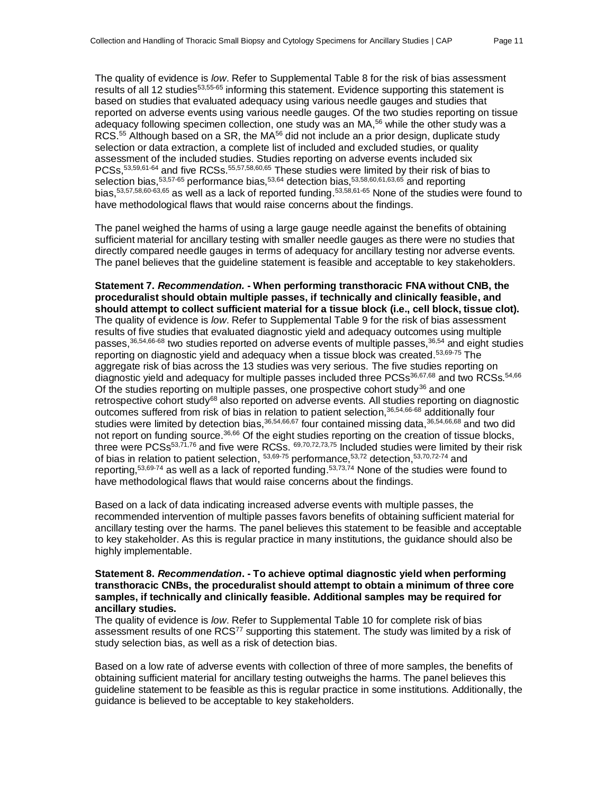The quality of evidence is *low*. Refer to Supplemental Table 8 for the risk of bias assessment results of all 12 studies<sup>53,55-65</sup> informing this statement. Evidence supporting this statement is based on studies that evaluated adequacy using various needle gauges and studies that reported on adverse events using various needle gauges. Of the two studies reporting on tissue adequacy following specimen collection, one study was an MA,<sup>56</sup> while the other study was a RCS.<sup>55</sup> Although based on a SR, the MA<sup>56</sup> did not include an a prior design, duplicate study selection or data extraction, a complete list of included and excluded studies, or quality assessment of the included studies. Studies reporting on adverse events included six PCSs,<sup>53,59,61-64</sup> and five RCSs.<sup>55,57,58,60,65</sup> These studies were limited by their risk of bias to selection bias,<sup>53,57-65</sup> performance bias,<sup>53,64</sup> detection bias,<sup>53,58,60,61,63,65</sup> and reporting bias,<sup>53,57,58,60-63,65</sup> as well as a lack of reported funding.<sup>53,58,61-65</sup> None of the studies were found to have methodological flaws that would raise concerns about the findings.

The panel weighed the harms of using a large gauge needle against the benefits of obtaining sufficient material for ancillary testing with smaller needle gauges as there were no studies that directly compared needle gauges in terms of adequacy for ancillary testing nor adverse events. The panel believes that the guideline statement is feasible and acceptable to key stakeholders.

**Statement 7.** *Recommendation.* **- When performing transthoracic FNA without CNB, the proceduralist should obtain multiple passes, if technically and clinically feasible, and should attempt to collect sufficient material for a tissue block (i.e., cell block, tissue clot).** The quality of evidence is *low*. Refer to Supplemental Table 9 for the risk of bias assessment results of five studies that evaluated diagnostic yield and adequacy outcomes using multiple passes,<sup>36,54,66-68</sup> two studies reported on adverse events of multiple passes,<sup>36,54</sup> and eight studies reporting on diagnostic yield and adequacy when a tissue block was created.<sup>53,69-75</sup> The aggregate risk of bias across the 13 studies was very serious. The five studies reporting on diagnostic yield and adequacy for multiple passes included three PCSs<sup>36,67,68</sup> and two RCSs.<sup>54,66</sup> Of the studies reporting on multiple passes, one prospective cohort study<sup>36</sup> and one retrospective cohort study<sup>68</sup> also reported on adverse events. All studies reporting on diagnostic outcomes suffered from risk of bias in relation to patient selection,<sup>36,54,66-68</sup> additionally four studies were limited by detection bias, 36,54,66,67 four contained missing data, 36,54,66,68 and two did not report on funding source.<sup>36,66</sup> Of the eight studies reporting on the creation of tissue blocks, three were PCSs<sup>53,71,76</sup> and five were RCSs.  $69,70,72,73,75$  included studies were limited by their risk of bias in relation to patient selection, <sup>53,69-75</sup> performance, <sup>53,72</sup> detection, <sup>53,70,72-74</sup> and reporting,<sup>53,69-74</sup> as well as a lack of reported funding.<sup>53,73,74</sup> None of the studies were found to have methodological flaws that would raise concerns about the findings.

Based on a lack of data indicating increased adverse events with multiple passes, the recommended intervention of multiple passes favors benefits of obtaining sufficient material for ancillary testing over the harms. The panel believes this statement to be feasible and acceptable to key stakeholder. As this is regular practice in many institutions, the guidance should also be highly implementable.

#### **Statement 8.** *Recommendation***. - To achieve optimal diagnostic yield when performing transthoracic CNBs, the proceduralist should attempt to obtain a minimum of three core samples, if technically and clinically feasible. Additional samples may be required for ancillary studies.**

The quality of evidence is *low*. Refer to Supplemental Table 10 for complete risk of bias assessment results of one RCS<sup>77</sup> supporting this statement. The study was limited by a risk of study selection bias, as well as a risk of detection bias.

Based on a low rate of adverse events with collection of three of more samples, the benefits of obtaining sufficient material for ancillary testing outweighs the harms. The panel believes this guideline statement to be feasible as this is regular practice in some institutions. Additionally, the guidance is believed to be acceptable to key stakeholders.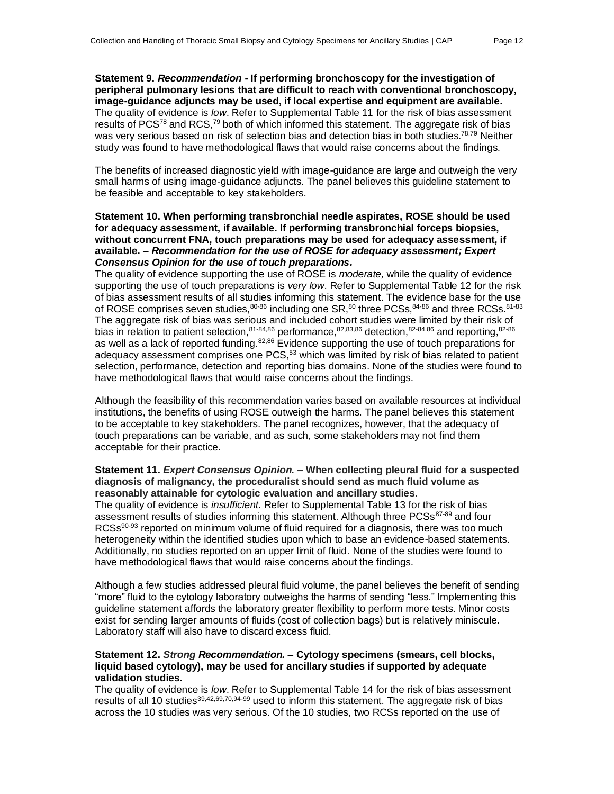**Statement 9.** *Recommendation* **- If performing bronchoscopy for the investigation of peripheral pulmonary lesions that are difficult to reach with conventional bronchoscopy, image-guidance adjuncts may be used, if local expertise and equipment are available.** The quality of evidence is *low*. Refer to Supplemental Table 11 for the risk of bias assessment results of PCS<sup>78</sup> and RCS,<sup>79</sup> both of which informed this statement. The aggregate risk of bias was very serious based on risk of selection bias and detection bias in both studies.<sup>78,79</sup> Neither study was found to have methodological flaws that would raise concerns about the findings.

The benefits of increased diagnostic yield with image-guidance are large and outweigh the very small harms of using image-guidance adjuncts. The panel believes this guideline statement to be feasible and acceptable to key stakeholders.

#### **Statement 10. When performing transbronchial needle aspirates, ROSE should be used for adequacy assessment, if available. If performing transbronchial forceps biopsies, without concurrent FNA, touch preparations may be used for adequacy assessment, if available. –** *Recommendation for the use of ROSE for adequacy assessment; Expert Consensus Opinion for the use of touch preparations.*

The quality of evidence supporting the use of ROSE is *moderate,* while the quality of evidence supporting the use of touch preparations is *very low*. Refer to Supplemental Table 12 for the risk of bias assessment results of all studies informing this statement. The evidence base for the use of ROSE comprises seven studies, $^{80\text{-}86}$  including one SR, $^{80}$  three PCSs, $^{84\text{-}86}$  and three RCSs. $^{81\text{-}83}$ The aggregate risk of bias was serious and included cohort studies were limited by their risk of bias in relation to patient selection, 81-84,86 performance, 82,83,86 detection, 82-84,86 and reporting, 82-86 as well as a lack of reported funding.<sup>82,86</sup> Evidence supporting the use of touch preparations for adequacy assessment comprises one  $PCS$ ,<sup>53</sup> which was limited by risk of bias related to patient selection, performance, detection and reporting bias domains. None of the studies were found to have methodological flaws that would raise concerns about the findings.

Although the feasibility of this recommendation varies based on available resources at individual institutions, the benefits of using ROSE outweigh the harms. The panel believes this statement to be acceptable to key stakeholders. The panel recognizes, however, that the adequacy of touch preparations can be variable, and as such, some stakeholders may not find them acceptable for their practice.

#### **Statement 11.** *Expert Consensus Opinion.* **– When collecting pleural fluid for a suspected diagnosis of malignancy, the proceduralist should send as much fluid volume as reasonably attainable for cytologic evaluation and ancillary studies.**

The quality of evidence is *insufficient*. Refer to Supplemental Table 13 for the risk of bias assessment results of studies informing this statement. Although three PCSs<sup>87-89</sup> and four  $RCS<sub>90-93</sub>$  reported on minimum volume of fluid required for a diagnosis, there was too much heterogeneity within the identified studies upon which to base an evidence-based statements. Additionally, no studies reported on an upper limit of fluid. None of the studies were found to have methodological flaws that would raise concerns about the findings.

Although a few studies addressed pleural fluid volume, the panel believes the benefit of sending "more" fluid to the cytology laboratory outweighs the harms of sending "less." Implementing this guideline statement affords the laboratory greater flexibility to perform more tests. Minor costs exist for sending larger amounts of fluids (cost of collection bags) but is relatively miniscule. Laboratory staff will also have to discard excess fluid.

#### **Statement 12.** *Strong Recommendation.* **– Cytology specimens (smears, cell blocks, liquid based cytology), may be used for ancillary studies if supported by adequate validation studies.**

The quality of evidence is *low*. Refer to Supplemental Table 14 for the risk of bias assessment results of all 10 studies<sup>39,42,69,70,94-99</sup> used to inform this statement. The aggregate risk of bias across the 10 studies was very serious. Of the 10 studies, two RCSs reported on the use of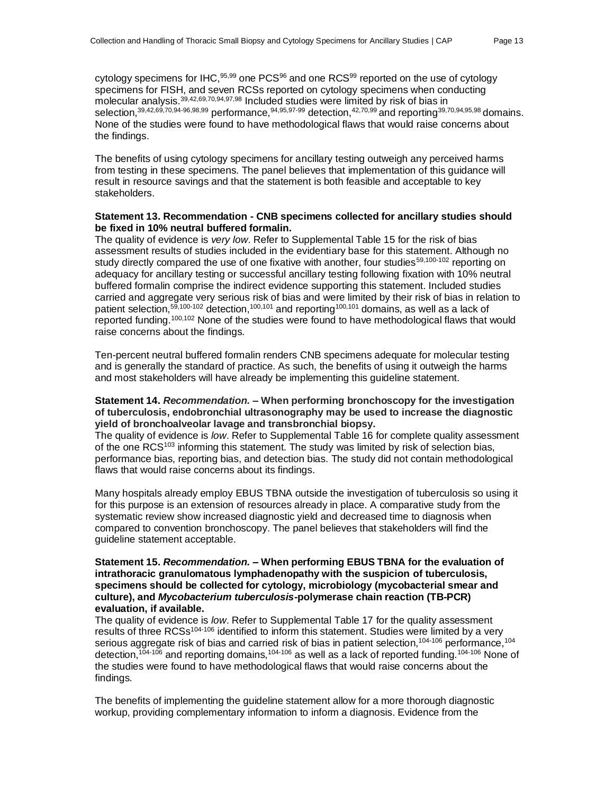cytology specimens for IHC,  $95,99$  one PCS $96$  and one RCS $99$  reported on the use of cytology specimens for FISH, and seven RCSs reported on cytology specimens when conducting molecular analysis.<sup>39,42,69,70,94,97,98</sup> Included studies were limited by risk of bias in selection,<sup>39,42,69,70,94-96,98,99</sup> performance,<sup>94,95,97-99</sup> detection,<sup>42,70,99</sup> and reporting<sup>39,70,94,95,98</sup> domains. None of the studies were found to have methodological flaws that would raise concerns about the findings.

The benefits of using cytology specimens for ancillary testing outweigh any perceived harms from testing in these specimens. The panel believes that implementation of this guidance will result in resource savings and that the statement is both feasible and acceptable to key stakeholders.

#### **Statement 13. Recommendation - CNB specimens collected for ancillary studies should be fixed in 10% neutral buffered formalin.**

The quality of evidence is *very low*. Refer to Supplemental Table 15 for the risk of bias assessment results of studies included in the evidentiary base for this statement. Although no study directly compared the use of one fixative with another, four studies<sup>59,100-102</sup> reporting on adequacy for ancillary testing or successful ancillary testing following fixation with 10% neutral buffered formalin comprise the indirect evidence supporting this statement. Included studies carried and aggregate very serious risk of bias and were limited by their risk of bias in relation to patient selection,<sup>59,100-102</sup> detection,<sup>100,101</sup> and reporting<sup>100,101</sup> domains, as well as a lack of reported funding.100,102 None of the studies were found to have methodological flaws that would raise concerns about the findings.

Ten-percent neutral buffered formalin renders CNB specimens adequate for molecular testing and is generally the standard of practice. As such, the benefits of using it outweigh the harms and most stakeholders will have already be implementing this guideline statement.

#### **Statement 14.** *Recommendation.* **– When performing bronchoscopy for the investigation of tuberculosis, endobronchial ultrasonography may be used to increase the diagnostic yield of bronchoalveolar lavage and transbronchial biopsy.**

The quality of evidence is *low*. Refer to Supplemental Table 16 for complete quality assessment of the one RCS<sup>103</sup> informing this statement. The study was limited by risk of selection bias, performance bias, reporting bias, and detection bias. The study did not contain methodological flaws that would raise concerns about its findings.

Many hospitals already employ EBUS TBNA outside the investigation of tuberculosis so using it for this purpose is an extension of resources already in place. A comparative study from the systematic review show increased diagnostic yield and decreased time to diagnosis when compared to convention bronchoscopy. The panel believes that stakeholders will find the guideline statement acceptable.

#### **Statement 15.** *Recommendation.* **– When performing EBUS TBNA for the evaluation of intrathoracic granulomatous lymphadenopathy with the suspicion of tuberculosis, specimens should be collected for cytology, microbiology (mycobacterial smear and culture), and** *Mycobacterium tuberculosis***-polymerase chain reaction (TB-PCR) evaluation, if available.**

The quality of evidence is *low*. Refer to Supplemental Table 17 for the quality assessment results of three RCSs<sup>104-106</sup> identified to inform this statement. Studies were limited by a very serious aggregate risk of bias and carried risk of bias in patient selection,<sup>104-106</sup> performance,<sup>104</sup> detection,  $104-106$  and reporting domains,  $104-106$  as well as a lack of reported funding.  $104-106$  None of the studies were found to have methodological flaws that would raise concerns about the findings.

The benefits of implementing the guideline statement allow for a more thorough diagnostic workup, providing complementary information to inform a diagnosis. Evidence from the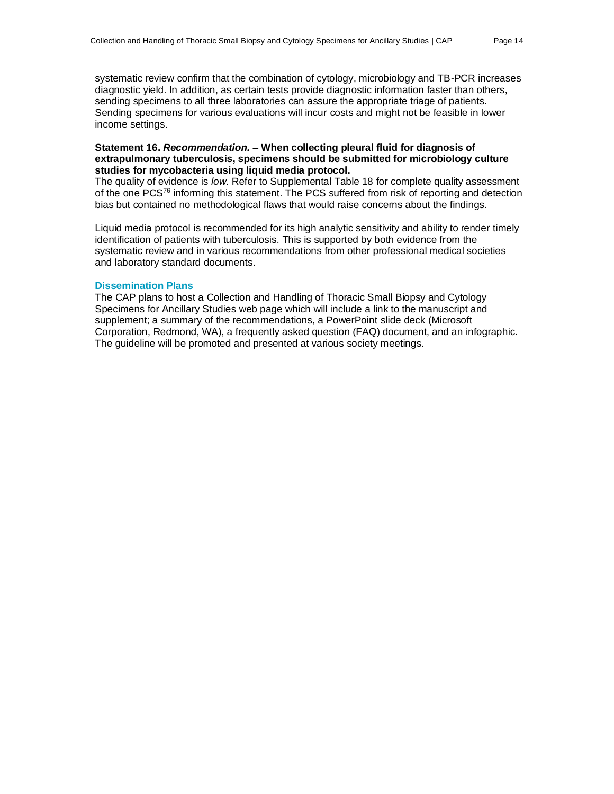systematic review confirm that the combination of cytology, microbiology and TB-PCR increases diagnostic yield. In addition, as certain tests provide diagnostic information faster than others, sending specimens to all three laboratories can assure the appropriate triage of patients. Sending specimens for various evaluations will incur costs and might not be feasible in lower income settings.

#### **Statement 16.** *Recommendation.* **– When collecting pleural fluid for diagnosis of extrapulmonary tuberculosis, specimens should be submitted for microbiology culture studies for mycobacteria using liquid media protocol.**

The quality of evidence is *low.* Refer to Supplemental Table 18 for complete quality assessment of the one PCS<sup>76</sup> informing this statement. The PCS suffered from risk of reporting and detection bias but contained no methodological flaws that would raise concerns about the findings.

Liquid media protocol is recommended for its high analytic sensitivity and ability to render timely identification of patients with tuberculosis. This is supported by both evidence from the systematic review and in various recommendations from other professional medical societies and laboratory standard documents.

#### **Dissemination Plans**

The CAP plans to host a Collection and Handling of Thoracic Small Biopsy and Cytology Specimens for Ancillary Studies web page which will include a link to the manuscript and supplement; a summary of the recommendations, a PowerPoint slide deck (Microsoft Corporation, Redmond, WA), a frequently asked question (FAQ) document, and an infographic. The guideline will be promoted and presented at various society meetings.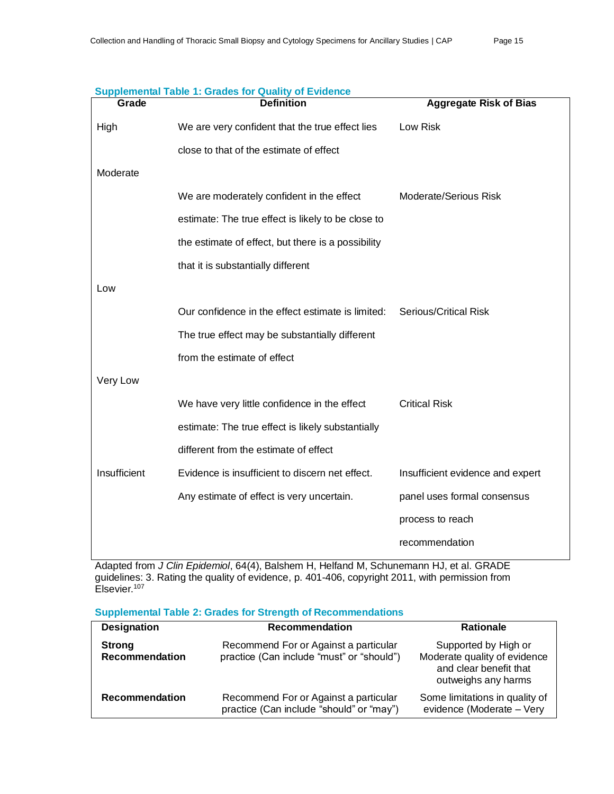| Grade        | <b>Definition</b>                                  | <b>Aggregate Risk of Bias</b>    |
|--------------|----------------------------------------------------|----------------------------------|
| High         | We are very confident that the true effect lies    | Low Risk                         |
|              | close to that of the estimate of effect            |                                  |
| Moderate     |                                                    |                                  |
|              | We are moderately confident in the effect          | <b>Moderate/Serious Risk</b>     |
|              | estimate: The true effect is likely to be close to |                                  |
|              | the estimate of effect, but there is a possibility |                                  |
|              | that it is substantially different                 |                                  |
| Low          |                                                    |                                  |
|              | Our confidence in the effect estimate is limited:  | <b>Serious/Critical Risk</b>     |
|              | The true effect may be substantially different     |                                  |
|              | from the estimate of effect                        |                                  |
| Very Low     |                                                    |                                  |
|              | We have very little confidence in the effect       | <b>Critical Risk</b>             |
|              | estimate: The true effect is likely substantially  |                                  |
|              | different from the estimate of effect              |                                  |
| Insufficient | Evidence is insufficient to discern net effect.    | Insufficient evidence and expert |
|              | Any estimate of effect is very uncertain.          | panel uses formal consensus      |
|              |                                                    | process to reach                 |
|              |                                                    | recommendation                   |

#### **Supplemental Table 1: Grades for Quality of Evidence**

Adapted from *J Clin Epidemiol*, 64(4), Balshem H, Helfand M, Schunemann HJ, et al. GRADE guidelines: 3. Rating the quality of evidence, p. 401-406, copyright 2011, with permission from Elsevier.<sup>107</sup>

| <b>Supplemental Table 2: Grades for Strength of Recommendations</b> |  |
|---------------------------------------------------------------------|--|
|---------------------------------------------------------------------|--|

| <b>Designation</b>                     | Recommendation                                                                     | <b>Rationale</b>                                                                                      |
|----------------------------------------|------------------------------------------------------------------------------------|-------------------------------------------------------------------------------------------------------|
| <b>Strong</b><br><b>Recommendation</b> | Recommend For or Against a particular<br>practice (Can include "must" or "should") | Supported by High or<br>Moderate quality of evidence<br>and clear benefit that<br>outweighs any harms |
| <b>Recommendation</b>                  | Recommend For or Against a particular<br>practice (Can include "should" or "may")  | Some limitations in quality of<br>evidence (Moderate - Very                                           |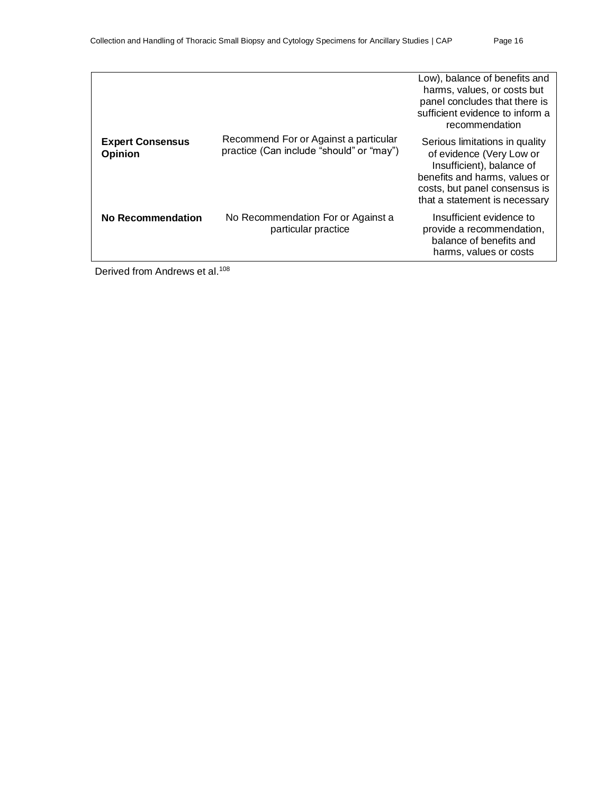|                                           |                                                                                   | Low), balance of benefits and<br>harms, values, or costs but<br>panel concludes that there is<br>sufficient evidence to inform a<br>recommendation                                         |
|-------------------------------------------|-----------------------------------------------------------------------------------|--------------------------------------------------------------------------------------------------------------------------------------------------------------------------------------------|
| <b>Expert Consensus</b><br><b>Opinion</b> | Recommend For or Against a particular<br>practice (Can include "should" or "may") | Serious limitations in quality<br>of evidence (Very Low or<br>Insufficient), balance of<br>benefits and harms, values or<br>costs, but panel consensus is<br>that a statement is necessary |
| No Recommendation                         | No Recommendation For or Against a<br>particular practice                         | Insufficient evidence to<br>provide a recommendation,<br>balance of benefits and<br>harms, values or costs                                                                                 |

Derived from Andrews et al.<sup>108</sup>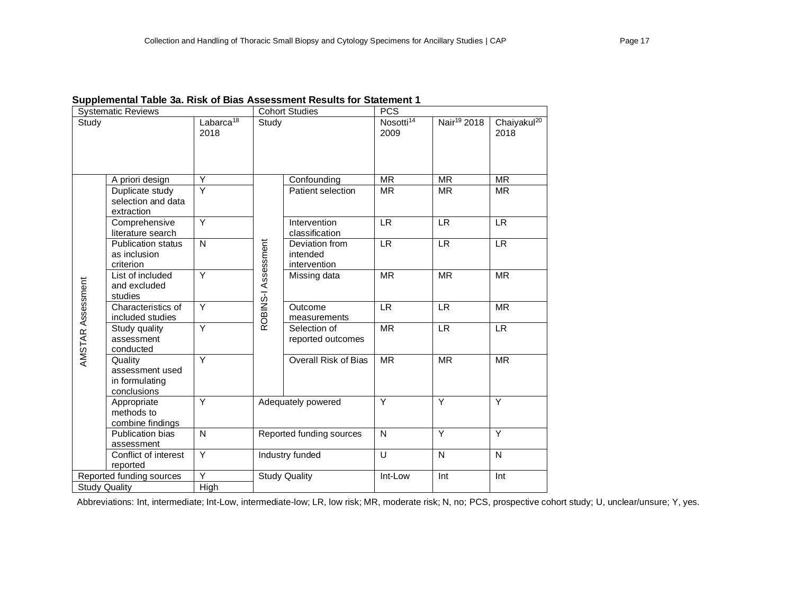| <b>Systematic Reviews</b> |                                                             |                         |                     | <b>Cohort Studies</b>                      | <b>PCS</b>                    |                         |                                 |  |
|---------------------------|-------------------------------------------------------------|-------------------------|---------------------|--------------------------------------------|-------------------------------|-------------------------|---------------------------------|--|
| Study                     | Labarca <sup>18</sup><br>2018                               |                         | Study               |                                            | Nosotti <sup>14</sup><br>2009 | Nair <sup>19</sup> 2018 | Chaiyakul <sup>20</sup><br>2018 |  |
|                           | A priori design                                             | Υ                       |                     | Confounding                                | <b>MR</b>                     | <b>MR</b>               | <b>MR</b>                       |  |
|                           | Duplicate study<br>selection and data<br>extraction         | $\overline{\mathsf{Y}}$ |                     | Patient selection                          | <b>MR</b>                     | <b>MR</b>               | <b>MR</b>                       |  |
| AMSTAR Assessment         | Comprehensive<br>literature search                          | Ÿ                       |                     | Intervention<br>classification             | <b>LR</b>                     | <b>LR</b>               | <b>LR</b>                       |  |
|                           | <b>Publication status</b><br>as inclusion<br>criterion      | N                       | ROBINS-I Assessment | Deviation from<br>intended<br>intervention | <b>LR</b>                     | <b>LR</b>               | <b>LR</b>                       |  |
|                           | List of included<br>and excluded<br>studies                 | Y                       |                     | Missing data                               | <b>MR</b>                     | <b>MR</b>               | <b>MR</b>                       |  |
|                           | Characteristics of<br>included studies                      | Y                       |                     | Outcome<br>measurements                    | <b>LR</b>                     | <b>LR</b>               | <b>MR</b>                       |  |
|                           | Study quality<br>assessment<br>conducted                    | Ÿ                       |                     | Selection of<br>reported outcomes          | <b>MR</b>                     | LR.                     | <b>LR</b>                       |  |
|                           | Quality<br>assessment used<br>in formulating<br>conclusions | Y                       |                     | <b>Overall Risk of Bias</b>                | <b>MR</b>                     | <b>MR</b>               | <b>MR</b>                       |  |
|                           | Appropriate<br>methods to<br>combine findings               | Y                       |                     | Adequately powered                         | Y                             | Y                       | Y                               |  |
|                           | Publication bias<br>assessment                              | N                       |                     | Reported funding sources                   | N                             | Y                       | Y                               |  |
|                           | Conflict of interest<br>reported                            | Y                       |                     | Industry funded                            | U                             | N                       | N                               |  |
|                           | Reported funding sources                                    | Ÿ                       |                     | <b>Study Quality</b>                       | Int-Low                       | Int                     | Int                             |  |
| <b>Study Quality</b>      |                                                             | High                    |                     |                                            |                               |                         |                                 |  |

# **Supplemental Table 3a. Risk of Bias Assessment Results for Statement 1**

Abbreviations: Int, intermediate; Int-Low, intermediate-low; LR, low risk; MR, moderate risk; N, no; PCS, prospective cohort study; U, unclear/unsure; Y, yes.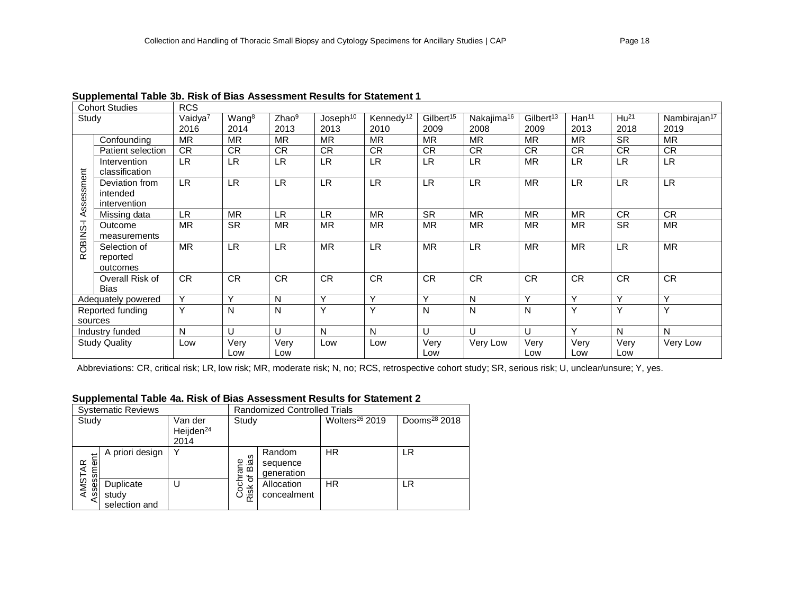|                | <b>Cohort Studies</b> | <b>RCS</b>          |                   |                   |                      |                       |                       |                        |                       |                   |           |                          |
|----------------|-----------------------|---------------------|-------------------|-------------------|----------------------|-----------------------|-----------------------|------------------------|-----------------------|-------------------|-----------|--------------------------|
| Study          |                       | Vaidya <sup>7</sup> | Wang <sup>8</sup> | Zhao <sup>9</sup> | Joseph <sup>10</sup> | Kennedy <sup>12</sup> | Gilbert <sup>15</sup> | Nakajima <sup>16</sup> | Gilbert <sup>13</sup> | Han <sup>11</sup> | $Hu^{21}$ | Nambirajan <sup>17</sup> |
|                |                       | 2016                | 2014              | 2013              | 2013                 | 2010                  | 2009                  | 2008                   | 2009                  | 2013              | 2018      | 2019                     |
|                | Confounding           | <b>MR</b>           | <b>MR</b>         | MR                | <b>MR</b>            | <b>MR</b>             | <b>MR</b>             | <b>MR</b>              | <b>MR</b>             | <b>MR</b>         | <b>SR</b> | <b>MR</b>                |
|                | Patient selection     | <b>CR</b>           | <b>CR</b>         | CR.               | CR.                  | <b>CR</b>             | CR.                   | <b>CR</b>              | CR.                   | <b>CR</b>         | <b>CR</b> | <b>CR</b>                |
|                | Intervention          | LR.                 | <b>LR</b>         | LR.               | <b>LR</b>            | <b>LR</b>             | LR.                   | <b>LR</b>              | <b>MR</b>             | <b>LR</b>         | <b>LR</b> | <b>LR</b>                |
|                | classification        |                     |                   |                   |                      |                       |                       |                        |                       |                   |           |                          |
| ssessment      | Deviation from        | <b>LR</b>           | <b>LR</b>         | <b>LR</b>         | LR.                  | <b>LR</b>             | LR.                   | <b>LR</b>              | <b>MR</b>             | <b>LR</b>         | <b>LR</b> | <b>LR</b>                |
|                | intended              |                     |                   |                   |                      |                       |                       |                        |                       |                   |           |                          |
|                | intervention          |                     |                   |                   |                      |                       |                       |                        |                       |                   |           |                          |
| ⋖              | Missing data          | <b>LR</b>           | <b>MR</b>         | LR.               | <b>LR</b>            | <b>MR</b>             | <b>SR</b>             | <b>MR</b>              | <b>MR</b>             | <b>MR</b>         | <b>CR</b> | <b>CR</b>                |
|                | Outcome               | <b>MR</b>           | <b>SR</b>         | <b>MR</b>         | <b>MR</b>            | <b>MR</b>             | <b>MR</b>             | <b>MR</b>              | <b>MR</b>             | <b>MR</b>         | <b>SR</b> | <b>MR</b>                |
|                | measurements          |                     |                   |                   |                      |                       |                       |                        |                       |                   |           |                          |
| <b>CBINS-I</b> | Selection of          | <b>MR</b>           | <b>LR</b>         | <b>LR</b>         | <b>MR</b>            | <b>LR</b>             | <b>MR</b>             | <b>LR</b>              | <b>MR</b>             | <b>MR</b>         | <b>LR</b> | <b>MR</b>                |
| $\alpha$       | reported              |                     |                   |                   |                      |                       |                       |                        |                       |                   |           |                          |
|                | outcomes              |                     |                   |                   |                      |                       |                       |                        |                       |                   |           |                          |
|                | Overall Risk of       | <b>CR</b>           | <b>CR</b>         | <b>CR</b>         | CR                   | <b>CR</b>             | <b>CR</b>             | <b>CR</b>              | ${\sf CR}$            | <b>CR</b>         | CR        | CR                       |
|                | <b>Bias</b>           |                     |                   |                   |                      |                       |                       |                        |                       |                   |           |                          |
|                | Adequately powered    | Y                   | Y                 | N                 | Y                    | Y                     | Y                     | N                      | Y                     | $\mathsf{v}$      | Y         | Y                        |
|                | Reported funding      | Y                   | N                 | N                 | Y                    | Y                     | N                     | N                      | N                     | Y                 | Y         | Y                        |
|                | sources               |                     |                   |                   |                      |                       |                       |                        |                       |                   |           |                          |
|                | Industry funded       | N                   | U                 | U                 | N                    | $\mathsf{N}$          | U                     | U                      | U                     | Y                 | N         | N                        |
|                | <b>Study Quality</b>  | Low                 | Very              | Very              | Low                  | Low                   | Very                  | Very Low               | Very                  | Very              | Very      | Very Low                 |
|                |                       |                     | Low               | Low               |                      |                       | Low                   |                        | Low                   | Low               | Low       |                          |

#### **Supplemental Table 3b. Risk of Bias Assessment Results for Statement 1**

Abbreviations: CR, critical risk; LR, low risk; MR, moderate risk; N, no; RCS, retrospective cohort study; SR, serious risk; U, unclear/unsure; Y, yes.

### **Supplemental Table 4a. Risk of Bias Assessment Results for Statement 2**

|            | <b>Systematic Reviews</b>           |                                          |                          | <b>Randomized Controlled Trials</b> |                            |                          |  |  |  |  |
|------------|-------------------------------------|------------------------------------------|--------------------------|-------------------------------------|----------------------------|--------------------------|--|--|--|--|
| Study      |                                     | Van der<br>Heijden <sup>24</sup><br>2014 | Study                    |                                     | Wolters <sup>26</sup> 2019 | Dooms <sup>28</sup> 2018 |  |  |  |  |
| Assessment | A priori design                     | Υ                                        | ဖ<br>ia<br>Ba<br>Ba<br>৳ | Random<br>sequence<br>generation    | <b>HR</b>                  | LR                       |  |  |  |  |
| AMSTAR     | Duplicate<br>study<br>selection and |                                          | Cochr<br>Risk            | Allocation<br>concealment           | HR.                        | LR                       |  |  |  |  |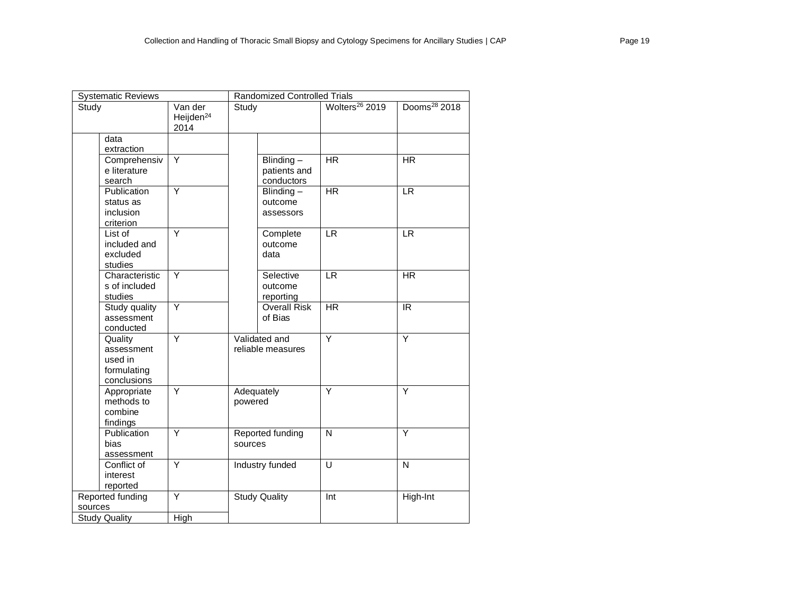| <b>Systematic Reviews</b>                                      |                                          | <b>Randomized Controlled Trials</b> |                                         |                            |                          |  |  |  |
|----------------------------------------------------------------|------------------------------------------|-------------------------------------|-----------------------------------------|----------------------------|--------------------------|--|--|--|
| Study                                                          | Van der<br>Heijden <sup>24</sup><br>2014 | Study                               |                                         | Wolters <sup>26</sup> 2019 | Dooms <sup>28</sup> 2018 |  |  |  |
| data<br>extraction                                             |                                          |                                     |                                         |                            |                          |  |  |  |
| Comprehensiv<br>e literature<br>search                         | Y                                        |                                     | Blinding-<br>patients and<br>conductors | <b>HR</b>                  | <b>HR</b>                |  |  |  |
| Publication<br>status as<br>inclusion<br>criterion             | $\overline{Y}$                           |                                     | Blinding $-$<br>outcome<br>assessors    | <b>HR</b>                  | <b>LR</b>                |  |  |  |
| List of<br>included and<br>excluded<br>studies                 | Y                                        |                                     | Complete<br>outcome<br>data             | $\ensuremath{\mathsf{LR}}$ | <b>LR</b>                |  |  |  |
| Characteristic<br>s of included<br>studies                     | Y                                        |                                     | Selective<br>outcome<br>reporting       | <b>LR</b>                  | <b>HR</b>                |  |  |  |
| Study quality<br>assessment<br>conducted                       | $\overline{Y}$                           |                                     | <b>Overall Risk</b><br>of Bias          | <b>HR</b>                  | IR                       |  |  |  |
| Quality<br>assessment<br>used in<br>formulating<br>conclusions | Y                                        |                                     | Validated and<br>reliable measures      | Y                          | Y                        |  |  |  |
| Appropriate<br>methods to<br>combine<br>findings               | Y                                        | Adequately<br>powered               |                                         | Y                          | Y                        |  |  |  |
| Publication<br>bias<br>assessment                              | Y                                        | Reported funding<br>sources         |                                         | N                          | Y                        |  |  |  |
| Conflict of<br>interest<br>reported                            | Y                                        |                                     | Industry funded                         | U                          | $\mathsf{N}$             |  |  |  |
| Reported funding<br>sources                                    | Y                                        |                                     | <b>Study Quality</b>                    | Int                        | High-Int                 |  |  |  |
| <b>Study Quality</b>                                           | High                                     |                                     |                                         |                            |                          |  |  |  |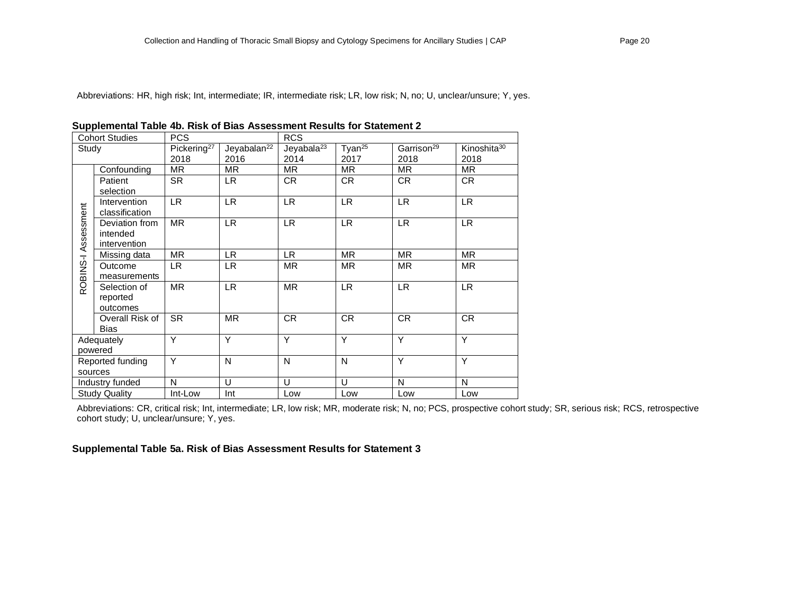Abbreviations: HR, high risk; Int, intermediate; IR, intermediate risk; LR, low risk; N, no; U, unclear/unsure; Y, yes.

| <b>Cohort Studies</b> |                      | <b>PCS</b>              |                         | <b>RCS</b>             |                    |                        |                         |  |
|-----------------------|----------------------|-------------------------|-------------------------|------------------------|--------------------|------------------------|-------------------------|--|
| Study                 |                      | Pickering <sup>27</sup> | Jeyabalan <sup>22</sup> | Jeyabala <sup>23</sup> | Tyan <sup>25</sup> | Garrison <sup>29</sup> | Kinoshita <sup>30</sup> |  |
|                       |                      | 2018                    | 2016                    | 2014                   | 2017               | 2018                   | 2018                    |  |
|                       | Confounding          | MR.                     | MR.                     | <b>MR</b>              | <b>MR</b>          | <b>MR</b>              | <b>MR</b>               |  |
|                       | Patient              | <b>SR</b>               | LR.                     | CR.                    | CR.                | <b>CR</b>              | CR.                     |  |
|                       | selection            |                         |                         |                        |                    |                        |                         |  |
|                       | Intervention         | LR.                     | <b>LR</b>               | LR.                    | LR.                | LR.                    | LR.                     |  |
|                       | classification       |                         |                         |                        |                    |                        |                         |  |
| ROBINS-I Assessment   | Deviation from       | <b>MR</b>               | <b>LR</b>               | <b>LR</b>              | <b>LR</b>          | <b>LR</b>              | LR.                     |  |
|                       | intended             |                         |                         |                        |                    |                        |                         |  |
|                       | intervention         |                         |                         |                        |                    |                        |                         |  |
|                       | Missing data         | <b>MR</b>               | LR.                     | LR.                    | <b>MR</b>          | <b>MR</b>              | <b>MR</b>               |  |
|                       | Outcome              | LR.                     | <b>LR</b>               | <b>MR</b>              | <b>MR</b>          | <b>MR</b>              | <b>MR</b>               |  |
|                       | measurements         |                         |                         |                        |                    |                        |                         |  |
|                       | Selection of         | <b>MR</b>               | <b>LR</b>               | <b>MR</b>              | LR.                | LR.                    | LR.                     |  |
|                       | reported             |                         |                         |                        |                    |                        |                         |  |
|                       | outcomes             |                         |                         |                        |                    |                        |                         |  |
|                       | Overall Risk of      | SR.                     | <b>MR</b>               | <b>CR</b>              | CR.                | <b>CR</b>              | <b>CR</b>               |  |
|                       | <b>Bias</b>          |                         |                         |                        |                    |                        |                         |  |
|                       | Adequately           | Y                       | Y                       | Y                      | Y                  | Y                      | Y                       |  |
|                       | powered              |                         |                         |                        |                    |                        |                         |  |
|                       | Reported funding     | Y                       | N                       | N                      | N                  | Y                      | Y                       |  |
|                       | sources              |                         |                         |                        |                    |                        |                         |  |
|                       | Industry funded      | N                       | U                       | U                      | U                  | N                      | N                       |  |
|                       | <b>Study Quality</b> | Int-Low                 | Int                     | Low                    | Low                | Low                    | Low                     |  |

Abbreviations: CR, critical risk; Int, intermediate; LR, low risk; MR, moderate risk; N, no; PCS, prospective cohort study; SR, serious risk; RCS, retrospective cohort study; U, unclear/unsure; Y, yes.

### **Supplemental Table 5a. Risk of Bias Assessment Results for Statement 3**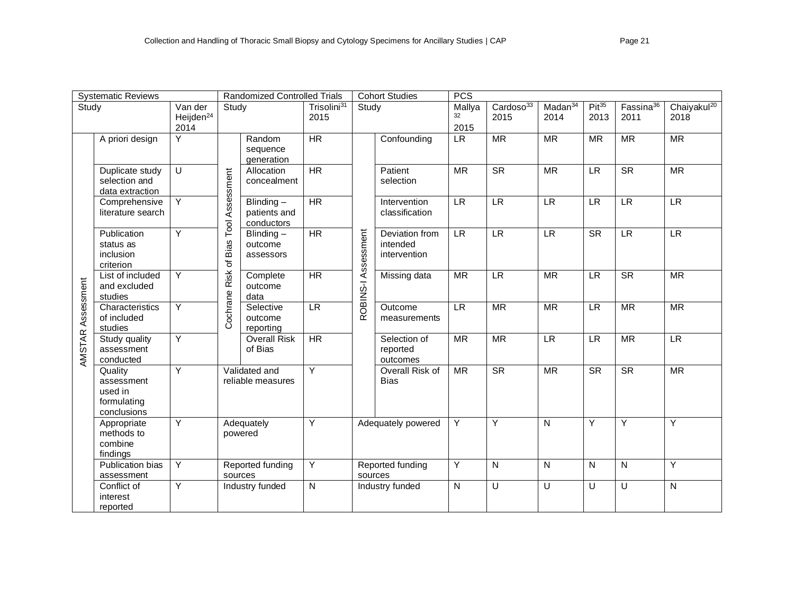| <b>Systematic Reviews</b> |                                                                | <b>Randomized Controlled Trials</b>      |                  |                                         | <b>Cohort Studies</b>                               |                                | PCS<br>Mallya                              |                            |                      |                             |                        |                               |                                 |
|---------------------------|----------------------------------------------------------------|------------------------------------------|------------------|-----------------------------------------|-----------------------------------------------------|--------------------------------|--------------------------------------------|----------------------------|----------------------|-----------------------------|------------------------|-------------------------------|---------------------------------|
| Study                     |                                                                | Van der<br>Heijden <sup>24</sup><br>2014 | Study            |                                         | Trisolini <sup>31</sup><br>2015                     |                                | Study                                      |                            | Cardoso $33$<br>2015 | Madan <sup>34</sup><br>2014 | $Pit^{35}$<br>2013     | Fassina <sup>36</sup><br>2011 | Chaiyakul <sup>20</sup><br>2018 |
|                           | A priori design                                                | Y                                        |                  | Random<br>sequence<br>generation        | <b>HR</b>                                           |                                | Confounding                                | $\ensuremath{\mathsf{LR}}$ | <b>MR</b>            | <b>MR</b>                   | <b>MR</b>              | <b>MR</b>                     | <b>MR</b>                       |
|                           | Duplicate study<br>selection and<br>data extraction            | U                                        | Assessment       | Allocation<br>concealment               | <b>HR</b>                                           |                                | Patient<br>selection                       | <b>MR</b>                  | <b>SR</b>            | <b>MR</b>                   | <b>LR</b>              | <b>SR</b>                     | <b>MR</b>                       |
|                           | Comprehensive<br>literature search                             | Y                                        | Tool.            | Blinding-<br>patients and<br>conductors | <b>HR</b>                                           |                                | Intervention<br>classification             | <b>LR</b>                  | <b>LR</b>            | <b>LR</b>                   | LR                     | $\overline{LR}$               | LR                              |
| AMSTAR Assessment         | Publication<br>status as<br>inclusion<br>criterion             | Y                                        | Bias             | Blinding-<br>outcome<br>assessors       | <b>HR</b>                                           |                                | Deviation from<br>intended<br>intervention | <b>LR</b>                  | <b>LR</b>            | <b>LR</b>                   | $\overline{\text{SR}}$ | $\overline{LR}$               | LR                              |
|                           | List of included<br>and excluded<br>studies                    | Y                                        | Cochrane Risk of | Complete<br>outcome<br>data             | ROBINS-I Assessment<br>$\overline{HR}$<br><b>LR</b> | Missing data                   | <b>MR</b>                                  | LR                         | <b>MR</b>            | LR                          | $\overline{\text{SR}}$ | $\overline{\mathsf{MR}}$      |                                 |
|                           | Characteristics<br>of included<br>studies                      | Y                                        |                  | Selective<br>outcome<br>reporting       |                                                     | Outcome<br>measurements        | <b>LR</b>                                  | <b>MR</b>                  | <b>MR</b>            | <b>LR</b>                   | <b>MR</b>              | <b>MR</b>                     |                                 |
|                           | Study quality<br>assessment<br>conducted                       | Y                                        |                  | <b>Overall Risk</b><br>of Bias          | $\overline{HR}$                                     |                                | Selection of<br>reported<br>outcomes       | <b>MR</b>                  | <b>MR</b>            | <b>LR</b>                   | <b>LR</b>              | <b>MR</b>                     | <b>LR</b>                       |
|                           | Quality<br>assessment<br>used in<br>formulating<br>conclusions | $\overline{Y}$                           |                  | Validated and<br>reliable measures      | $\overline{Y}$                                      | Overall Risk of<br><b>Bias</b> | MR                                         | $\overline{\text{SR}}$     | <b>MR</b>            | $\overline{\text{SR}}$      | S <sub>R</sub>         | $\overline{\mathsf{MR}}$      |                                 |
|                           | Appropriate<br>methods to<br>combine<br>findings               | Y                                        |                  | Adequately<br>powered                   | Y                                                   |                                | Adequately powered                         | Y                          | Y                    | N                           | Y                      | Y                             | Y                               |
|                           | Publication bias<br>assessment                                 | Y                                        | sources          | Reported funding                        | Y                                                   | sources                        | Reported funding                           | Y                          | N                    | $\mathsf{N}$                | N                      | N                             | Y                               |
|                           | Conflict of<br>interest<br>reported                            | Υ                                        |                  | Industry funded                         | N                                                   |                                | Industry funded                            | N                          | $\cup$               | U                           | U                      | U                             | N                               |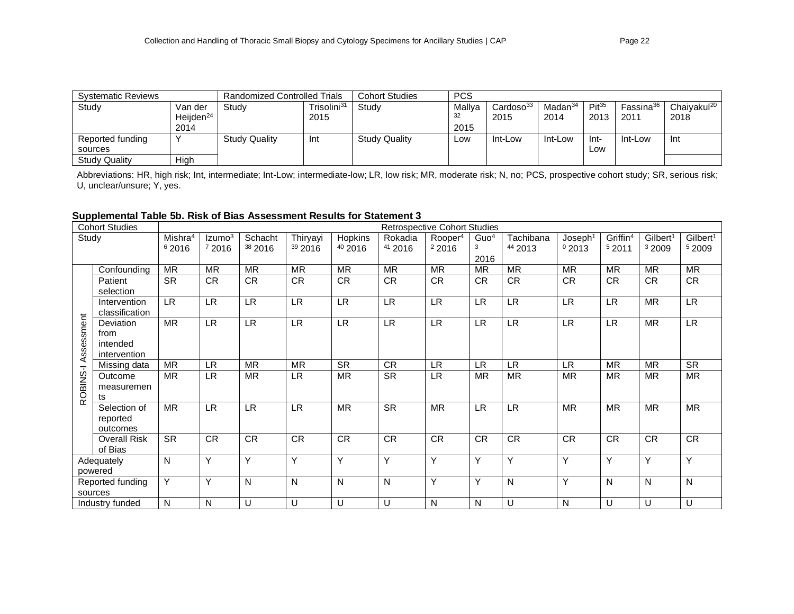| <b>Systematic Reviews</b> |                       | <b>Randomized Controlled Trials</b> |                         | <b>Cohort Studies</b> | <b>PCS</b> |                       |                     |            |                       |                         |
|---------------------------|-----------------------|-------------------------------------|-------------------------|-----------------------|------------|-----------------------|---------------------|------------|-----------------------|-------------------------|
| Study                     | Van der               | Study                               | Trisolini <sup>31</sup> | Study                 | Mallva     | Cardoso <sup>33</sup> | Madan <sup>34</sup> | $Pit^{35}$ | Fassina <sup>36</sup> | Chaiyakul <sup>20</sup> |
|                           | Heijden <sup>24</sup> |                                     | 2015                    |                       | 32         | 2015                  | 2014                | 2013       | 2011                  | 2018                    |
|                           | 2014                  |                                     |                         |                       | 2015       |                       |                     |            |                       |                         |
| Reported funding          | $\checkmark$          | <b>Study Quality</b>                | Int                     | <b>Study Quality</b>  | Low        | Int-Low               | Int-Low             | -Int       | Int-Low               | Int                     |
| sources                   |                       |                                     |                         |                       |            |                       |                     | Low        |                       |                         |
| <b>Study Quality</b>      | High                  |                                     |                         |                       |            |                       |                     |            |                       |                         |

Abbreviations: HR, high risk; Int, intermediate; Int-Low; intermediate-low; LR, Iow risk; MR, moderate risk; N, no; PCS, prospective cohort study; SR, serious risk; U, unclear/unsure; Y, yes.

# **Supplemental Table 5b. Risk of Bias Assessment Results for Statement 3**

| <b>Cohort Studies</b><br>Study |                                               |                              |                             |                    |                                |                               |                    | <b>Retrospective Cohort Studies</b> |                               |                                   |                              |                               |                                           |                                |
|--------------------------------|-----------------------------------------------|------------------------------|-----------------------------|--------------------|--------------------------------|-------------------------------|--------------------|-------------------------------------|-------------------------------|-----------------------------------|------------------------------|-------------------------------|-------------------------------------------|--------------------------------|
|                                |                                               | Mishra <sup>4</sup><br>62016 | Izumo <sup>3</sup><br>72016 | Schacht<br>38 2016 | Thiryayi<br><sup>39</sup> 2016 | Hopkins<br><sup>40</sup> 2016 | Rokadia<br>41 2016 | Rooper <sup>4</sup><br>22016        | Guo <sup>4</sup><br>3<br>2016 | Tachibana<br>44 2013              | Joseph <sup>1</sup><br>02013 | Griffin <sup>4</sup><br>52011 | Gilbert <sup>1</sup><br><sup>3</sup> 2009 | Gilbert <sup>1</sup><br>5 2009 |
|                                | Confounding                                   | <b>MR</b>                    | <b>MR</b>                   | <b>MR</b>          | <b>MR</b>                      | <b>MR</b>                     | <b>MR</b>          | <b>MR</b>                           | <b>MR</b>                     | <b>MR</b>                         | <b>MR</b>                    | <b>MR</b>                     | <b>MR</b>                                 | <b>MR</b>                      |
|                                | Patient<br>selection                          | <b>SR</b>                    | CR                          | CR                 | <b>CR</b>                      | <b>CR</b>                     | <b>CR</b>          | CR.                                 | <b>CR</b>                     | <b>CR</b>                         | <b>CR</b>                    | <b>CR</b>                     | <b>CR</b>                                 | <b>CR</b>                      |
|                                | Intervention<br>classification                | LR                           | LR.                         | <b>LR</b>          | <b>LR</b>                      | <b>LR</b>                     | <b>LR</b>          | $\ensuremath{\mathsf{LR}}$          | <b>LR</b>                     | $\ensuremath{\mathsf{LR}}\xspace$ | <b>LR</b>                    | <b>LR</b>                     | <b>MR</b>                                 | $\ensuremath{\mathsf{LR}}$     |
| Assessment                     | Deviation<br>from<br>intended<br>intervention | <b>MR</b>                    | <b>LR</b>                   | LR                 | LR                             | <b>LR</b>                     | <b>LR</b>          | <b>LR</b>                           | LR                            | <b>LR</b>                         | <b>LR</b>                    | <b>LR</b>                     | <b>MR</b>                                 | LR                             |
|                                | Missing data                                  | <b>MR</b>                    | <b>LR</b>                   | <b>MR</b>          | <b>MR</b>                      | <b>SR</b>                     | <b>CR</b>          | <b>LR</b>                           | <b>LR</b>                     | <b>LR</b>                         | <b>LR</b>                    | <b>MR</b>                     | <b>MR</b>                                 | <b>SR</b>                      |
| ROBINS-I                       | Outcome<br>measuremen<br>ts                   | <b>MR</b>                    | LR.                         | <b>MR</b>          | LR.                            | <b>MR</b>                     | <b>SR</b>          | <b>LR</b>                           | <b>MR</b>                     | <b>MR</b>                         | <b>MR</b>                    | <b>MR</b>                     | <b>MR</b>                                 | <b>MR</b>                      |
|                                | Selection of<br>reported<br>outcomes          | MR                           | <b>LR</b>                   | <b>LR</b>          | <b>LR</b>                      | <b>MR</b>                     | <b>SR</b>          | <b>MR</b>                           | <b>LR</b>                     | <b>LR</b>                         | <b>MR</b>                    | <b>MR</b>                     | <b>MR</b>                                 | <b>MR</b>                      |
|                                | <b>Overall Risk</b><br>of Bias                | <b>SR</b>                    | CR                          | CR                 | CR                             | ${\sf CR}$                    | <b>CR</b>          | <b>CR</b>                           | <b>CR</b>                     | <b>CR</b>                         | <b>CR</b>                    | <b>CR</b>                     | CR                                        | <b>CR</b>                      |
|                                | Adequately<br>powered                         | $\mathsf{N}$                 | Y                           | Y                  | Y                              | Y                             | Y                  | Y                                   | Y                             | Y                                 | Y                            | Y                             | Υ                                         | Y                              |
|                                | Reported funding<br>sources                   | $\overline{Y}$               | Y                           | N                  | N                              | N                             | N                  | Y                                   | Y                             | $\mathsf{N}$                      | Y                            | N                             | N                                         | N                              |
|                                | Industry funded                               | N                            | N                           | U                  | U                              | U                             | U                  | N                                   | N                             | U                                 | N                            | U                             | U                                         | U                              |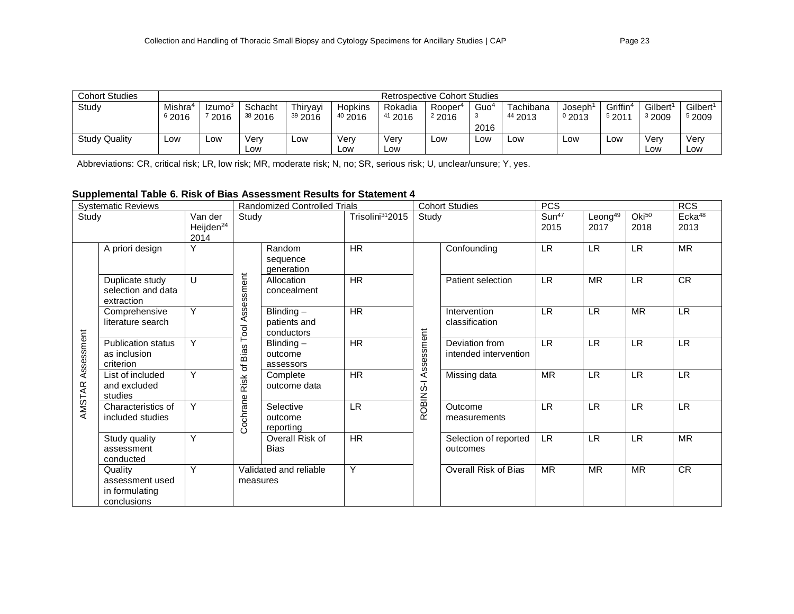| <b>Cohort Studies</b> | Retrospective Cohort Studies |                    |                    |                    |         |                    |                     |                  |                    |             |         |         |                      |
|-----------------------|------------------------------|--------------------|--------------------|--------------------|---------|--------------------|---------------------|------------------|--------------------|-------------|---------|---------|----------------------|
| Study                 | Mishra <sup>4</sup>          | Izumo <sup>3</sup> | Schacht            | Thiryayi           | Hopkins | Rokadia            | Rooper <sup>4</sup> | Guo <sup>4</sup> | Tachibana          | Joseph      | Griffin | Gilbert | Gilbert <sup>1</sup> |
|                       | <sup>6</sup> 2016            | 2016               | <sup>38</sup> 2016 | <sup>39</sup> 2016 | 402016  | <sup>41</sup> 2016 | 22016               | -3               | <sup>44</sup> 2013 | $^{0}$ 2013 | 5201'   | 32009   | <sup>5</sup> 2009    |
|                       |                              |                    |                    |                    |         |                    |                     | 2016             |                    |             |         |         |                      |
| <b>Study Quality</b>  | Low                          | ∟ow                | Verv               | LOW                | Verv    | Verv               | Low                 | LOW.             | ∟ow                | LOW         | Low     | Verv    | Verv                 |
|                       |                              |                    | LOW                |                    | Low     | Low                |                     |                  |                    |             |         | Low     | Low                  |

Abbreviations: CR, critical risk; LR, low risk; MR, moderate risk; N, no; SR, serious risk; U, unclear/unsure; Y, yes.

### **Supplemental Table 6. Risk of Bias Assessment Results for Statement 4**

| <b>Systematic Reviews</b> |                                                             |                                          |            | <b>Randomized Controlled Trials</b>     |                              |                     | <b>Cohort Studies</b>                   | <b>PCS</b>                |                             |                         | <b>RCS</b>                 |
|---------------------------|-------------------------------------------------------------|------------------------------------------|------------|-----------------------------------------|------------------------------|---------------------|-----------------------------------------|---------------------------|-----------------------------|-------------------------|----------------------------|
| Study                     |                                                             | Van der<br>Heijden <sup>24</sup><br>2014 | Study      |                                         | Trisolini <sup>31</sup> 2015 | Study               |                                         | Sun <sup>47</sup><br>2015 | Leong <sup>49</sup><br>2017 | O <sup>50</sup><br>2018 | Ecka <sup>48</sup><br>2013 |
|                           | A priori design                                             | Y                                        |            | Random<br>sequence<br>generation        | <b>HR</b>                    |                     | Confounding                             | <b>LR</b>                 | <b>LR</b>                   | <b>LR</b>               | <b>MR</b>                  |
|                           | Duplicate study<br>selection and data<br>extraction         | U                                        | Assessment | Allocation<br>concealment               | <b>HR</b>                    |                     | Patient selection                       | <b>LR</b>                 | <b>MR</b>                   | <b>LR</b>               | <b>CR</b>                  |
|                           | Comprehensive<br>literature search                          | Y                                        | Tool.      | Blinding-<br>patients and<br>conductors | <b>HR</b>                    |                     | Intervention<br>classification          | LR.                       | <b>LR</b>                   | <b>MR</b>               | <b>LR</b>                  |
| Assessment                | <b>Publication status</b><br>as inclusion<br>criterion      | Y                                        | of Bias    | Blinding $-$<br>outcome<br>assessors    | ${\sf HR}$                   | ROBINS-I Assessment | Deviation from<br>intended intervention | <b>LR</b>                 | <b>LR</b>                   | <b>LR</b>               | <b>LR</b>                  |
| AMSTAR                    | List of included<br>and excluded<br>studies                 | Y                                        | Risk       | Complete<br>outcome data                | HR                           |                     | Missing data                            | <b>MR</b>                 | <b>LR</b>                   | <b>LR</b>               | <b>LR</b>                  |
|                           | Characteristics of<br>included studies                      | Y                                        | Cochrane   | Selective<br>outcome<br>reporting       | $\ensuremath{\mathsf{LR}}$   |                     | Outcome<br>measurements                 | LR                        | <b>LR</b>                   | LR.                     | <b>LR</b>                  |
|                           | Study quality<br>assessment<br>conducted                    | Y                                        |            | Overall Risk of<br><b>Bias</b>          | <b>HR</b>                    |                     | Selection of reported<br>outcomes       | LR.                       | <b>LR</b>                   | LR.                     | <b>MR</b>                  |
|                           | Quality<br>assessment used<br>in formulating<br>conclusions | Y                                        | measures   | Validated and reliable                  | Y                            |                     | Overall Risk of Bias                    | <b>MR</b>                 | <b>MR</b>                   | <b>MR</b>               | CR                         |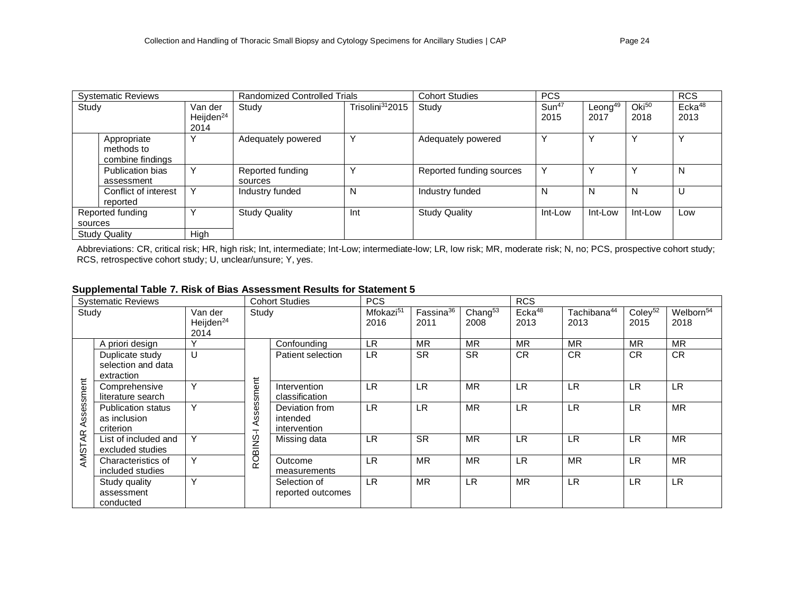| <b>Systematic Reviews</b> |                       | <b>Randomized Controlled Trials</b> |                              | <b>Cohort Studies</b>    | <b>PCS</b>        |                     |                 | <b>RCS</b>            |
|---------------------------|-----------------------|-------------------------------------|------------------------------|--------------------------|-------------------|---------------------|-----------------|-----------------------|
| Study                     | Van der               | Study                               | Trisolini <sup>31</sup> 2015 | Study                    | Sun <sup>47</sup> | Leong <sup>49</sup> | O <sup>50</sup> | $E$ cka <sup>48</sup> |
|                           | Heijden <sup>24</sup> |                                     |                              |                          | 2015              | 2017                | 2018            | 2013                  |
|                           | 2014                  |                                     |                              |                          |                   |                     |                 |                       |
| Appropriate               |                       | Adequately powered                  | Y                            | Adequately powered       |                   | $\checkmark$        | $\checkmark$    |                       |
| methods to                |                       |                                     |                              |                          |                   |                     |                 |                       |
| combine findings          |                       |                                     |                              |                          |                   |                     |                 |                       |
| Publication bias          | ٧                     | Reported funding                    | $\checkmark$                 | Reported funding sources | Υ                 | ٧                   | $\checkmark$    | N                     |
| assessment                |                       | sources                             |                              |                          |                   |                     |                 |                       |
| Conflict of interest      | $\checkmark$          | Industry funded                     | N                            | Industry funded          | N                 | N                   | N               | U                     |
| reported                  |                       |                                     |                              |                          |                   |                     |                 |                       |
| Reported funding          |                       | <b>Study Quality</b>                | Int                          | <b>Study Quality</b>     | Int-Low           | Int-Low             | Int-Low         | Low                   |
| sources                   |                       |                                     |                              |                          |                   |                     |                 |                       |
| <b>Study Quality</b>      | High                  |                                     |                              |                          |                   |                     |                 |                       |

Abbreviations: CR, critical risk; HR, high risk; Int, intermediate; Int-Low; intermediate-low; LR, low risk; MR, moderate risk; N, no; PCS, prospective cohort study; RCS, retrospective cohort study; U, unclear/unsure; Y, yes.

# **Supplemental Table 7. Risk of Bias Assessment Results for Statement 5**

|                         | <b>Systematic Reviews</b>                              |                                          |                                                   | <b>Cohort Studies</b>                      | <b>PCS</b>                    |                               |                             | <b>RCS</b>                 |                                 |                             |                               |
|-------------------------|--------------------------------------------------------|------------------------------------------|---------------------------------------------------|--------------------------------------------|-------------------------------|-------------------------------|-----------------------------|----------------------------|---------------------------------|-----------------------------|-------------------------------|
| Study                   |                                                        | Van der<br>Heijden <sup>24</sup><br>2014 | Study                                             |                                            | Mfokazi <sup>51</sup><br>2016 | Fassina <sup>36</sup><br>2011 | Chang <sup>53</sup><br>2008 | Ecka <sup>48</sup><br>2013 | Tachibana <sup>44</sup><br>2013 | Coley <sup>52</sup><br>2015 | Welborn <sup>54</sup><br>2018 |
|                         | A priori design                                        | v                                        |                                                   | Confounding                                | <b>LR</b>                     | <b>MR</b>                     | <b>MR</b>                   | <b>MR</b>                  | <b>MR</b>                       | <b>MR</b>                   | <b>MR</b>                     |
|                         | Duplicate study<br>selection and data<br>extraction    | U                                        |                                                   | Patient selection                          | <b>LR</b>                     | <b>SR</b>                     | <b>SR</b>                   | <b>CR</b>                  | <b>CR</b>                       | <b>CR</b>                   | <b>CR</b>                     |
| essment                 | Comprehensive<br>literature search                     | Υ                                        | sment                                             | Intervention<br>classification             | <b>LR</b>                     | LR                            | <b>MR</b>                   | <b>LR</b>                  | <b>LR</b>                       | <b>LR</b>                   | <b>LR</b>                     |
| $\overline{\mathbf{S}}$ | <b>Publication status</b><br>as inclusion<br>criterion | Υ                                        | <b>Ses</b><br>Ö)<br>⋖<br>$\overline{\phantom{0}}$ | Deviation from<br>intended<br>intervention | <b>LR</b>                     | <b>LR</b>                     | <b>MR</b>                   | <b>LR</b>                  | <b>LR</b>                       | <b>LR</b>                   | <b>MR</b>                     |
| <b>AMSTAR</b>           | List of included and<br>excluded studies               | Υ                                        | <b>ROBINS</b>                                     | Missing data                               | LR                            | <b>SR</b>                     | <b>MR</b>                   | <b>LR</b>                  | <b>LR</b>                       | <b>LR</b>                   | <b>MR</b>                     |
|                         | Characteristics of<br>included studies                 | Υ                                        |                                                   | Outcome<br>measurements                    | <b>LR</b>                     | <b>MR</b>                     | <b>MR</b>                   | LR                         | <b>MR</b>                       | <b>LR</b>                   | <b>MR</b>                     |
|                         | Study quality<br>assessment<br>conducted               | Y                                        |                                                   | Selection of<br>reported outcomes          | <b>LR</b>                     | <b>MR</b>                     | <b>LR</b>                   | <b>MR</b>                  | <b>LR</b>                       | <b>LR</b>                   | <b>LR</b>                     |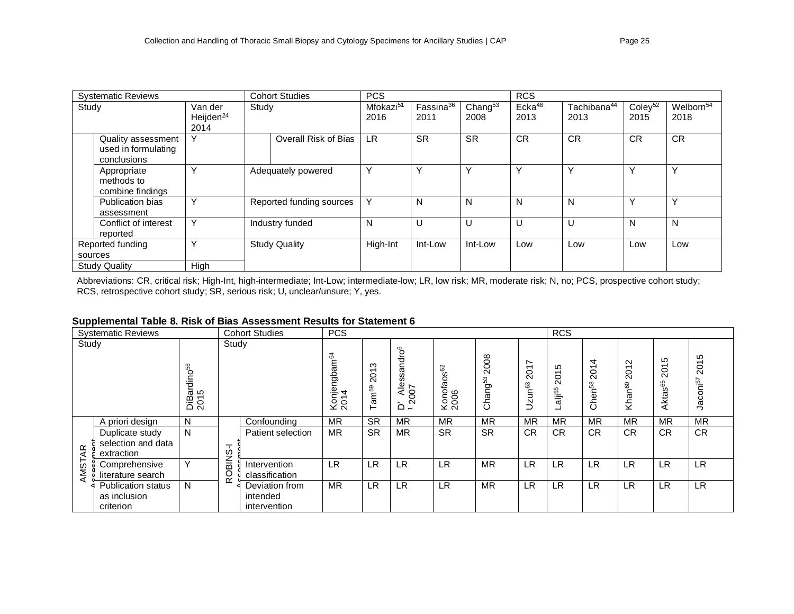| <b>Systematic Reviews</b>                         |                                                          |              | <b>Cohort Studies</b> |                          | <b>PCS</b>                    |                               |                    | <b>RCS</b>                 |                                 |                             |                               |
|---------------------------------------------------|----------------------------------------------------------|--------------|-----------------------|--------------------------|-------------------------------|-------------------------------|--------------------|----------------------------|---------------------------------|-----------------------------|-------------------------------|
| Study<br>Van der<br>Heijden <sup>24</sup><br>2014 |                                                          |              | Study                 |                          | Mfokazi <sup>51</sup><br>2016 | Fassina <sup>36</sup><br>2011 | Chang $53$<br>2008 | Ecka <sup>48</sup><br>2013 | Tachibana <sup>44</sup><br>2013 | Coley <sup>52</sup><br>2015 | Welborn <sup>54</sup><br>2018 |
|                                                   | Quality assessment<br>used in formulating<br>conclusions | $\checkmark$ |                       | Overall Risk of Bias     | <b>LR</b>                     | <b>SR</b>                     | <b>SR</b>          | <b>CR</b>                  | <b>CR</b>                       | <b>CR</b>                   | <b>CR</b>                     |
|                                                   | Appropriate<br>methods to<br>combine findings            | $\checkmark$ | Adequately powered    |                          | ν                             |                               | $\checkmark$       |                            | Υ                               |                             | v                             |
|                                                   | Publication bias<br>assessment                           | $\checkmark$ |                       | Reported funding sources | $\checkmark$                  | N                             | N                  | N                          | N                               |                             | $\checkmark$                  |
|                                                   | Conflict of interest<br>reported                         | $\checkmark$ | Industry funded       |                          | N                             | υ                             | U                  | U                          | U                               | N                           | N                             |
|                                                   | Reported funding                                         | v            | <b>Study Quality</b>  |                          | High-Int                      | Int-Low                       | Int-Low            | Low                        | Low                             | Low                         | Low                           |
| sources                                           |                                                          |              |                       |                          |                               |                               |                    |                            |                                 |                             |                               |
| High<br><b>Study Quality</b>                      |                                                          |              |                       |                          |                               |                               |                    |                            |                                 |                             |                               |

Abbreviations: CR, critical risk; High-Int, high-intermediate; Int-Low; intermediate-low; LR, low risk; MR, moderate risk; N, no; PCS, prospective cohort study; RCS, retrospective cohort study; SR, serious risk; U, unclear/unsure; Y, yes.

#### **Supplemental Table 8. Risk of Bias Assessment Results for Statement 6**

| . .<br><b>Systematic Reviews</b><br><b>Cohort Studies</b> |                                                        |                                              |               |                                            |                                  |                                   |                                             |                                   |                           |                                             | <b>RCS</b>                                       |                                                                        |                                                                                          |                                                                          |                                                                    |
|-----------------------------------------------------------|--------------------------------------------------------|----------------------------------------------|---------------|--------------------------------------------|----------------------------------|-----------------------------------|---------------------------------------------|-----------------------------------|---------------------------|---------------------------------------------|--------------------------------------------------|------------------------------------------------------------------------|------------------------------------------------------------------------------------------|--------------------------------------------------------------------------|--------------------------------------------------------------------|
| Study                                                     |                                                        | 56<br>$\circ$<br>ತ<br>ಕಂ<br><u>ติ</u><br>201 | Study         |                                            | Konjengbam <sup>64</sup><br>2014 | ო<br>201<br>eam <sub>s</sub><br>۳ | $\mathsf{S}^\mathsf{G}$<br>ssand<br>D' Ales | 8<br>$\omega$<br>Konofaos<br>2006 | 2008<br>ន<br>g<br>قع<br>ပ | Ľ<br>5<br>$\overline{\mathsf{N}}$<br>Uzun63 | ഗ<br>᠇<br>$\circ$<br>$\sim$<br>alli <sub>g</sub> | 4<br>$\overline{\phantom{0}}$<br>$\circ$<br>$\sim$<br>3<br>⊂<br>ē<br>ပ | $\mathbf{\Omega}$<br>$\overline{\phantom{0}}$<br>$\circ$<br>$\sim$<br>Khan <sup>60</sup> | 5<br>$\overline{\phantom{0}}$<br>○<br>$\sim$<br>8 <sup>65</sup><br>Akta: | Ю<br>$\overline{\phantom{0}}$<br>$\overline{c}$<br>risz<br>g<br>قب |
|                                                           | A priori design                                        | N                                            |               | Confounding                                | <b>MR</b>                        | <b>SR</b>                         | <b>MR</b>                                   | <b>MR</b>                         | <b>MR</b>                 | <b>MR</b>                                   | <b>MR</b>                                        | <b>MR</b>                                                              | <b>MR</b>                                                                                | <b>MR</b>                                                                | <b>MR</b>                                                          |
| $\overline{A}$                                            | Duplicate study<br>selection and data<br>extraction    | N                                            | ᅮ             | Patient selection                          | <b>MR</b>                        | <b>SR</b>                         | <b>MR</b>                                   | <b>SR</b>                         | <b>SR</b>                 | <b>CR</b>                                   | <b>CR</b>                                        | <b>CR</b>                                                              | <b>CR</b>                                                                                | <b>CR</b>                                                                | <b>CR</b>                                                          |
| AMST,                                                     | Comprehensive<br>literature search                     | Y                                            | <b>ROBINS</b> | Intervention<br>classification             | <b>LR</b>                        | LR                                | LR                                          | LR                                | <b>MR</b>                 | <b>LR</b>                                   | <b>LR</b>                                        | <b>LR</b>                                                              | <b>LR</b>                                                                                | <b>LR</b>                                                                | <b>LR</b>                                                          |
|                                                           | <b>Publication status</b><br>as inclusion<br>criterion | N.                                           |               | Deviation from<br>intended<br>intervention | <b>MR</b>                        | LR                                | LR                                          | LR                                | <b>MR</b>                 | <b>LR</b>                                   | <b>LR</b>                                        | <b>LR</b>                                                              | <b>LR</b>                                                                                | <b>LR</b>                                                                | <b>LR</b>                                                          |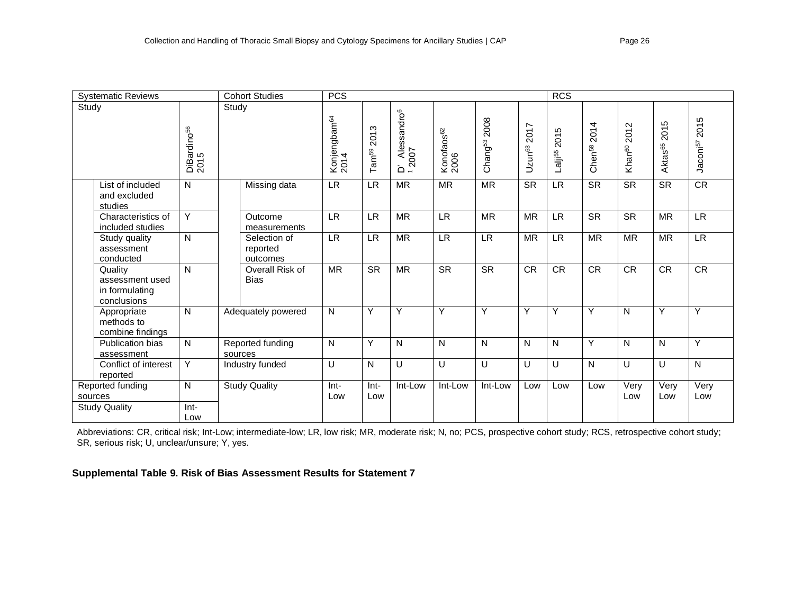| <b>Cohort Studies</b><br><b>PCS</b><br><b>Systematic Reviews</b> |                                 |                                      |                                  |                           |                                                |                                |                             | <b>RCS</b>                 |                             |                                |                                     |                                              |                              |
|------------------------------------------------------------------|---------------------------------|--------------------------------------|----------------------------------|---------------------------|------------------------------------------------|--------------------------------|-----------------------------|----------------------------|-----------------------------|--------------------------------|-------------------------------------|----------------------------------------------|------------------------------|
| Study                                                            | DiBardino <sup>56</sup><br>2015 | Study                                | Konjengbam <sup>64</sup><br>2014 | 2013<br>Tam <sup>59</sup> | D'Alessandro <sup>6</sup><br><sup>1</sup> 2007 | Konofaos <sup>62</sup><br>2006 | 2008<br>Chang <sup>53</sup> | 2017<br>Uzun <sup>63</sup> | 2015<br>Lalji <sup>55</sup> | 4<br>201<br>Chen <sup>58</sup> | $\sim$<br>201<br>Khan <sup>60</sup> | Ю<br>$\overline{201}$<br>Aktas <sup>65</sup> | 2015<br>Jaconi <sup>57</sup> |
| List of included<br>and excluded<br>studies                      | N                               | Missing data                         | <b>LR</b>                        | $\overline{LR}$           | <b>MR</b>                                      | $\overline{\mathsf{MR}}$       | $\overline{\mathsf{MR}}$    | $\overline{\text{SR}}$     | LR                          | $\overline{\text{SR}}$         | $\overline{\text{SR}}$              | $\overline{\text{SR}}$                       | CR                           |
| Characteristics of<br>included studies                           | Y                               | Outcome<br>measurements              | <b>LR</b>                        | <b>LR</b>                 | <b>MR</b>                                      | <b>LR</b>                      | <b>MR</b>                   | <b>MR</b>                  | <b>LR</b>                   | <b>SR</b>                      | <b>SR</b>                           | <b>MR</b>                                    | <b>LR</b>                    |
| Study quality<br>assessment<br>conducted                         | N                               | Selection of<br>reported<br>outcomes | <b>LR</b>                        | <b>LR</b>                 | <b>MR</b>                                      | <b>LR</b>                      | <b>LR</b>                   | <b>MR</b>                  | <b>LR</b>                   | <b>MR</b>                      | <b>MR</b>                           | <b>MR</b>                                    | <b>LR</b>                    |
| Quality<br>assessment used<br>in formulating<br>conclusions      | N                               | Overall Risk of<br><b>Bias</b>       | <b>MR</b>                        | <b>SR</b>                 | <b>MR</b>                                      | <b>SR</b>                      | <b>SR</b>                   | <b>CR</b>                  | <b>CR</b>                   | <b>CR</b>                      | <b>CR</b>                           | <b>CR</b>                                    | <b>CR</b>                    |
| Appropriate<br>methods to<br>combine findings                    | N                               | Adequately powered                   | N                                | Y                         | Y                                              | Y                              | Y                           | Y                          | Y                           | Y                              | $\mathsf{N}$                        | Y                                            | Y                            |
| Publication bias<br>assessment                                   | N                               | Reported funding<br>sources          | N                                | Y                         | N                                              | N                              | N                           | N                          | N                           | Y                              | $\mathsf{N}$                        | $\mathsf{N}$                                 | Y                            |
| Conflict of interest<br>reported                                 | Y                               | Industry funded                      | U                                | N                         | U                                              | U                              | U                           | $\cup$                     | U                           | $\mathsf{N}$                   | U                                   | U                                            | $\mathsf{N}$                 |
| Reported funding<br>sources                                      | N                               | <b>Study Quality</b>                 | $Int-$<br>Low                    | Int-<br>Low               | Int-Low                                        | Int-Low                        | Int-Low                     | Low                        | Low                         | Low                            | Very<br>Low                         | Very<br>Low                                  | Very<br>Low                  |
| <b>Study Quality</b>                                             | $Int-$<br>Low                   |                                      |                                  |                           |                                                |                                |                             |                            |                             |                                |                                     |                                              |                              |

Abbreviations: CR, critical risk; Int-Low; intermediate-low; LR, low risk; MR, moderate risk; N, no; PCS, prospective cohort study; RCS, retrospective cohort study; SR, serious risk; U, unclear/unsure; Y, yes.

# **Supplemental Table 9. Risk of Bias Assessment Results for Statement 7**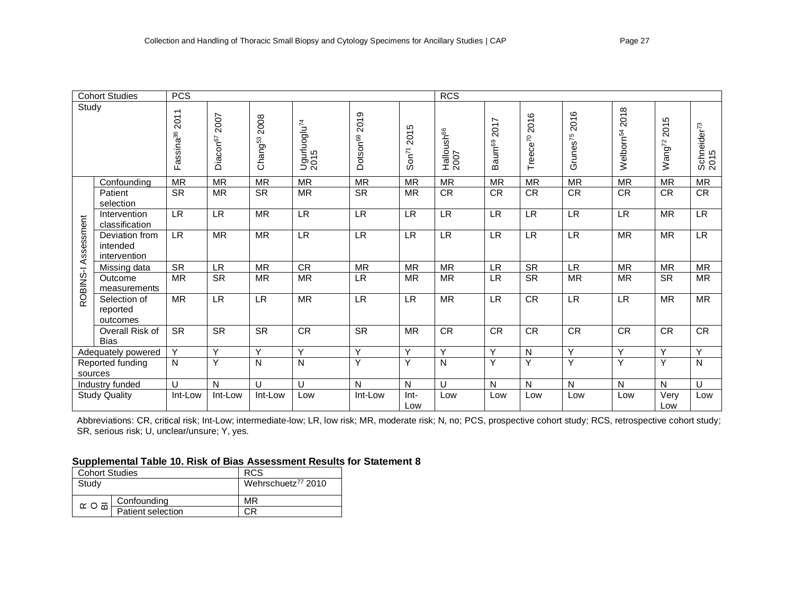| <b>Cohort Studies</b><br><b>PCS</b> |                                            |                            |                              |                             |                                  |                                    | <b>RCS</b>             |                                |                            |                        |                              |                              |                         |                                 |
|-------------------------------------|--------------------------------------------|----------------------------|------------------------------|-----------------------------|----------------------------------|------------------------------------|------------------------|--------------------------------|----------------------------|------------------------|------------------------------|------------------------------|-------------------------|---------------------------------|
| Study                               |                                            | Fassina <sup>36</sup> 2011 | 2007<br>Diacon <sup>67</sup> | 2008<br>Chang <sup>53</sup> | Ugurluoglu <sup>74</sup><br>2015 | 2019<br><b>Dotson<sup>68</sup></b> | 2015<br>$\text{Son}^7$ | Halloush <sup>66</sup><br>2007 | 2017<br>Baum <sup>69</sup> | 2016<br>Treece $^{70}$ | 2016<br>Grunes <sup>75</sup> | 2018<br>Welbom <sup>54</sup> | 2015<br>$W$ ang $^{72}$ | Schneider <sup>73</sup><br>2015 |
|                                     | Confounding                                | <b>MR</b>                  | <b>MR</b>                    | <b>MR</b>                   | <b>MR</b>                        | <b>MR</b>                          | <b>MR</b>              | <b>MR</b>                      | <b>MR</b>                  | <b>MR</b>              | <b>MR</b>                    | <b>MR</b>                    | <b>MR</b>               | <b>MR</b>                       |
|                                     | Patient<br>selection                       | <b>SR</b>                  | <b>MR</b>                    | <b>SR</b>                   | <b>MR</b>                        | <b>SR</b>                          | <b>MR</b>              | ${\sf CR}$                     | <b>CR</b>                  | <b>CR</b>              | <b>CR</b>                    | <b>CR</b>                    | <b>CR</b>               | CR                              |
|                                     | Intervention<br>classification             | <b>LR</b>                  | <b>LR</b>                    | <b>MR</b>                   | <b>LR</b>                        | <b>LR</b>                          | <b>LR</b>              | <b>LR</b>                      | <b>LR</b>                  | <b>LR</b>              | <b>LR</b>                    | <b>LR</b>                    | <b>MR</b>               | <b>LR</b>                       |
| Assessment                          | Deviation from<br>intended<br>intervention | <b>LR</b>                  | MR                           | <b>MR</b>                   | <b>LR</b>                        | <b>LR</b>                          | <b>LR</b>              | <b>LR</b>                      | <b>LR</b>                  | <b>LR</b>              | <b>LR</b>                    | <b>MR</b>                    | <b>MR</b>               | <b>LR</b>                       |
|                                     | Missing data                               | <b>SR</b>                  | <b>LR</b>                    | <b>MR</b>                   | CR                               | <b>MR</b>                          | <b>MR</b>              | <b>MR</b>                      | <b>LR</b>                  | <b>SR</b>              | <b>LR</b>                    | <b>MR</b>                    | <b>MR</b>               | <b>MR</b>                       |
| ROBINS-I                            | Outcome<br>measurements                    | <b>MR</b>                  | <b>SR</b>                    | <b>MR</b>                   | <b>MR</b>                        | <b>LR</b>                          | <b>MR</b>              | <b>MR</b>                      | <b>LR</b>                  | <b>SR</b>              | <b>MR</b>                    | <b>MR</b>                    | <b>SR</b>               | <b>MR</b>                       |
|                                     | Selection of<br>reported<br>outcomes       | <b>MR</b>                  | <b>LR</b>                    | <b>LR</b>                   | <b>MR</b>                        | <b>LR</b>                          | <b>LR</b>              | <b>MR</b>                      | <b>LR</b>                  | <b>CR</b>              | <b>LR</b>                    | <b>LR</b>                    | MR                      | <b>MR</b>                       |
|                                     | Overall Risk of<br><b>Bias</b>             | <b>SR</b>                  | <b>SR</b>                    | <b>SR</b>                   | CR                               | <b>SR</b>                          | <b>MR</b>              | ${\sf CR}$                     | <b>CR</b>                  | CR                     | ${\sf CR}$                   | CR                           | CR                      | <b>CR</b>                       |
|                                     | Adequately powered                         | Y                          | Y                            | Y                           | $\overline{Y}$                   | Y                                  | Y                      | Y                              | Y                          | $\mathsf{N}$           | Y                            | Y                            | Y                       | Y                               |
| sources                             | Reported funding                           | N                          | Υ                            | N                           | $\mathsf{N}$                     | Y                                  | Y                      | N                              | Υ                          | Y                      | Υ                            | Y                            | Υ                       | $\mathsf{N}$                    |
|                                     | Industry funded                            | $\cup$                     | N                            | $\cup$                      | U                                | N                                  | $\mathsf{N}$           | U                              | N                          | $\mathsf{N}$           | N                            | $\mathsf{N}$                 | N                       | U                               |
|                                     | <b>Study Quality</b>                       | Int-Low                    | Int-Low                      | Int-Low                     | Low                              | Int-Low                            | $Int-$<br>Low          | Low                            | Low                        | Low                    | Low                          | Low                          | Very<br>Low             | Low                             |

Abbreviations: CR, critical risk; Int-Low; intermediate-low; LR, low risk; MR, moderate risk; N, no; PCS, prospective cohort study; RCS, retrospective cohort study; SR, serious risk; U, unclear/unsure; Y, yes.

### **Supplemental Table 10. Risk of Bias Assessment Results for Statement 8**

| <b>Cohort Studies</b>     |                   | <b>RCS</b>                     |
|---------------------------|-------------------|--------------------------------|
| Study                     |                   | Wehrschuetz <sup>77</sup> 2010 |
|                           |                   |                                |
| $\alpha$ O $\overline{a}$ | Confounding       | MR                             |
|                           | Patient selection | СR                             |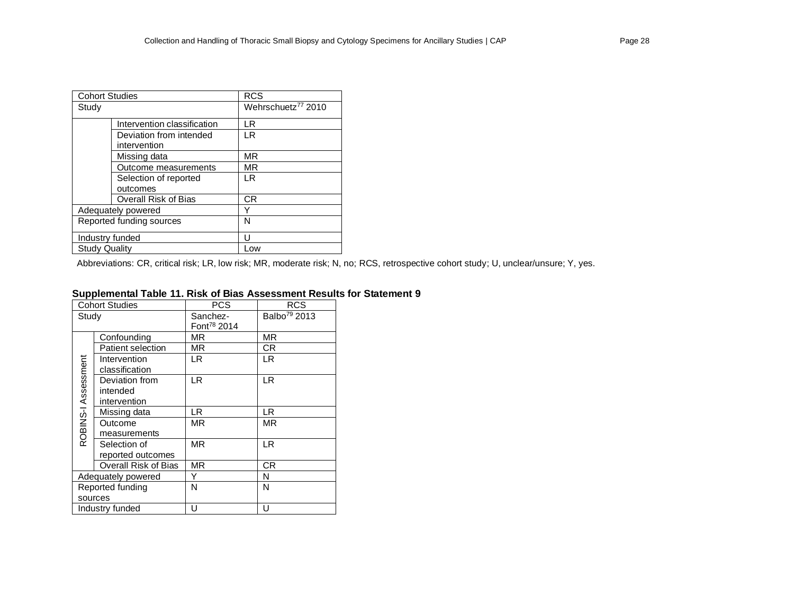| <b>Cohort Studies</b> |                                         | <b>RCS</b>                     |
|-----------------------|-----------------------------------------|--------------------------------|
| Study                 |                                         | Wehrschuetz <sup>77</sup> 2010 |
|                       | Intervention classification             | I R                            |
|                       | Deviation from intended<br>intervention | I R                            |
|                       | Missing data                            | MR                             |
|                       | Outcome measurements                    | MR                             |
|                       | Selection of reported                   | I R                            |
|                       | outcomes                                |                                |
|                       | Overall Risk of Bias                    | CR                             |
|                       | Adequately powered                      | Y                              |
|                       | Reported funding sources                | N                              |
| Industry funded       |                                         | Ħ                              |
| <b>Study Quality</b>  |                                         | Low                            |

Abbreviations: CR, critical risk; LR, low risk; MR, moderate risk; N, no; RCS, retrospective cohort study; U, unclear/unsure; Y, yes.

### **Supplemental Table 11. Risk of Bias Assessment Results for Statement 9**

|                     | <b>Cohort Studies</b> | <b>PCS</b>              | <b>RCS</b>               |
|---------------------|-----------------------|-------------------------|--------------------------|
| Study               |                       | Sanchez-                | Balbo <sup>79</sup> 2013 |
|                     |                       | Font <sup>78</sup> 2014 |                          |
|                     | Confounding           | ΜR                      | MR.                      |
|                     | Patient selection     | ΜR                      | CR.                      |
| ROBINS-I Assessment | Intervention          | LR                      | LR                       |
|                     | classification        |                         |                          |
|                     | Deviation from        | LR.                     | LR.                      |
|                     | intended              |                         |                          |
|                     | intervention          |                         |                          |
|                     | Missing data          | LR                      | LR                       |
|                     | Outcome               | ΜR                      | <b>MR</b>                |
|                     | measurements          |                         |                          |
|                     | Selection of          | <b>MR</b>               | <b>LR</b>                |
|                     | reported outcomes     |                         |                          |
|                     | Overall Risk of Bias  | <b>MR</b>               | CR.                      |
|                     | Adequately powered    | Y                       | N                        |
| Reported funding    |                       | N                       | N                        |
|                     | sources               |                         |                          |
|                     | Industry funded       | U                       | U                        |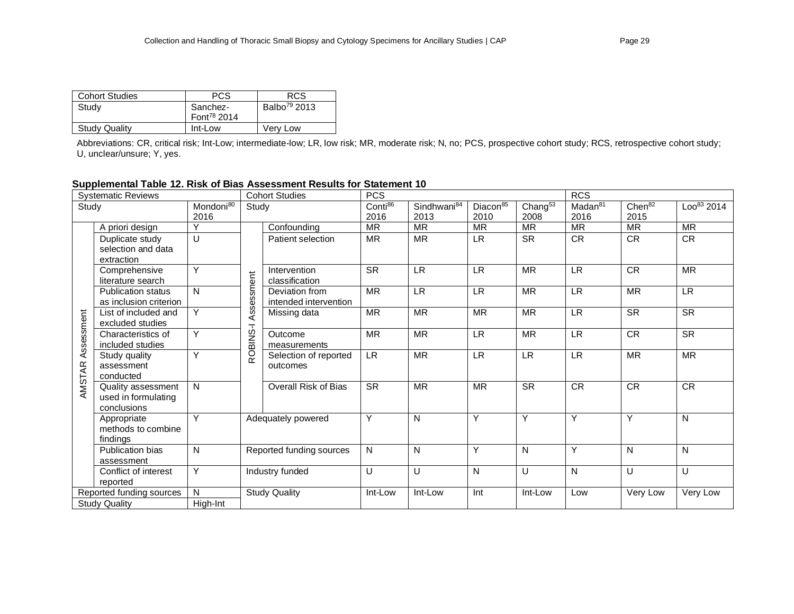| <b>Cohort Studies</b> | PCS                     | <b>RCS</b>               |
|-----------------------|-------------------------|--------------------------|
| Study                 | Sanchez-                | Balbo <sup>79</sup> 2013 |
|                       | Font <sup>78</sup> 2014 |                          |
| <b>Study Quality</b>  | Int-Low                 | Very Low                 |

Abbreviations: CR, critical risk; Int-Low; intermediate-low; LR, low risk; MR, moderate risk; N, no; PCS, prospective cohort study; RCS, retrospective cohort study; U, unclear/unsure; Y, yes.

# **Supplemental Table 12. Risk of Bias Assessment Results for Statement 10**

| <b>Cohort Studies</b><br><b>Systematic Reviews</b> |                                                          |                             |                                 | <b>PCS</b>                              |                             |                             |                   | <b>RCS</b>                        |           |           |                        |
|----------------------------------------------------|----------------------------------------------------------|-----------------------------|---------------------------------|-----------------------------------------|-----------------------------|-----------------------------|-------------------|-----------------------------------|-----------|-----------|------------------------|
| Mondoni <sup>80</sup><br>Study<br>Study<br>2016    |                                                          | Conti <sup>86</sup><br>2016 | Sindhwani <sup>84</sup><br>2013 | Diacon <sup>85</sup><br>2010            | Chang <sup>53</sup><br>2008 | Madan <sup>81</sup><br>2016 | Chen $82$<br>2015 | $\overline{\text{Loo}^{83}}$ 2014 |           |           |                        |
|                                                    | A priori design                                          |                             |                                 | Confounding                             | <b>MR</b>                   | <b>MR</b>                   | <b>MR</b>         | <b>MR</b>                         | <b>MR</b> | <b>MR</b> | <b>MR</b>              |
|                                                    | Duplicate study<br>selection and data<br>extraction      | U                           |                                 | Patient selection                       | <b>MR</b>                   | <b>MR</b>                   | LR.               | <b>SR</b>                         | <b>CR</b> | CR        | CR                     |
|                                                    | Comprehensive<br>literature search                       | Y                           |                                 | Intervention<br>classification          | <b>SR</b>                   | <b>LR</b>                   | <b>LR</b>         | <b>MR</b>                         | <b>LR</b> | CR        | <b>MR</b>              |
|                                                    | <b>Publication status</b><br>as inclusion criterion      | N                           | Assessment                      | Deviation from<br>intended intervention | <b>MR</b>                   | <b>LR</b>                   | <b>LR</b>         | <b>MR</b>                         | <b>LR</b> | <b>MR</b> | <b>LR</b>              |
|                                                    | List of included and<br>excluded studies                 | Y                           |                                 | Missing data                            | <b>MR</b>                   | <b>MR</b>                   | <b>MR</b>         | <b>MR</b>                         | <b>LR</b> | <b>SR</b> | <b>SR</b>              |
| Assessment                                         | Characteristics of<br>included studies                   | Y                           | ROBINS-I                        | Outcome<br>measurements                 | <b>MR</b>                   | <b>MR</b>                   | <b>LR</b>         | <b>MR</b>                         | <b>LR</b> | <b>CR</b> | $\overline{\text{SR}}$ |
| AMSTAR                                             | Study quality<br>assessment<br>conducted                 | Υ                           |                                 | Selection of reported<br>outcomes       | <b>LR</b>                   | <b>MR</b>                   | <b>LR</b>         | <b>LR</b>                         | <b>LR</b> | <b>MR</b> | <b>MR</b>              |
|                                                    | Quality assessment<br>used in formulating<br>conclusions | N                           |                                 | <b>Overall Risk of Bias</b>             | <b>SR</b>                   | <b>MR</b>                   | <b>MR</b>         | <b>SR</b>                         | <b>CR</b> | <b>CR</b> | <b>CR</b>              |
|                                                    | Appropriate<br>methods to combine<br>findings            | Y                           |                                 | Adequately powered                      | Y                           | N                           | Y                 | Y                                 | Y         | Y         | N                      |
|                                                    | Publication bias<br>assessment                           | N                           |                                 | Reported funding sources                | ${\sf N}$                   | N                           | Y                 | ${\sf N}$                         | Y         | N         | N                      |
|                                                    | Conflict of interest<br>reported                         | Y                           |                                 | Industry funded                         | U                           | U                           | $\mathsf{N}$      | U                                 | N         | U         | U                      |
|                                                    | Reported funding sources<br><b>Study Quality</b>         | N<br>High-Int               |                                 | <b>Study Quality</b>                    | Int-Low                     | Int-Low                     | Int               | Int-Low                           | Low       | Very Low  | Very Low               |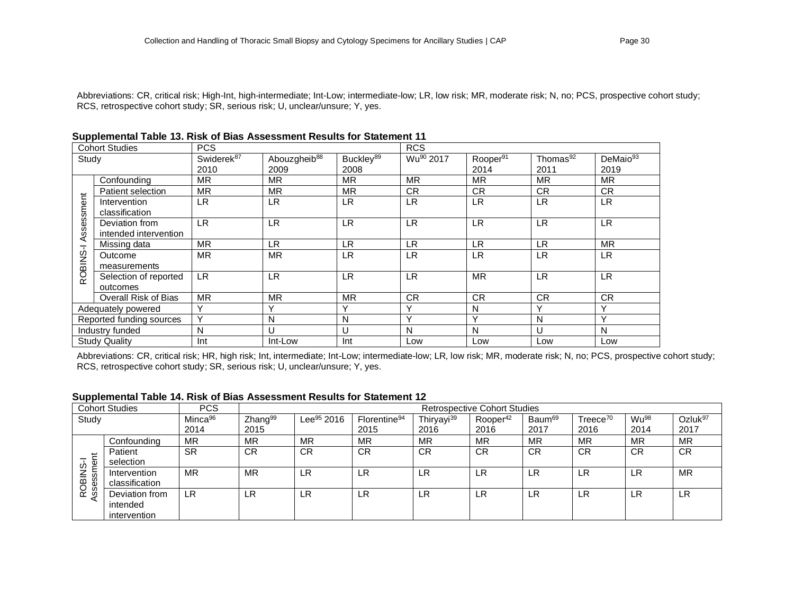Abbreviations: CR, critical risk; High-Int, high-intermediate; Int-Low; intermediate-low; LR, low risk; MR, moderate risk; N, no; PCS, prospective cohort study; RCS, retrospective cohort study; SR, serious risk; U, unclear/unsure; Y, yes.

|                      | <b>Cohort Studies</b>                   | <b>PCS</b>             |                          |                       | <b>RCS</b>            |                      |                      |                      |
|----------------------|-----------------------------------------|------------------------|--------------------------|-----------------------|-----------------------|----------------------|----------------------|----------------------|
| Study                |                                         | Swiderek <sup>87</sup> | Abouzgheib <sup>88</sup> | Buckley <sup>89</sup> | Wu <sup>90</sup> 2017 | Rooper <sup>91</sup> | Thomas <sup>92</sup> | DeMaio <sup>93</sup> |
|                      |                                         | 2010                   | 2009                     | 2008                  |                       | 2014                 | 2011                 | 2019                 |
|                      | Confounding                             | <b>MR</b>              | <b>MR</b>                | <b>MR</b>             | <b>MR</b>             | <b>MR</b>            | <b>MR</b>            | <b>MR</b>            |
|                      | Patient selection                       | <b>MR</b>              | <b>MR</b>                | <b>MR</b>             | CR.                   | <b>CR</b>            | <b>CR</b>            | <b>CR</b>            |
|                      | Intervention<br>classification          | <b>LR</b>              | <b>LR</b>                | LR                    | LR                    | <b>LR</b>            | LR                   | <b>LR</b>            |
| Assessment           | Deviation from<br>intended intervention | <b>LR</b>              | <b>LR</b>                | <b>LR</b>             | LR.                   | <b>LR</b>            | <b>LR</b>            | <b>LR</b>            |
|                      | Missing data                            | <b>MR</b>              | LR.                      | <b>LR</b>             | LR                    | LR.                  | <b>LR</b>            | <b>MR</b>            |
| ROBINS-I             | Outcome<br>measurements                 | <b>MR</b>              | <b>MR</b>                | <b>LR</b>             | LR                    | <b>LR</b>            | LR                   | <b>LR</b>            |
|                      | Selection of reported<br>outcomes       | <b>LR</b>              | <b>LR</b>                | <b>LR</b>             | LR                    | <b>MR</b>            | LR                   | <b>LR</b>            |
|                      | Overall Risk of Bias                    | <b>MR</b>              | <b>MR</b>                | <b>MR</b>             | <b>CR</b>             | <b>CR</b>            | <b>CR</b>            | <b>CR</b>            |
|                      | Adequately powered                      | Y                      | Υ                        | $\checkmark$          | v                     | N                    | Υ                    | $\checkmark$         |
|                      | Reported funding sources                | Y                      | N                        | N                     | v                     | Y                    | N                    | $\checkmark$         |
|                      | Industry funded                         | N                      | U                        | U                     | N                     | N                    | U                    | N                    |
| <b>Study Quality</b> |                                         | Int                    | Int-Low                  | Int                   | Low                   | Low                  | Low                  | Low                  |

Abbreviations: CR, critical risk; HR, high risk; Int, intermediate; Int-Low; intermediate-low; LR, low risk; MR, moderate risk; N, no; PCS, prospective cohort study; RCS, retrospective cohort study; SR, serious risk; U, unclear/unsure; Y, yes.

#### **Supplemental Table 14. Risk of Bias Assessment Results for Statement 12**

|           | <b>Cohort Studies</b> | <b>PCS</b>          |                     | <b>Retrospective Cohort Studies</b> |                          |                        |                      |                    |                      |                  |                     |
|-----------|-----------------------|---------------------|---------------------|-------------------------------------|--------------------------|------------------------|----------------------|--------------------|----------------------|------------------|---------------------|
| Study     |                       | Minca <sup>96</sup> | Zhang <sup>99</sup> | Lee <sup>95</sup> 2016              | Florentine <sup>94</sup> | Thiryayi <sup>39</sup> | Rooper <sup>42</sup> | Baum <sup>69</sup> | Treece <sup>70</sup> | Wu <sup>98</sup> | Ozluk <sup>97</sup> |
|           |                       | 2014                | 2015                |                                     | 2015                     | 2016                   | 2016                 | 2017               | 2016                 | 2014             | 2017                |
|           | Confounding           | <b>MR</b>           | MR                  | MR                                  | MR                       | MR                     | MR                   | <b>MR</b>          | <b>MR</b>            | MR               | <b>MR</b>           |
| $=$       | Patient               | <b>SR</b>           | <b>CR</b>           | <b>CR</b>                           | <b>CR</b>                | <b>CR</b>              | <b>CR</b>            | <b>CR</b>          | <b>CR</b>            | <b>CR</b>        | <b>CR</b>           |
| ඁ<br>w    | selection             |                     |                     |                                     |                          |                        |                      |                    |                      |                  |                     |
| z<br>ত    | Intervention          | <b>MR</b>           | <b>MR</b>           | LR                                  | LR                       | LR                     | LR                   | LR                 | LR                   | LR               | <b>MR</b>           |
| ses<br>go | classification        |                     |                     |                                     |                          |                        |                      |                    |                      |                  |                     |
| ≃ൗ<br>⋖   | Deviation from        | LR                  | LR                  | LR                                  | LR                       | LR                     | LR                   | LR                 | LR                   | LR               | LR                  |
|           | intended              |                     |                     |                                     |                          |                        |                      |                    |                      |                  |                     |
|           | intervention          |                     |                     |                                     |                          |                        |                      |                    |                      |                  |                     |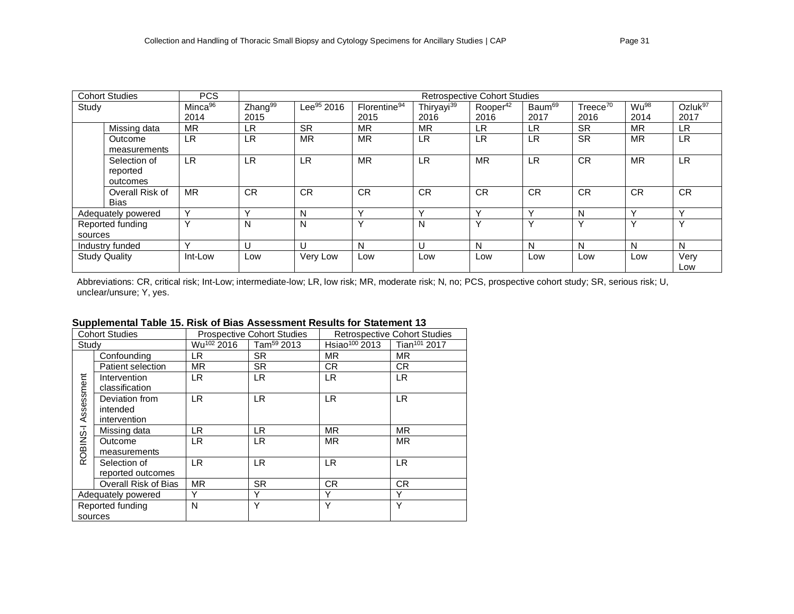|         | <b>Cohort Studies</b>                | <b>PCS</b>          | <b>Retrospective Cohort Studies</b> |                        |                          |                        |                      |                    |                      |                  |                     |
|---------|--------------------------------------|---------------------|-------------------------------------|------------------------|--------------------------|------------------------|----------------------|--------------------|----------------------|------------------|---------------------|
| Study   |                                      | Minca <sup>96</sup> | Zhang <sup>99</sup>                 | Lee <sup>95</sup> 2016 | Florentine <sup>94</sup> | Thiryayi <sup>39</sup> | Rooper <sup>42</sup> | Baum <sup>69</sup> | Treece <sup>70</sup> | Wu <sup>98</sup> | Ozluk <sup>97</sup> |
|         |                                      | 2014                | 2015                                |                        | 2015                     | 2016                   | 2016                 | 2017               | 2016                 | 2014             | 2017                |
|         | Missing data                         | MR                  | LR.                                 | <b>SR</b>              | MR                       | <b>MR</b>              | LR                   | LR                 | <b>SR</b>            | MR               | LR.                 |
|         | Outcome<br>measurements              | <b>LR</b>           | <b>LR</b>                           | <b>MR</b>              | <b>MR</b>                | <b>LR</b>              | LR                   | LR                 | <b>SR</b>            | <b>MR</b>        | <b>LR</b>           |
|         | Selection of<br>reported<br>outcomes | <b>LR</b>           | <b>LR</b>                           | <b>LR</b>              | <b>MR</b>                | <b>LR</b>              | <b>MR</b>            | <b>LR</b>          | <b>CR</b>            | <b>MR</b>        | <b>LR</b>           |
|         | Overall Risk of<br>Bias              | <b>MR</b>           | <b>CR</b>                           | <b>CR</b>              | <b>CR</b>                | <b>CR</b>              | <b>CR</b>            | <b>CR</b>          | <b>CR</b>            | <b>CR</b>        | <b>CR</b>           |
|         | Adequately powered                   | Y                   | $\checkmark$                        | N                      | $\checkmark$             | $\checkmark$           | $\checkmark$         | $\checkmark$       | N                    | $\checkmark$     | $\checkmark$        |
| sources | Reported funding                     | $\checkmark$        | N                                   | N                      | $\checkmark$             | N                      |                      | $\checkmark$       | $\checkmark$         | $\checkmark$     | $\checkmark$        |
|         | Industry funded                      | $\checkmark$        | U                                   | U                      | N                        | U                      | N                    | N                  | N                    | N                | N                   |
|         | <b>Study Quality</b>                 | Int-Low             | Low                                 | Very Low               | Low                      | Low                    | Low                  | Low                | Low                  | Low              | Very<br>Low         |

Abbreviations: CR, critical risk; Int-Low; intermediate-low; LR, low risk; MR, moderate risk; N, no; PCS, prospective cohort study; SR, serious risk; U, unclear/unsure; Y, yes.

# **Supplemental Table 15. Risk of Bias Assessment Results for Statement 13**

| <b>Cohort Studies</b> |                                |                        | <b>Prospective Cohort Studies</b> | <b>Retrospective Cohort Studies</b> |                          |  |
|-----------------------|--------------------------------|------------------------|-----------------------------------|-------------------------------------|--------------------------|--|
| Study                 |                                | Wu <sup>102</sup> 2016 | Tam <sup>59</sup> 2013            | Hsiao <sup>100</sup> 2013           | Tian <sup>101</sup> 2017 |  |
|                       | Confounding                    | LR.                    | <b>SR</b>                         | <b>MR</b>                           | <b>MR</b>                |  |
|                       | Patient selection              | <b>MR</b>              | <b>SR</b>                         | CR.                                 | CR.                      |  |
| ssessment             | Intervention<br>classification | LR.                    | LR.                               | LR.                                 | <b>LR</b>                |  |
|                       | Deviation from                 | LR.                    | LR.                               | <b>LR</b>                           | <b>LR</b>                |  |
|                       | intended                       |                        |                                   |                                     |                          |  |
| ⋖                     | intervention                   |                        |                                   |                                     |                          |  |
|                       | Missing data                   | LR.                    | LR.                               | <b>MR</b>                           | <b>MR</b>                |  |
| ROBINS-I              | Outcome                        | LR.                    | LR.                               | <b>MR</b>                           | <b>MR</b>                |  |
|                       | measurements                   |                        |                                   |                                     |                          |  |
|                       | Selection of                   | LR.                    | LR.                               | LR.                                 | <b>LR</b>                |  |
|                       | reported outcomes              |                        |                                   |                                     |                          |  |
|                       | Overall Risk of Bias           | <b>MR</b>              | <b>SR</b>                         | CR                                  | <b>CR</b>                |  |
| Adequately powered    |                                | Υ                      | Υ                                 | Υ                                   | Υ                        |  |
| Reported funding      |                                | N                      | Υ                                 | Y                                   | Y                        |  |
| sources               |                                |                        |                                   |                                     |                          |  |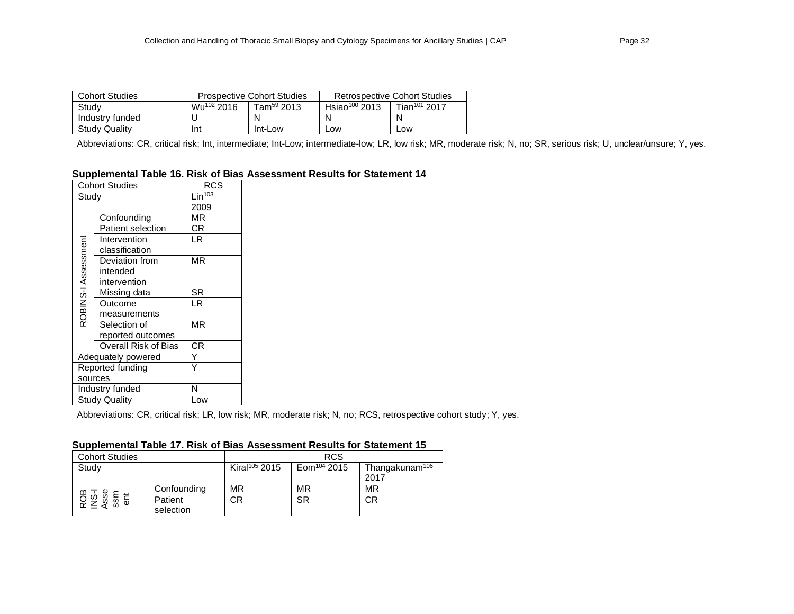| <b>Cohort Studies</b> |                        | <b>Prospective Cohort Studies</b> | <b>Retrospective Cohort Studies</b> |                          |  |
|-----------------------|------------------------|-----------------------------------|-------------------------------------|--------------------------|--|
| Study                 | Wu <sup>102</sup> 2016 | $T$ am <sup>59</sup> 2013         | Hsiao <sup>100</sup> 2013           | Tian <sup>101</sup> 2017 |  |
| Industry funded       |                        | N                                 |                                     | N                        |  |
| <b>Study Quality</b>  | Int                    | Int-Low                           | _OW                                 | LOW                      |  |

Abbreviations: CR, critical risk; Int, intermediate; Int-Low; intermediate-low; LR, low risk; MR, moderate risk; N, no; SR, serious risk; U, unclear/unsure; Y, yes.

# **Supplemental Table 16. Risk of Bias Assessment Results for Statement 14**

|                     | <b>Cohort Studies</b>    | RCS                |
|---------------------|--------------------------|--------------------|
| Study               |                          | Lin <sup>103</sup> |
|                     |                          | 2009               |
|                     | Confounding              | ΜR                 |
|                     | <b>Patient selection</b> | СR                 |
|                     | Intervention             | LR                 |
|                     | classification           |                    |
|                     | Deviation from           | ΜR                 |
|                     | intended                 |                    |
|                     | intervention             |                    |
|                     | Missing data             | SR                 |
| ROBINS-I Assessment | Outcome                  | LR                 |
|                     | measurements             |                    |
|                     | Selection of             | ΜR                 |
|                     | reported outcomes        |                    |
|                     | Overall Risk of Bias     | СR                 |
|                     | Adequately powered       |                    |
|                     | Reported funding         |                    |
| sources             |                          |                    |
|                     | Industry funded          | N                  |
|                     | Study Quality            | Low                |

Abbreviations: CR, critical risk; LR, low risk; MR, moderate risk; N, no; RCS, retrospective cohort study; Y, yes.

### **Supplemental Table 17. Risk of Bias Assessment Results for Statement 15**

| <b>Cohort Studies</b>      |             |                           | <b>RCS</b>              |                            |
|----------------------------|-------------|---------------------------|-------------------------|----------------------------|
| Study                      |             | Kiral <sup>105</sup> 2015 | Eom <sup>104</sup> 2015 | Thangakunam <sup>106</sup> |
|                            |             |                           |                         | 2017                       |
|                            | Confounding | MR                        | <b>MR</b>               | MR                         |
| ROB<br>NS-I<br>Asse<br>ent | Patient     | СR                        | <b>SR</b>               | СR                         |
|                            | selection   |                           |                         |                            |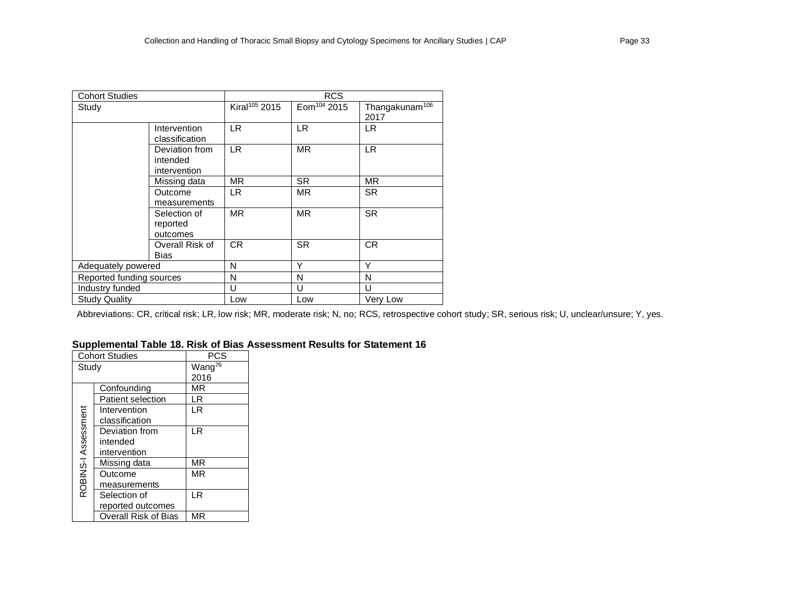| <b>Cohort Studies</b>    |                 |                           | <b>RCS</b>              |                            |
|--------------------------|-----------------|---------------------------|-------------------------|----------------------------|
| Study                    |                 | Kiral <sup>105</sup> 2015 | Eom <sup>104</sup> 2015 | Thangakunam <sup>106</sup> |
|                          |                 |                           |                         | 2017                       |
|                          | Intervention    | LR.                       | LR.                     | LR.                        |
|                          | classification  |                           |                         |                            |
|                          | Deviation from  | LR.                       | <b>MR</b>               | LR.                        |
|                          | intended        |                           |                         |                            |
|                          | intervention    |                           |                         |                            |
|                          | Missing data    | MR.                       | <b>SR</b>               | MR.                        |
|                          | Outcome         | LR.                       | MR.                     | <b>SR</b>                  |
|                          | measurements    |                           |                         |                            |
|                          | Selection of    | MR.                       | <b>MR</b>               | <b>SR</b>                  |
|                          | reported        |                           |                         |                            |
|                          | outcomes        |                           |                         |                            |
|                          | Overall Risk of | CR.                       | <b>SR</b>               | <b>CR</b>                  |
|                          | Bias            |                           |                         |                            |
| Adequately powered       |                 | N                         | Υ                       | Υ                          |
| Reported funding sources |                 | N                         | N                       | N                          |
| Industry funded          |                 | U                         | U                       | U                          |
| <b>Study Quality</b>     |                 | Low                       | Low                     | Very Low                   |

Abbreviations: CR, critical risk; LR, low risk; MR, moderate risk; N, no; RCS, retrospective cohort study; SR, serious risk; U, unclear/unsure; Y, yes.

# **Supplemental Table 18. Risk of Bias Assessment Results for Statement 16**

|                     | <b>Cohort Studies</b>    | PCS                |
|---------------------|--------------------------|--------------------|
| Study               |                          | Wang <sup>76</sup> |
|                     |                          | 2016               |
|                     | Confounding              | ΜR                 |
|                     | <b>Patient selection</b> | LR                 |
|                     | Intervention             | LR                 |
| ROBINS-I Assessment | classification           |                    |
|                     | Deviation from           | LR                 |
|                     | intended                 |                    |
|                     | intervention             |                    |
|                     | Missing data             | ΜR                 |
|                     | Outcome                  | MR                 |
|                     | measurements             |                    |
|                     | Selection of             | LR                 |
|                     | reported outcomes        |                    |
|                     | Overall Risk of Bias     | ΜR                 |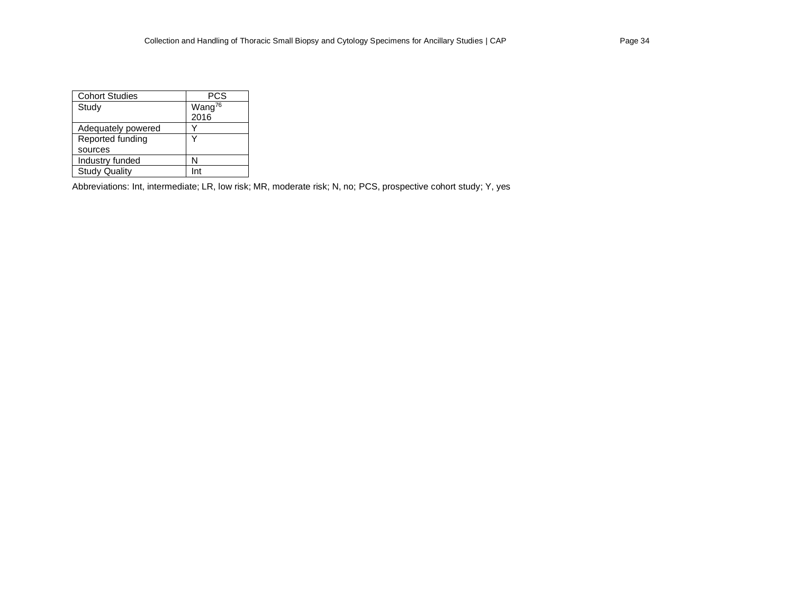| <b>Cohort Studies</b> | PCS                |
|-----------------------|--------------------|
| Study                 | Wang <sup>76</sup> |
|                       | 2016               |
| Adequately powered    |                    |
| Reported funding      |                    |
| sources               |                    |
| Industry funded       | N                  |
| <b>Study Quality</b>  | mi                 |

Abbreviations: Int, intermediate; LR, low risk; MR, moderate risk; N, no; PCS, prospective cohort study; Y, yes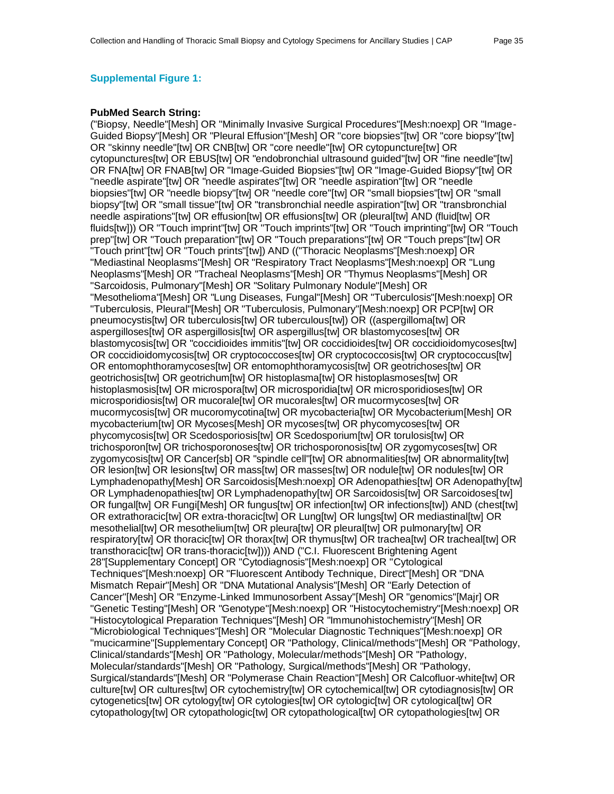#### **Supplemental Figure 1:**

#### **PubMed Search String:**

("Biopsy, Needle"[Mesh] OR "Minimally Invasive Surgical Procedures"[Mesh:noexp] OR "Image-Guided Biopsy"[Mesh] OR "Pleural Effusion"[Mesh] OR "core biopsies"[tw] OR "core biopsy"[tw] OR "skinny needle"[tw] OR CNB[tw] OR "core needle"[tw] OR cytopuncture[tw] OR cytopunctures[tw] OR EBUS[tw] OR "endobronchial ultrasound guided"[tw] OR "fine needle"[tw] OR FNA[tw] OR FNAB[tw] OR "Image-Guided Biopsies"[tw] OR "Image-Guided Biopsy"[tw] OR "needle aspirate"[tw] OR "needle aspirates"[tw] OR "needle aspiration"[tw] OR "needle biopsies"[tw] OR "needle biopsy"[tw] OR "needle core"[tw] OR "small biopsies"[tw] OR "small biopsy"[tw] OR "small tissue"[tw] OR "transbronchial needle aspiration"[tw] OR "transbronchial needle aspirations"[tw] OR effusion[tw] OR effusions[tw] OR (pleural[tw] AND (fluid[tw] OR fluids[tw])) OR "Touch imprint"[tw] OR "Touch imprints"[tw] OR "Touch imprinting"[tw] OR "Touch prep"[tw] OR "Touch preparation"[tw] OR "Touch preparations"[tw] OR "Touch preps"[tw] OR "Touch print"[tw] OR "Touch prints"[tw]) AND (("Thoracic Neoplasms"[Mesh:noexp] OR "Mediastinal Neoplasms"[Mesh] OR "Respiratory Tract Neoplasms"[Mesh:noexp] OR "Lung Neoplasms"[Mesh] OR "Tracheal Neoplasms"[Mesh] OR "Thymus Neoplasms"[Mesh] OR "Sarcoidosis, Pulmonary"[Mesh] OR "Solitary Pulmonary Nodule"[Mesh] OR "Mesothelioma"[Mesh] OR "Lung Diseases, Fungal"[Mesh] OR "Tuberculosis"[Mesh:noexp] OR "Tuberculosis, Pleural"[Mesh] OR "Tuberculosis, Pulmonary"[Mesh:noexp] OR PCP[tw] OR pneumocystis[tw] OR tuberculosis[tw] OR tuberculous[tw]) OR ((aspergilloma[tw] OR aspergilloses[tw] OR aspergillosis[tw] OR aspergillus[tw] OR blastomycoses[tw] OR blastomycosis[tw] OR "coccidioides immitis"[tw] OR coccidioides[tw] OR coccidioidomycoses[tw] OR coccidioidomycosis[tw] OR cryptococcoses[tw] OR cryptococcosis[tw] OR cryptococcus[tw] OR entomophthoramycoses[tw] OR entomophthoramycosis[tw] OR geotrichoses[tw] OR geotrichosis[tw] OR geotrichum[tw] OR histoplasma[tw] OR histoplasmoses[tw] OR histoplasmosis[tw] OR microspora[tw] OR microsporidia[tw] OR microsporidioses[tw] OR microsporidiosis[tw] OR mucorale[tw] OR mucorales[tw] OR mucormycoses[tw] OR mucormycosis[tw] OR mucoromycotina[tw] OR mycobacteria[tw] OR Mycobacterium[Mesh] OR mycobacterium[tw] OR Mycoses[Mesh] OR mycoses[tw] OR phycomycoses[tw] OR phycomycosis[tw] OR Scedosporiosis[tw] OR Scedosporium[tw] OR torulosis[tw] OR trichosporon[tw] OR trichosporonoses[tw] OR trichosporonosis[tw] OR zygomycoses[tw] OR zygomycosis[tw] OR Cancer[sb] OR "spindle cell"[tw] OR abnormalities[tw] OR abnormality[tw] OR lesion[tw] OR lesions[tw] OR mass[tw] OR masses[tw] OR nodule[tw] OR nodules[tw] OR Lymphadenopathy[Mesh] OR Sarcoidosis[Mesh:noexp] OR Adenopathies[tw] OR Adenopathv[tw] OR Lymphadenopathies[tw] OR Lymphadenopathy[tw] OR Sarcoidosis[tw] OR Sarcoidoses[tw] OR fungal[tw] OR Fungi[Mesh] OR fungus[tw] OR infection[tw] OR infections[tw]) AND (chest[tw] OR extrathoracic[tw] OR extra-thoracic[tw] OR Lung[tw] OR lungs[tw] OR mediastinal[tw] OR mesothelial[tw] OR mesothelium[tw] OR pleura[tw] OR pleural[tw] OR pulmonary[tw] OR respiratory[tw] OR thoracic[tw] OR thorax[tw] OR thymus[tw] OR tracheal[tw] OR tracheal[tw] OR transthoracic[tw] OR trans-thoracic[tw]))) AND ("C.I. Fluorescent Brightening Agent 28"[Supplementary Concept] OR "Cytodiagnosis"[Mesh:noexp] OR "Cytological Techniques"[Mesh:noexp] OR "Fluorescent Antibody Technique, Direct"[Mesh] OR "DNA Mismatch Repair"[Mesh] OR "DNA Mutational Analysis"[Mesh] OR "Early Detection of Cancer"[Mesh] OR "Enzyme-Linked Immunosorbent Assay"[Mesh] OR "genomics"[Majr] OR "Genetic Testing"[Mesh] OR "Genotype"[Mesh:noexp] OR "Histocytochemistry"[Mesh:noexp] OR "Histocytological Preparation Techniques"[Mesh] OR "Immunohistochemistry"[Mesh] OR "Microbiological Techniques"[Mesh] OR "Molecular Diagnostic Techniques"[Mesh:noexp] OR "mucicarmine"[Supplementary Concept] OR "Pathology, Clinical/methods"[Mesh] OR "Pathology, Clinical/standards"[Mesh] OR "Pathology, Molecular/methods"[Mesh] OR "Pathology, Molecular/standards"[Mesh] OR "Pathology, Surgical/methods"[Mesh] OR "Pathology, Surgical/standards"[Mesh] OR "Polymerase Chain Reaction"[Mesh] OR Calcofluor-white[tw] OR culture[tw] OR cultures[tw] OR cytochemistry[tw] OR cytochemical[tw] OR cytodiagnosis[tw] OR cytogenetics[tw] OR cytology[tw] OR cytologies[tw] OR cytologic[tw] OR cytological[tw] OR cytopathology[tw] OR cytopathologic[tw] OR cytopathological[tw] OR cytopathologies[tw] OR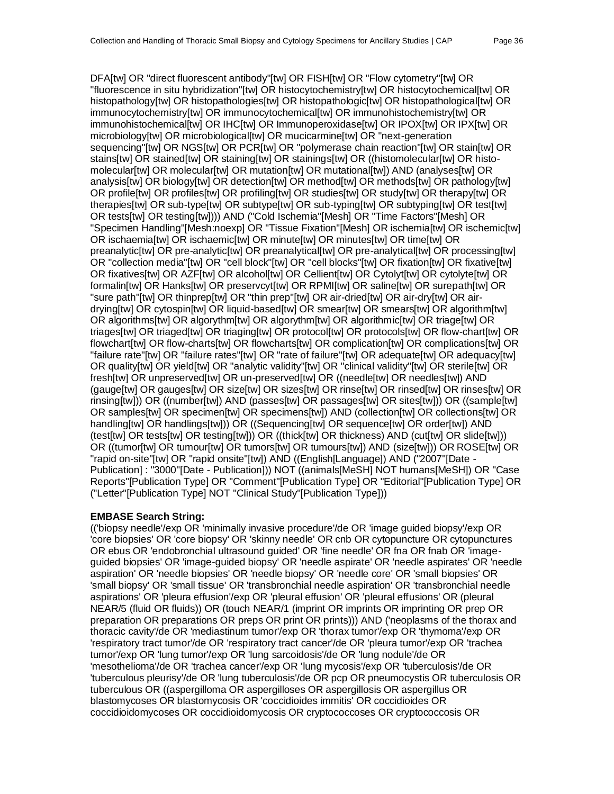DFA[tw] OR "direct fluorescent antibody"[tw] OR FISH[tw] OR "Flow cytometry"[tw] OR "fluorescence in situ hybridization"[tw] OR histocytochemistry[tw] OR histocytochemical[tw] OR histopathology[tw] OR histopathologies[tw] OR histopathologic[tw] OR histopathological[tw] OR immunocytochemistry[tw] OR immunocytochemical[tw] OR immunohistochemistry[tw] OR immunohistochemical[tw] OR IHC[tw] OR Immunoperoxidase[tw] OR IPOX[tw] OR IPX[tw] OR microbiology[tw] OR microbiological[tw] OR mucicarmine[tw] OR "next-generation sequencing"[tw] OR NGS[tw] OR PCR[tw] OR "polymerase chain reaction"[tw] OR stain[tw] OR stains[tw] OR stained[tw] OR staining[tw] OR stainings[tw] OR ((histomolecular[tw] OR histomolecular[tw] OR molecular[tw] OR mutation[tw] OR mutational[tw]) AND (analyses[tw] OR analysis[tw] OR biology[tw] OR detection[tw] OR method[tw] OR methods[tw] OR pathology[tw] OR profile[tw] OR profiles[tw] OR profiling[tw] OR studies[tw] OR study[tw] OR therapy[tw] OR therapies[tw] OR sub-type[tw] OR subtype[tw] OR sub-typing[tw] OR subtyping[tw] OR test[tw] OR tests[tw] OR testing[tw]))) AND ("Cold Ischemia"[Mesh] OR "Time Factors"[Mesh] OR "Specimen Handling"[Mesh:noexp] OR "Tissue Fixation"[Mesh] OR ischemia[tw] OR ischemic[tw] OR ischaemia[tw] OR ischaemic[tw] OR minute[tw] OR minutes[tw] OR time[tw] OR preanalytic[tw] OR pre-analytic[tw] OR preanalytical[tw] OR pre-analytical[tw] OR processing[tw] OR "collection media"[tw] OR "cell block"[tw] OR "cell blocks"[tw] OR fixation[tw] OR fixative[tw] OR fixatives[tw] OR AZF[tw] OR alcohol[tw] OR Cellient[tw] OR Cytolyt[tw] OR cytolyte[tw] OR formalin[tw] OR Hanks[tw] OR preservcyt[tw] OR RPMI[tw] OR saline[tw] OR surepath[tw] OR "sure path"[tw] OR thinprep[tw] OR "thin prep"[tw] OR air-dried[tw] OR air-dry[tw] OR airdrying[tw] OR cytospin[tw] OR liquid-based[tw] OR smear[tw] OR smears[tw] OR algorithm[tw] OR algorithms[tw] OR algorythm[tw] OR algorythm[tw] OR algorithmic[tw] OR triage[tw] OR triages[tw] OR triaged[tw] OR triaging[tw] OR protocol[tw] OR protocols[tw] OR flow-chart[tw] OR flowchart[tw] OR flow-charts[tw] OR flowcharts[tw] OR complication[tw] OR complications[tw] OR "failure rate"[tw] OR "failure rates"[tw] OR "rate of failure"[tw] OR adequate[tw] OR adequacy[tw] OR quality[tw] OR yield[tw] OR "analytic validity"[tw] OR "clinical validity"[tw] OR sterile[tw] OR fresh[tw] OR unpreserved[tw] OR un-preserved[tw] OR ((needle[tw] OR needles[tw]) AND (gauge[tw] OR gauges[tw] OR size[tw] OR sizes[tw] OR rinse[tw] OR rinsed[tw] OR rinses[tw] OR rinsing[tw])) OR ((number[tw]) AND (passes[tw] OR passages[tw] OR sites[tw])) OR ((sample[tw] OR samples[tw] OR specimen[tw] OR specimens[tw]) AND (collection[tw] OR collections[tw] OR handling[tw] OR handlings[tw])) OR ((Sequencing[tw] OR sequence[tw] OR order[tw]) AND (test[tw] OR tests[tw] OR testing[tw])) OR ((thick[tw] OR thickness) AND (cut[tw] OR slide[tw])) OR ((tumor[tw] OR tumour[tw] OR tumors[tw] OR tumours[tw]) AND (size[tw])) OR ROSE[tw] OR "rapid on-site"[tw] OR "rapid onsite"[tw]) AND ((English[Language]) AND ("2007"[Date - Publication] : "3000"[Date - Publication])) NOT ((animals[MeSH] NOT humans[MeSH]) OR "Case Reports"[Publication Type] OR "Comment"[Publication Type] OR "Editorial"[Publication Type] OR ("Letter"[Publication Type] NOT "Clinical Study"[Publication Type]))

#### **EMBASE Search String:**

(('biopsy needle'/exp OR 'minimally invasive procedure'/de OR 'image guided biopsy'/exp OR 'core biopsies' OR 'core biopsy' OR 'skinny needle' OR cnb OR cytopuncture OR cytopunctures OR ebus OR 'endobronchial ultrasound guided' OR 'fine needle' OR fna OR fnab OR 'imageguided biopsies' OR 'image-guided biopsy' OR 'needle aspirate' OR 'needle aspirates' OR 'needle aspiration' OR 'needle biopsies' OR 'needle biopsy' OR 'needle core' OR 'small biopsies' OR 'small biopsy' OR 'small tissue' OR 'transbronchial needle aspiration' OR 'transbronchial needle aspirations' OR 'pleura effusion'/exp OR 'pleural effusion' OR 'pleural effusions' OR (pleural NEAR/5 (fluid OR fluids)) OR (touch NEAR/1 (imprint OR imprints OR imprinting OR prep OR preparation OR preparations OR preps OR print OR prints))) AND ('neoplasms of the thorax and thoracic cavity'/de OR 'mediastinum tumor'/exp OR 'thorax tumor'/exp OR 'thymoma'/exp OR 'respiratory tract tumor'/de OR 'respiratory tract cancer'/de OR 'pleura tumor'/exp OR 'trachea tumor'/exp OR 'lung tumor'/exp OR 'lung sarcoidosis'/de OR 'lung nodule'/de OR 'mesothelioma'/de OR 'trachea cancer'/exp OR 'lung mycosis'/exp OR 'tuberculosis'/de OR 'tuberculous pleurisy'/de OR 'lung tuberculosis'/de OR pcp OR pneumocystis OR tuberculosis OR tuberculous OR ((aspergilloma OR aspergilloses OR aspergillosis OR aspergillus OR blastomycoses OR blastomycosis OR 'coccidioides immitis' OR coccidioides OR coccidioidomycoses OR coccidioidomycosis OR cryptococcoses OR cryptococcosis OR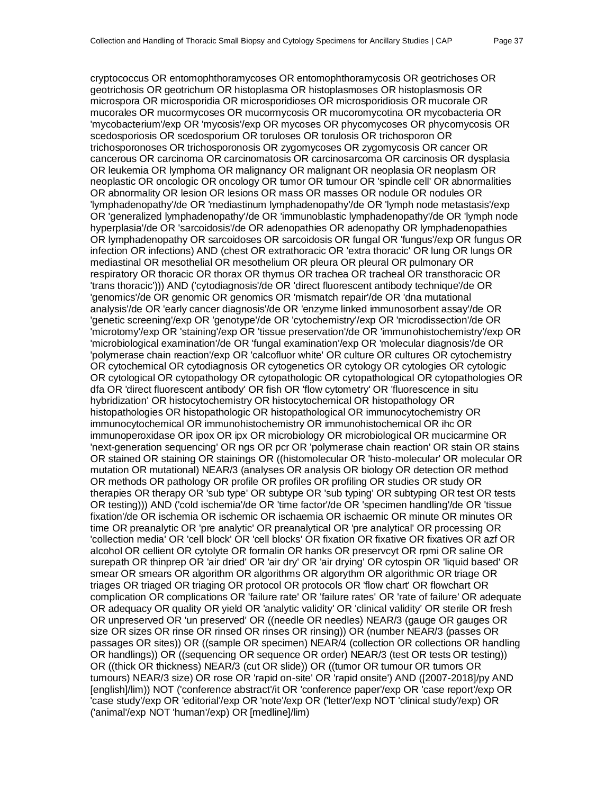cryptococcus OR entomophthoramycoses OR entomophthoramycosis OR geotrichoses OR geotrichosis OR geotrichum OR histoplasma OR histoplasmoses OR histoplasmosis OR microspora OR microsporidia OR microsporidioses OR microsporidiosis OR mucorale OR mucorales OR mucormycoses OR mucormycosis OR mucoromycotina OR mycobacteria OR 'mycobacterium'/exp OR 'mycosis'/exp OR mycoses OR phycomycoses OR phycomycosis OR scedosporiosis OR scedosporium OR toruloses OR torulosis OR trichosporon OR trichosporonoses OR trichosporonosis OR zygomycoses OR zygomycosis OR cancer OR cancerous OR carcinoma OR carcinomatosis OR carcinosarcoma OR carcinosis OR dysplasia OR leukemia OR lymphoma OR malignancy OR malignant OR neoplasia OR neoplasm OR neoplastic OR oncologic OR oncology OR tumor OR tumour OR 'spindle cell' OR abnormalities OR abnormality OR lesion OR lesions OR mass OR masses OR nodule OR nodules OR 'lymphadenopathy'/de OR 'mediastinum lymphadenopathy'/de OR 'lymph node metastasis'/exp OR 'generalized lymphadenopathy'/de OR 'immunoblastic lymphadenopathy'/de OR 'lymph node hyperplasia'/de OR 'sarcoidosis'/de OR adenopathies OR adenopathy OR lymphadenopathies OR lymphadenopathy OR sarcoidoses OR sarcoidosis OR fungal OR 'fungus'/exp OR fungus OR infection OR infections) AND (chest OR extrathoracic OR 'extra thoracic' OR lung OR lungs OR mediastinal OR mesothelial OR mesothelium OR pleura OR pleural OR pulmonary OR respiratory OR thoracic OR thorax OR thymus OR trachea OR tracheal OR transthoracic OR 'trans thoracic'))) AND ('cytodiagnosis'/de OR 'direct fluorescent antibody technique'/de OR 'genomics'/de OR genomic OR genomics OR 'mismatch repair'/de OR 'dna mutational analysis'/de OR 'early cancer diagnosis'/de OR 'enzyme linked immunosorbent assay'/de OR 'genetic screening'/exp OR 'genotype'/de OR 'cytochemistry'/exp OR 'microdissection'/de OR 'microtomy'/exp OR 'staining'/exp OR 'tissue preservation'/de OR 'immunohistochemistry'/exp OR 'microbiological examination'/de OR 'fungal examination'/exp OR 'molecular diagnosis'/de OR 'polymerase chain reaction'/exp OR 'calcofluor white' OR culture OR cultures OR cytochemistry OR cytochemical OR cytodiagnosis OR cytogenetics OR cytology OR cytologies OR cytologic OR cytological OR cytopathology OR cytopathologic OR cytopathological OR cytopathologies OR dfa OR 'direct fluorescent antibody' OR fish OR 'flow cytometry' OR 'fluorescence in situ hybridization' OR histocytochemistry OR histocytochemical OR histopathology OR histopathologies OR histopathologic OR histopathological OR immunocytochemistry OR immunocytochemical OR immunohistochemistry OR immunohistochemical OR ihc OR immunoperoxidase OR ipox OR ipx OR microbiology OR microbiological OR mucicarmine OR 'next-generation sequencing' OR ngs OR pcr OR 'polymerase chain reaction' OR stain OR stains OR stained OR staining OR stainings OR ((histomolecular OR 'histo-molecular' OR molecular OR mutation OR mutational) NEAR/3 (analyses OR analysis OR biology OR detection OR method OR methods OR pathology OR profile OR profiles OR profiling OR studies OR study OR therapies OR therapy OR 'sub type' OR subtype OR 'sub typing' OR subtyping OR test OR tests OR testing))) AND ('cold ischemia'/de OR 'time factor'/de OR 'specimen handling'/de OR 'tissue fixation'/de OR ischemia OR ischemic OR ischaemia OR ischaemic OR minute OR minutes OR time OR preanalytic OR 'pre analytic' OR preanalytical OR 'pre analytical' OR processing OR 'collection media' OR 'cell block' OR 'cell blocks' OR fixation OR fixative OR fixatives OR azf OR alcohol OR cellient OR cytolyte OR formalin OR hanks OR preservcyt OR rpmi OR saline OR surepath OR thinprep OR 'air dried' OR 'air dry' OR 'air drying' OR cytospin OR 'liquid based' OR smear OR smears OR algorithm OR algorithms OR algorythm OR algorithmic OR triage OR triages OR triaged OR triaging OR protocol OR protocols OR 'flow chart' OR flowchart OR complication OR complications OR 'failure rate' OR 'failure rates' OR 'rate of failure' OR adequate OR adequacy OR quality OR yield OR 'analytic validity' OR 'clinical validity' OR sterile OR fresh OR unpreserved OR 'un preserved' OR ((needle OR needles) NEAR/3 (gauge OR gauges OR size OR sizes OR rinse OR rinsed OR rinses OR rinsing)) OR (number NEAR/3 (passes OR passages OR sites)) OR ((sample OR specimen) NEAR/4 (collection OR collections OR handling OR handlings)) OR ((sequencing OR sequence OR order) NEAR/3 (test OR tests OR testing)) OR ((thick OR thickness) NEAR/3 (cut OR slide)) OR ((tumor OR tumour OR tumors OR tumours) NEAR/3 size) OR rose OR 'rapid on-site' OR 'rapid onsite') AND ([2007-2018]/py AND [english]/lim)) NOT ('conference abstract'/it OR 'conference paper'/exp OR 'case report'/exp OR 'case study'/exp OR 'editorial'/exp OR 'note'/exp OR ('letter'/exp NOT 'clinical study'/exp) OR ('animal'/exp NOT 'human'/exp) OR [medline]/lim)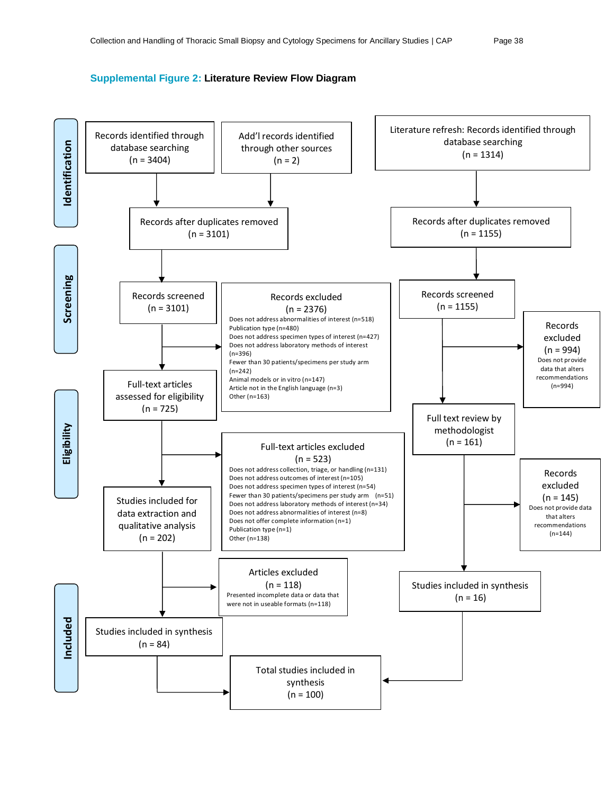#### **Supplemental Figure 2: Literature Review Flow Diagram**

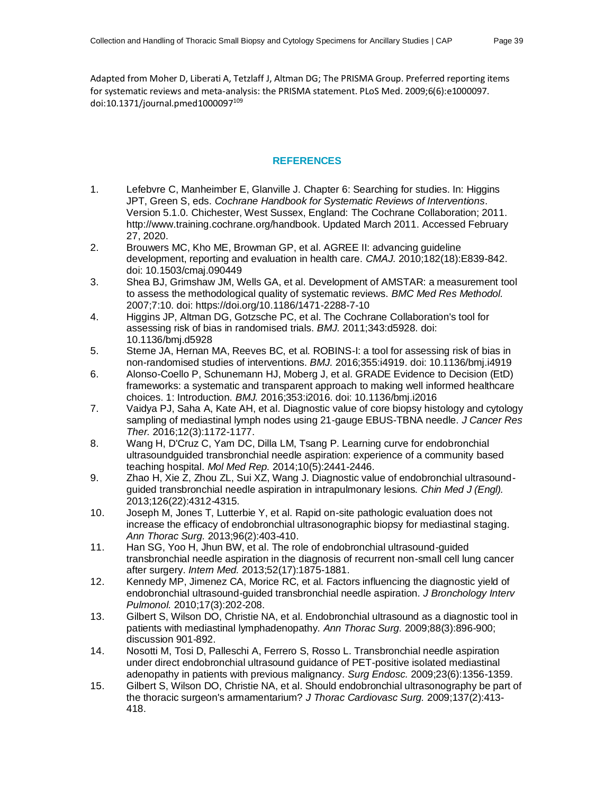Adapted from Moher D, Liberati A, Tetzlaff J, Altman DG; The PRISMA Group. Preferred reporting items for systematic reviews and meta-analysis: the PRISMA statement. PLoS Med. 2009;6(6):e1000097. doi:10.1371/journal.pmed1000097 109

#### **REFERENCES**

- 1. Lefebvre C, Manheimber E, Glanville J. Chapter 6: Searching for studies. In: Higgins JPT, Green S, eds. *Cochrane Handbook for Systematic Reviews of Interventions*. Version 5.1.0. Chichester, West Sussex, England: The Cochrane Collaboration; 2011. http://www.training.cochrane.org/handbook. Updated March 2011. Accessed February 27, 2020.
- 2. Brouwers MC, Kho ME, Browman GP, et al. AGREE II: advancing guideline development, reporting and evaluation in health care. *CMAJ.* 2010;182(18):E839-842. doi: 10.1503/cmaj.090449
- 3. Shea BJ, Grimshaw JM, Wells GA, et al. Development of AMSTAR: a measurement tool to assess the methodological quality of systematic reviews. *BMC Med Res Methodol.*  2007;7:10. doi: https://doi.org/10.1186/1471-2288-7-10
- 4. Higgins JP, Altman DG, Gotzsche PC, et al. The Cochrane Collaboration's tool for assessing risk of bias in randomised trials. *BMJ.* 2011;343:d5928. doi: 10.1136/bmj.d5928
- 5. Sterne JA, Hernan MA, Reeves BC, et al. ROBINS-I: a tool for assessing risk of bias in non-randomised studies of interventions. *BMJ.* 2016;355:i4919. doi: 10.1136/bmj.i4919
- 6. Alonso-Coello P, Schunemann HJ, Moberg J, et al. GRADE Evidence to Decision (EtD) frameworks: a systematic and transparent approach to making well informed healthcare choices. 1: Introduction. *BMJ.* 2016;353:i2016. doi: 10.1136/bmj.i2016
- 7. Vaidya PJ, Saha A, Kate AH, et al. Diagnostic value of core biopsy histology and cytology sampling of mediastinal lymph nodes using 21-gauge EBUS-TBNA needle. *J Cancer Res Ther.* 2016;12(3):1172-1177.
- 8. Wang H, D'Cruz C, Yam DC, Dilla LM, Tsang P. Learning curve for endobronchial ultrasoundguided transbronchial needle aspiration: experience of a community based teaching hospital. *Mol Med Rep.* 2014;10(5):2441-2446.
- 9. Zhao H, Xie Z, Zhou ZL, Sui XZ, Wang J. Diagnostic value of endobronchial ultrasoundguided transbronchial needle aspiration in intrapulmonary lesions. *Chin Med J (Engl).*  2013;126(22):4312-4315.
- 10. Joseph M, Jones T, Lutterbie Y, et al. Rapid on-site pathologic evaluation does not increase the efficacy of endobronchial ultrasonographic biopsy for mediastinal staging. *Ann Thorac Surg.* 2013;96(2):403-410.
- 11. Han SG, Yoo H, Jhun BW, et al. The role of endobronchial ultrasound-guided transbronchial needle aspiration in the diagnosis of recurrent non-small cell lung cancer after surgery. *Intern Med.* 2013;52(17):1875-1881.
- 12. Kennedy MP, Jimenez CA, Morice RC, et al. Factors influencing the diagnostic yield of endobronchial ultrasound-guided transbronchial needle aspiration. *J Bronchology Interv Pulmonol.* 2010;17(3):202-208.
- 13. Gilbert S, Wilson DO, Christie NA, et al. Endobronchial ultrasound as a diagnostic tool in patients with mediastinal lymphadenopathy. *Ann Thorac Surg.* 2009;88(3):896-900; discussion 901-892.
- 14. Nosotti M, Tosi D, Palleschi A, Ferrero S, Rosso L. Transbronchial needle aspiration under direct endobronchial ultrasound guidance of PET-positive isolated mediastinal adenopathy in patients with previous malignancy. *Surg Endosc.* 2009;23(6):1356-1359.
- 15. Gilbert S, Wilson DO, Christie NA, et al. Should endobronchial ultrasonography be part of the thoracic surgeon's armamentarium? *J Thorac Cardiovasc Surg.* 2009;137(2):413- 418.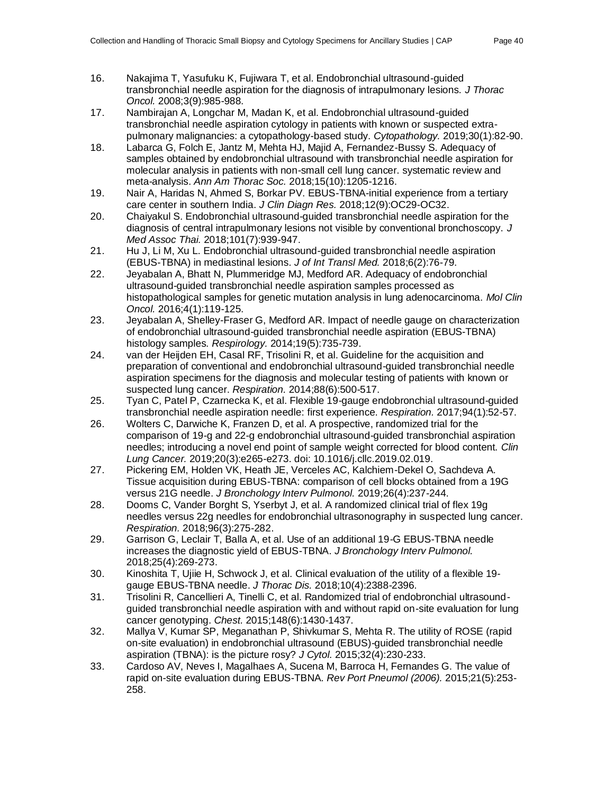- 16. Nakajima T, Yasufuku K, Fujiwara T, et al. Endobronchial ultrasound-guided transbronchial needle aspiration for the diagnosis of intrapulmonary lesions. *J Thorac Oncol.* 2008;3(9):985-988.
- 17. Nambirajan A, Longchar M, Madan K, et al. Endobronchial ultrasound-guided transbronchial needle aspiration cytology in patients with known or suspected extrapulmonary malignancies: a cytopathology-based study. *Cytopathology.* 2019;30(1):82-90.
- 18. Labarca G, Folch E, Jantz M, Mehta HJ, Majid A, Fernandez-Bussy S. Adequacy of samples obtained by endobronchial ultrasound with transbronchial needle aspiration for molecular analysis in patients with non-small cell lung cancer. systematic review and meta-analysis. *Ann Am Thorac Soc.* 2018;15(10):1205-1216.
- 19. Nair A, Haridas N, Ahmed S, Borkar PV. EBUS-TBNA-initial experience from a tertiary care center in southern India. *J Clin Diagn Res.* 2018;12(9):OC29-OC32.
- 20. Chaiyakul S. Endobronchial ultrasound-guided transbronchial needle aspiration for the diagnosis of central intrapulmonary lesions not visible by conventional bronchoscopy. *J Med Assoc Thai.* 2018;101(7):939-947.
- 21. Hu J, Li M, Xu L. Endobronchial ultrasound-guided transbronchial needle aspiration (EBUS-TBNA) in mediastinal lesions. *J of Int Transl Med.* 2018;6(2):76-79.
- 22. Jeyabalan A, Bhatt N, Plummeridge MJ, Medford AR. Adequacy of endobronchial ultrasound-guided transbronchial needle aspiration samples processed as histopathological samples for genetic mutation analysis in lung adenocarcinoma. *Mol Clin Oncol.* 2016;4(1):119-125.
- 23. Jeyabalan A, Shelley-Fraser G, Medford AR. Impact of needle gauge on characterization of endobronchial ultrasound-guided transbronchial needle aspiration (EBUS-TBNA) histology samples. *Respirology.* 2014;19(5):735-739.
- 24. van der Heijden EH, Casal RF, Trisolini R, et al. Guideline for the acquisition and preparation of conventional and endobronchial ultrasound-guided transbronchial needle aspiration specimens for the diagnosis and molecular testing of patients with known or suspected lung cancer. *Respiration.* 2014;88(6):500-517.
- 25. Tyan C, Patel P, Czarnecka K, et al. Flexible 19-gauge endobronchial ultrasound-guided transbronchial needle aspiration needle: first experience. *Respiration.* 2017;94(1):52-57.
- 26. Wolters C, Darwiche K, Franzen D, et al. A prospective, randomized trial for the comparison of 19-g and 22-g endobronchial ultrasound-guided transbronchial aspiration needles; introducing a novel end point of sample weight corrected for blood content. *Clin Lung Cancer.* 2019;20(3):e265-e273. doi: 10.1016/j.cllc.2019.02.019.
- 27. Pickering EM, Holden VK, Heath JE, Verceles AC, Kalchiem-Dekel O, Sachdeva A. Tissue acquisition during EBUS-TBNA: comparison of cell blocks obtained from a 19G versus 21G needle. *J Bronchology Interv Pulmonol.* 2019;26(4):237-244.
- 28. Dooms C, Vander Borght S, Yserbyt J, et al. A randomized clinical trial of flex 19g needles versus 22g needles for endobronchial ultrasonography in suspected lung cancer. *Respiration.* 2018;96(3):275-282.
- 29. Garrison G, Leclair T, Balla A, et al. Use of an additional 19-G EBUS-TBNA needle increases the diagnostic yield of EBUS-TBNA. *J Bronchology Interv Pulmonol.*  2018;25(4):269-273.
- 30. Kinoshita T, Ujiie H, Schwock J, et al. Clinical evaluation of the utility of a flexible 19 gauge EBUS-TBNA needle. *J Thorac Dis.* 2018;10(4):2388-2396.
- 31. Trisolini R, Cancellieri A, Tinelli C, et al. Randomized trial of endobronchial ultrasoundguided transbronchial needle aspiration with and without rapid on-site evaluation for lung cancer genotyping. *Chest.* 2015;148(6):1430-1437.
- 32. Mallya V, Kumar SP, Meganathan P, Shivkumar S, Mehta R. The utility of ROSE (rapid on-site evaluation) in endobronchial ultrasound (EBUS)-guided transbronchial needle aspiration (TBNA): is the picture rosy? *J Cytol.* 2015;32(4):230-233.
- 33. Cardoso AV, Neves I, Magalhaes A, Sucena M, Barroca H, Fernandes G. The value of rapid on-site evaluation during EBUS-TBNA. *Rev Port Pneumol (2006).* 2015;21(5):253- 258.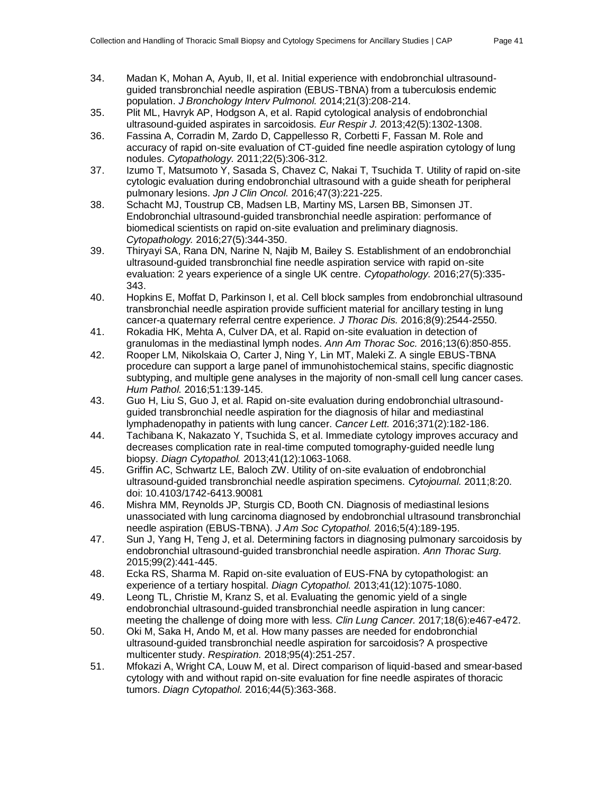- 34. Madan K, Mohan A, Ayub, II, et al. Initial experience with endobronchial ultrasoundguided transbronchial needle aspiration (EBUS-TBNA) from a tuberculosis endemic population. *J Bronchology Interv Pulmonol.* 2014;21(3):208-214.
- 35. Plit ML, Havryk AP, Hodgson A, et al. Rapid cytological analysis of endobronchial ultrasound-guided aspirates in sarcoidosis. *Eur Respir J.* 2013;42(5):1302-1308.
- 36. Fassina A, Corradin M, Zardo D, Cappellesso R, Corbetti F, Fassan M. Role and accuracy of rapid on-site evaluation of CT-guided fine needle aspiration cytology of lung nodules. *Cytopathology.* 2011;22(5):306-312.
- 37. Izumo T, Matsumoto Y, Sasada S, Chavez C, Nakai T, Tsuchida T. Utility of rapid on-site cytologic evaluation during endobronchial ultrasound with a guide sheath for peripheral pulmonary lesions. *Jpn J Clin Oncol.* 2016;47(3):221-225.
- 38. Schacht MJ, Toustrup CB, Madsen LB, Martiny MS, Larsen BB, Simonsen JT. Endobronchial ultrasound-guided transbronchial needle aspiration: performance of biomedical scientists on rapid on-site evaluation and preliminary diagnosis. *Cytopathology.* 2016;27(5):344-350.
- 39. Thiryayi SA, Rana DN, Narine N, Najib M, Bailey S. Establishment of an endobronchial ultrasound-guided transbronchial fine needle aspiration service with rapid on-site evaluation: 2 years experience of a single UK centre. *Cytopathology.* 2016;27(5):335- 343.
- 40. Hopkins E, Moffat D, Parkinson I, et al. Cell block samples from endobronchial ultrasound transbronchial needle aspiration provide sufficient material for ancillary testing in lung cancer-a quaternary referral centre experience. *J Thorac Dis.* 2016;8(9):2544-2550.
- 41. Rokadia HK, Mehta A, Culver DA, et al. Rapid on-site evaluation in detection of granulomas in the mediastinal lymph nodes. *Ann Am Thorac Soc.* 2016;13(6):850-855.
- 42. Rooper LM, Nikolskaia O, Carter J, Ning Y, Lin MT, Maleki Z. A single EBUS-TBNA procedure can support a large panel of immunohistochemical stains, specific diagnostic subtyping, and multiple gene analyses in the majority of non-small cell lung cancer cases. *Hum Pathol.* 2016;51:139-145.
- 43. Guo H, Liu S, Guo J, et al. Rapid on-site evaluation during endobronchial ultrasoundguided transbronchial needle aspiration for the diagnosis of hilar and mediastinal lymphadenopathy in patients with lung cancer. *Cancer Lett.* 2016;371(2):182-186.
- 44. Tachibana K, Nakazato Y, Tsuchida S, et al. Immediate cytology improves accuracy and decreases complication rate in real-time computed tomography-guided needle lung biopsy. *Diagn Cytopathol.* 2013;41(12):1063-1068.
- 45. Griffin AC, Schwartz LE, Baloch ZW. Utility of on-site evaluation of endobronchial ultrasound-guided transbronchial needle aspiration specimens. *Cytojournal.* 2011;8:20. doi: 10.4103/1742-6413.90081
- 46. Mishra MM, Reynolds JP, Sturgis CD, Booth CN. Diagnosis of mediastinal lesions unassociated with lung carcinoma diagnosed by endobronchial ultrasound transbronchial needle aspiration (EBUS-TBNA). *J Am Soc Cytopathol.* 2016;5(4):189-195.
- 47. Sun J, Yang H, Teng J, et al. Determining factors in diagnosing pulmonary sarcoidosis by endobronchial ultrasound-guided transbronchial needle aspiration. *Ann Thorac Surg.*  2015;99(2):441-445.
- 48. Ecka RS, Sharma M. Rapid on-site evaluation of EUS-FNA by cytopathologist: an experience of a tertiary hospital. *Diagn Cytopathol.* 2013;41(12):1075-1080.
- 49. Leong TL, Christie M, Kranz S, et al. Evaluating the genomic yield of a single endobronchial ultrasound-guided transbronchial needle aspiration in lung cancer: meeting the challenge of doing more with less. *Clin Lung Cancer.* 2017;18(6):e467-e472.
- 50. Oki M, Saka H, Ando M, et al. How many passes are needed for endobronchial ultrasound-guided transbronchial needle aspiration for sarcoidosis? A prospective multicenter study. *Respiration.* 2018;95(4):251-257.
- 51. Mfokazi A, Wright CA, Louw M, et al. Direct comparison of liquid-based and smear-based cytology with and without rapid on-site evaluation for fine needle aspirates of thoracic tumors. *Diagn Cytopathol.* 2016;44(5):363-368.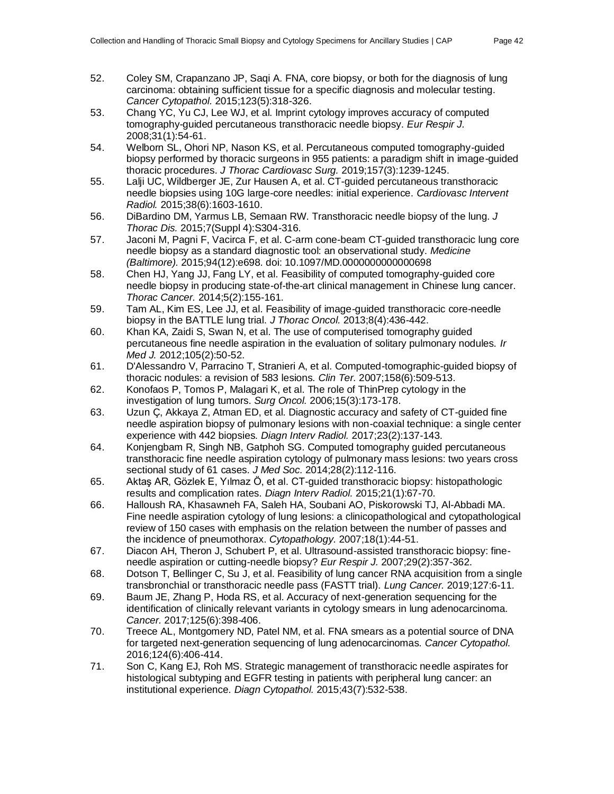- 52. Coley SM, Crapanzano JP, Saqi A. FNA, core biopsy, or both for the diagnosis of lung carcinoma: obtaining sufficient tissue for a specific diagnosis and molecular testing. *Cancer Cytopathol.* 2015;123(5):318-326.
- 53. Chang YC, Yu CJ, Lee WJ, et al. Imprint cytology improves accuracy of computed tomography-guided percutaneous transthoracic needle biopsy. *Eur Respir J.*  2008;31(1):54-61.
- 54. Welborn SL, Ohori NP, Nason KS, et al. Percutaneous computed tomography-guided biopsy performed by thoracic surgeons in 955 patients: a paradigm shift in image-guided thoracic procedures. *J Thorac Cardiovasc Surg.* 2019;157(3):1239-1245.
- 55. Lalji UC, Wildberger JE, Zur Hausen A, et al. CT-guided percutaneous transthoracic needle biopsies using 10G large-core needles: initial experience. *Cardiovasc Intervent Radiol.* 2015;38(6):1603-1610.
- 56. DiBardino DM, Yarmus LB, Semaan RW. Transthoracic needle biopsy of the lung. *J Thorac Dis.* 2015;7(Suppl 4):S304-316.
- 57. Jaconi M, Pagni F, Vacirca F, et al. C-arm cone-beam CT-guided transthoracic lung core needle biopsy as a standard diagnostic tool: an observational study. *Medicine (Baltimore).* 2015;94(12):e698. doi: 10.1097/MD.0000000000000698
- 58. Chen HJ, Yang JJ, Fang LY, et al. Feasibility of computed tomography-guided core needle biopsy in producing state-of-the-art clinical management in Chinese lung cancer. *Thorac Cancer.* 2014;5(2):155-161.
- 59. Tam AL, Kim ES, Lee JJ, et al. Feasibility of image-guided transthoracic core-needle biopsy in the BATTLE lung trial. *J Thorac Oncol.* 2013;8(4):436-442.
- 60. Khan KA, Zaidi S, Swan N, et al. The use of computerised tomography guided percutaneous fine needle aspiration in the evaluation of solitary pulmonary nodules. *Ir Med J.* 2012;105(2):50-52.
- 61. D'Alessandro V, Parracino T, Stranieri A, et al. Computed-tomographic-guided biopsy of thoracic nodules: a revision of 583 lesions. *Clin Ter.* 2007;158(6):509-513.
- 62. Konofaos P, Tomos P, Malagari K, et al. The role of ThinPrep cytology in the investigation of lung tumors. *Surg Oncol.* 2006;15(3):173-178.
- 63. Uzun Ç, Akkaya Z, Atman ED, et al. Diagnostic accuracy and safety of CT-guided fine needle aspiration biopsy of pulmonary lesions with non-coaxial technique: a single center experience with 442 biopsies. *Diagn Interv Radiol.* 2017;23(2):137-143.
- 64. Konjengbam R, Singh NB, Gatphoh SG. Computed tomography guided percutaneous transthoracic fine needle aspiration cytology of pulmonary mass lesions: two years cross sectional study of 61 cases. *J Med Soc.* 2014;28(2):112-116.
- 65. Aktaş AR, Gözlek E, Yılmaz Ö, et al. CT-guided transthoracic biopsy: histopathologic results and complication rates. *Diagn Interv Radiol.* 2015;21(1):67-70.
- 66. Halloush RA, Khasawneh FA, Saleh HA, Soubani AO, Piskorowski TJ, Al-Abbadi MA. Fine needle aspiration cytology of lung lesions: a clinicopathological and cytopathological review of 150 cases with emphasis on the relation between the number of passes and the incidence of pneumothorax. *Cytopathology.* 2007;18(1):44-51.
- 67. Diacon AH, Theron J, Schubert P, et al. Ultrasound-assisted transthoracic biopsy: fineneedle aspiration or cutting-needle biopsy? *Eur Respir J.* 2007;29(2):357-362.
- 68. Dotson T, Bellinger C, Su J, et al. Feasibility of lung cancer RNA acquisition from a single transbronchial or transthoracic needle pass (FASTT trial). *Lung Cancer.* 2019;127:6-11.
- 69. Baum JE, Zhang P, Hoda RS, et al. Accuracy of next-generation sequencing for the identification of clinically relevant variants in cytology smears in lung adenocarcinoma. *Cancer.* 2017;125(6):398-406.
- 70. Treece AL, Montgomery ND, Patel NM, et al. FNA smears as a potential source of DNA for targeted next-generation sequencing of lung adenocarcinomas. *Cancer Cytopathol.*  2016;124(6):406-414.
- 71. Son C, Kang EJ, Roh MS. Strategic management of transthoracic needle aspirates for histological subtyping and EGFR testing in patients with peripheral lung cancer: an institutional experience. *Diagn Cytopathol.* 2015;43(7):532-538.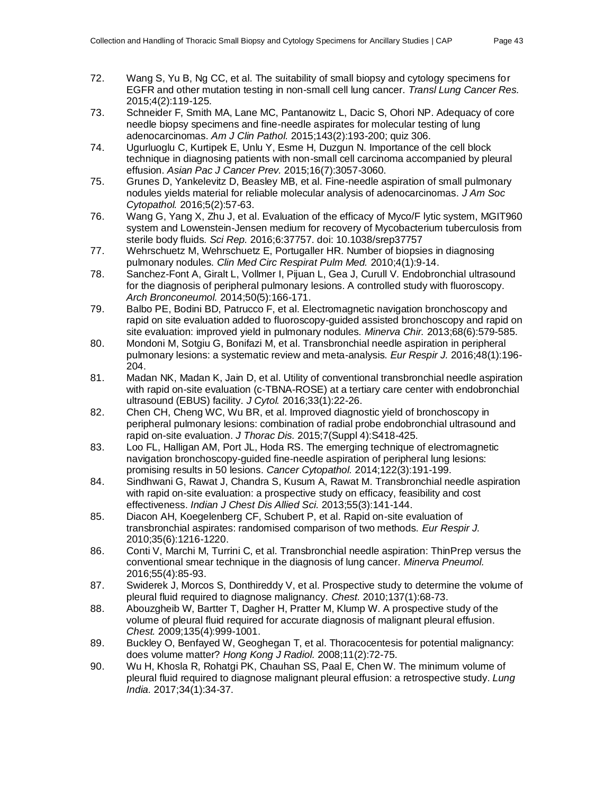- 72. Wang S, Yu B, Ng CC, et al. The suitability of small biopsy and cytology specimens for EGFR and other mutation testing in non-small cell lung cancer. *Transl Lung Cancer Res.*  2015;4(2):119-125.
- 73. Schneider F, Smith MA, Lane MC, Pantanowitz L, Dacic S, Ohori NP. Adequacy of core needle biopsy specimens and fine-needle aspirates for molecular testing of lung adenocarcinomas. *Am J Clin Pathol.* 2015;143(2):193-200; quiz 306.
- 74. Ugurluoglu C, Kurtipek E, Unlu Y, Esme H, Duzgun N. Importance of the cell block technique in diagnosing patients with non-small cell carcinoma accompanied by pleural effusion. *Asian Pac J Cancer Prev.* 2015;16(7):3057-3060.
- 75. Grunes D, Yankelevitz D, Beasley MB, et al. Fine-needle aspiration of small pulmonary nodules yields material for reliable molecular analysis of adenocarcinomas. *J Am Soc Cytopathol.* 2016;5(2):57-63.
- 76. Wang G, Yang X, Zhu J, et al. Evaluation of the efficacy of Myco/F lytic system, MGIT960 system and Lowenstein-Jensen medium for recovery of Mycobacterium tuberculosis from sterile body fluids. *Sci Rep.* 2016;6:37757. doi: 10.1038/srep37757
- 77. Wehrschuetz M, Wehrschuetz E, Portugaller HR. Number of biopsies in diagnosing pulmonary nodules. *Clin Med Circ Respirat Pulm Med.* 2010;4(1):9-14.
- 78. Sanchez-Font A, Giralt L, Vollmer I, Pijuan L, Gea J, Curull V. Endobronchial ultrasound for the diagnosis of peripheral pulmonary lesions. A controlled study with fluoroscopy. *Arch Bronconeumol.* 2014;50(5):166-171.
- 79. Balbo PE, Bodini BD, Patrucco F, et al. Electromagnetic navigation bronchoscopy and rapid on site evaluation added to fluoroscopy-guided assisted bronchoscopy and rapid on site evaluation: improved yield in pulmonary nodules. *Minerva Chir.* 2013;68(6):579-585.
- 80. Mondoni M, Sotgiu G, Bonifazi M, et al. Transbronchial needle aspiration in peripheral pulmonary lesions: a systematic review and meta-analysis. *Eur Respir J.* 2016;48(1):196- 204.
- 81. Madan NK, Madan K, Jain D, et al. Utility of conventional transbronchial needle aspiration with rapid on-site evaluation (c-TBNA-ROSE) at a tertiary care center with endobronchial ultrasound (EBUS) facility. *J Cytol.* 2016;33(1):22-26.
- 82. Chen CH, Cheng WC, Wu BR, et al. Improved diagnostic yield of bronchoscopy in peripheral pulmonary lesions: combination of radial probe endobronchial ultrasound and rapid on-site evaluation. *J Thorac Dis.* 2015;7(Suppl 4):S418-425.
- 83. Loo FL, Halligan AM, Port JL, Hoda RS. The emerging technique of electromagnetic navigation bronchoscopy-guided fine-needle aspiration of peripheral lung lesions: promising results in 50 lesions. *Cancer Cytopathol.* 2014;122(3):191-199.
- 84. Sindhwani G, Rawat J, Chandra S, Kusum A, Rawat M. Transbronchial needle aspiration with rapid on-site evaluation: a prospective study on efficacy, feasibility and cost effectiveness. *Indian J Chest Dis Allied Sci.* 2013;55(3):141-144.
- 85. Diacon AH, Koegelenberg CF, Schubert P, et al. Rapid on-site evaluation of transbronchial aspirates: randomised comparison of two methods. *Eur Respir J.*  2010;35(6):1216-1220.
- 86. Conti V, Marchi M, Turrini C, et al. Transbronchial needle aspiration: ThinPrep versus the conventional smear technique in the diagnosis of lung cancer. *Minerva Pneumol.*  2016;55(4):85-93.
- 87. Swiderek J, Morcos S, Donthireddy V, et al. Prospective study to determine the volume of pleural fluid required to diagnose malignancy. *Chest.* 2010;137(1):68-73.
- 88. Abouzgheib W, Bartter T, Dagher H, Pratter M, Klump W. A prospective study of the volume of pleural fluid required for accurate diagnosis of malignant pleural effusion. *Chest.* 2009;135(4):999-1001.
- 89. Buckley O, Benfayed W, Geoghegan T, et al. Thoracocentesis for potential malignancy: does volume matter? *Hong Kong J Radiol.* 2008;11(2):72-75.
- 90. Wu H, Khosla R, Rohatgi PK, Chauhan SS, Paal E, Chen W. The minimum volume of pleural fluid required to diagnose malignant pleural effusion: a retrospective study. *Lung India.* 2017;34(1):34-37.